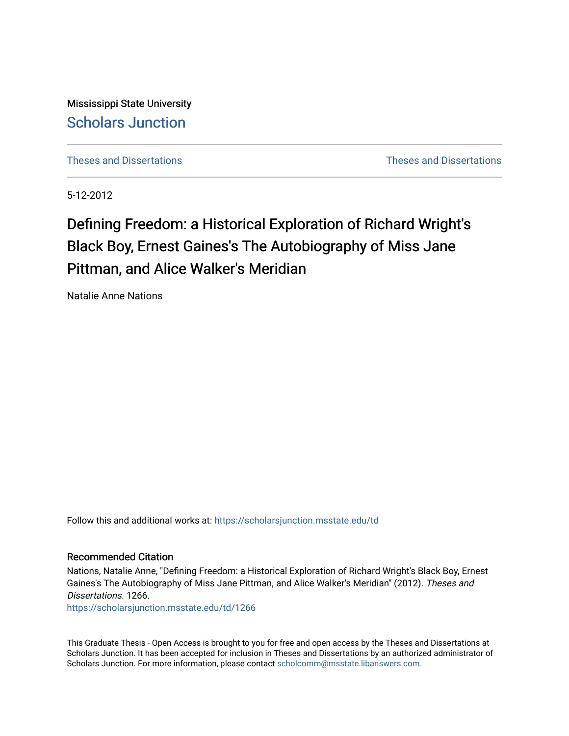Mississippi State University [Scholars Junction](https://scholarsjunction.msstate.edu/) 

[Theses and Dissertations](https://scholarsjunction.msstate.edu/td) [Theses and Dissertations](https://scholarsjunction.msstate.edu/theses-dissertations) 

5-12-2012

# Defining Freedom: a Historical Exploration of Richard Wright's Black Boy, Ernest Gaines's The Autobiography of Miss Jane Pittman, and Alice Walker's Meridian

Natalie Anne Nations

Follow this and additional works at: [https://scholarsjunction.msstate.edu/td](https://scholarsjunction.msstate.edu/td?utm_source=scholarsjunction.msstate.edu%2Ftd%2F1266&utm_medium=PDF&utm_campaign=PDFCoverPages) 

#### Recommended Citation

Nations, Natalie Anne, "Defining Freedom: a Historical Exploration of Richard Wright's Black Boy, Ernest Gaines's The Autobiography of Miss Jane Pittman, and Alice Walker's Meridian" (2012). Theses and Dissertations. 1266.

[https://scholarsjunction.msstate.edu/td/1266](https://scholarsjunction.msstate.edu/td/1266?utm_source=scholarsjunction.msstate.edu%2Ftd%2F1266&utm_medium=PDF&utm_campaign=PDFCoverPages) 

This Graduate Thesis - Open Access is brought to you for free and open access by the Theses and Dissertations at Scholars Junction. It has been accepted for inclusion in Theses and Dissertations by an authorized administrator of Scholars Junction. For more information, please contact [scholcomm@msstate.libanswers.com.](mailto:scholcomm@msstate.libanswers.com)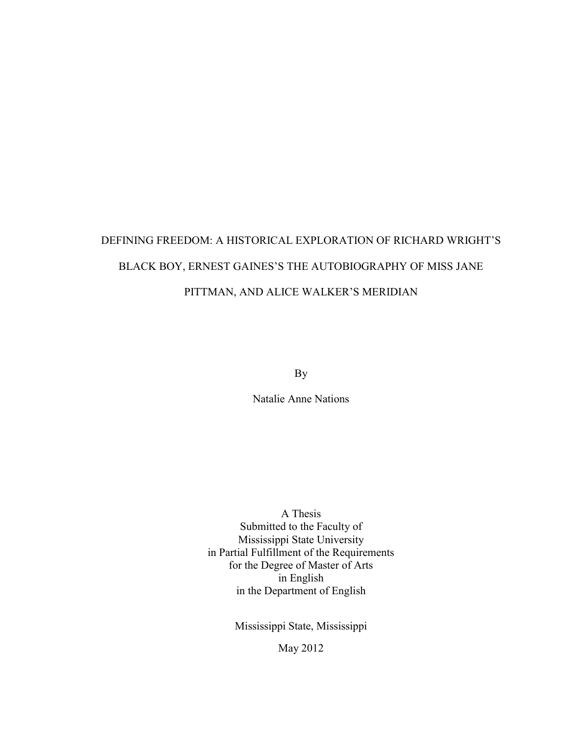# DEFINING FREEDOM: A HISTORICAL EXPLORATION OF RICHARD WRIGHT'S BLACK BOY, ERNEST GAINES'S THE AUTOBIOGRAPHY OF MISS JANE PITTMAN, AND ALICE WALKER'S MERIDIAN

By

Natalie Anne Nations

A Thesis Submitted to the Faculty of Mississippi State University in Partial Fulfillment of the Requirements for the Degree of Master of Arts in English in the Department of English

Mississippi State, Mississippi

May 2012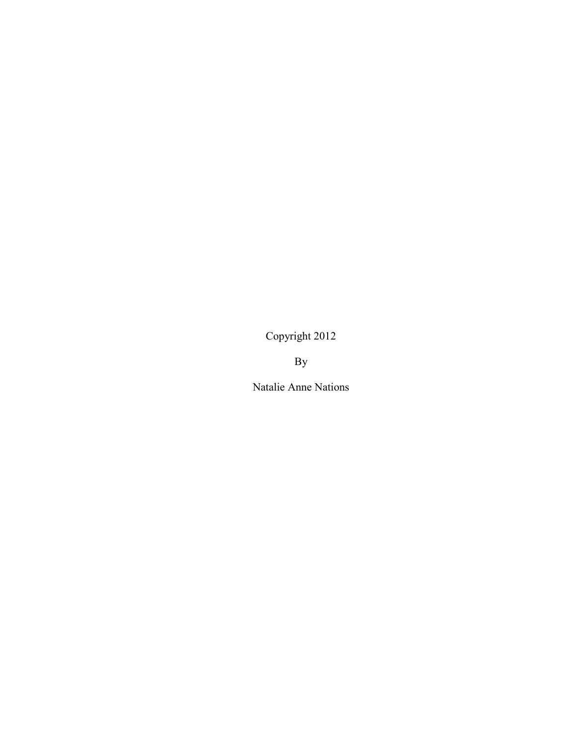Copyright 2012

By

Natalie Anne Nations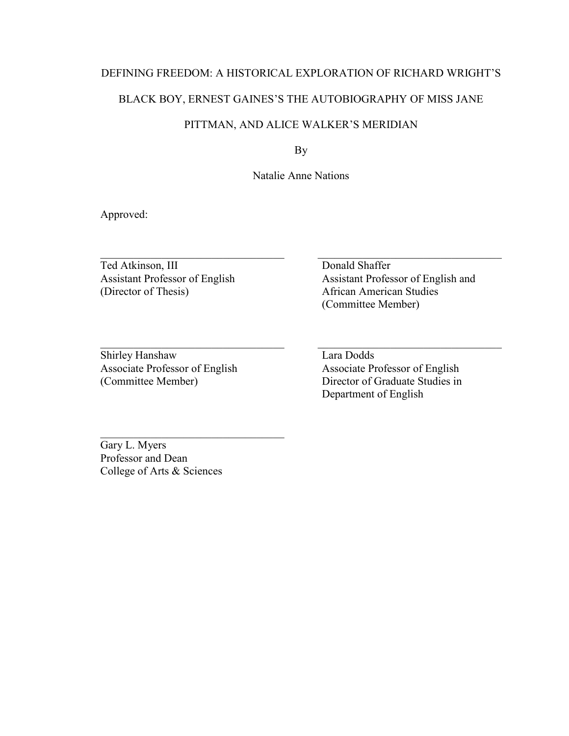#### DEFINING FREEDOM: A HISTORICAL EXPLORATION OF RICHARD WRIGHT'S

# BLACK BOY, ERNEST GAINES'S THE AUTOBIOGRAPHY OF MISS JANE

# PITTMAN, AND ALICE WALKER'S MERIDIAN

By

Natalie Anne Nations

 $\_$  , and the set of the set of the set of the set of the set of the set of the set of the set of the set of the set of the set of the set of the set of the set of the set of the set of the set of the set of the set of th

Approved:

Ted Atkinson, III Donald Shaffer (Director of Thesis) African American Studies

Shirley Hanshaw Lara Dodds

 $\_$  , and the set of the set of the set of the set of the set of the set of the set of the set of the set of the set of the set of the set of the set of the set of the set of the set of the set of the set of the set of th Assistant Professor of English Assistant Professor of English and (Committee Member)

Associate Professor of English Associate Professor of English (Committee Member) Director of Graduate Studies in Department of English

Gary L. Myers Professor and Dean College of Arts & Sciences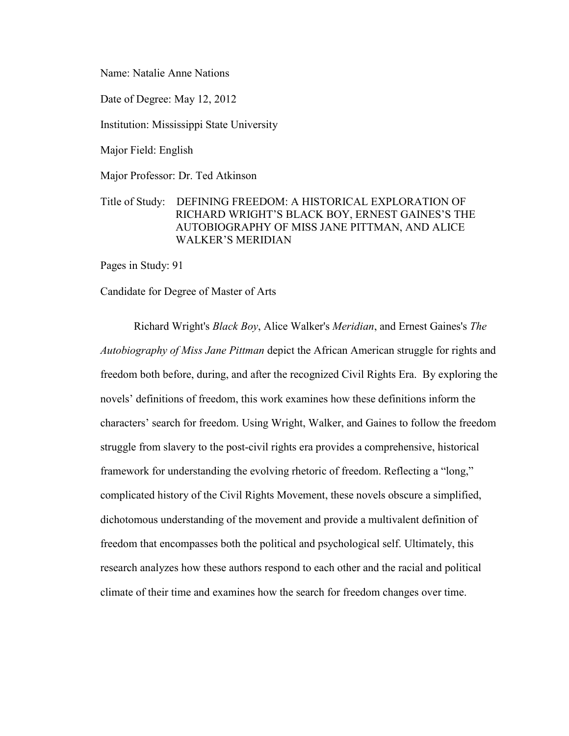Name: Natalie Anne Nations

Date of Degree: May 12, 2012

Institution: Mississippi State University

Major Field: English

Major Professor: Dr. Ted Atkinson

# Title of Study: DEFINING FREEDOM: A HISTORICAL EXPLORATION OF RICHARD WRIGHT'S BLACK BOY, ERNEST GAINES'S THE AUTOBIOGRAPHY OF MISS JANE PITTMAN, AND ALICE WALKER'S MERIDIAN

Pages in Study: 91

Candidate for Degree of Master of Arts

Richard Wright's *Black Boy*, Alice Walker's *Meridian*, and Ernest Gaines's *The Autobiography of Miss Jane Pittman* depict the African American struggle for rights and freedom both before, during, and after the recognized Civil Rights Era. By exploring the novels' definitions of freedom, this work examines how these definitions inform the characters' search for freedom. Using Wright, Walker, and Gaines to follow the freedom struggle from slavery to the post-civil rights era provides a comprehensive, historical framework for understanding the evolving rhetoric of freedom. Reflecting a "long," complicated history of the Civil Rights Movement, these novels obscure a simplified, dichotomous understanding of the movement and provide a multivalent definition of freedom that encompasses both the political and psychological self. Ultimately, this research analyzes how these authors respond to each other and the racial and political climate of their time and examines how the search for freedom changes over time.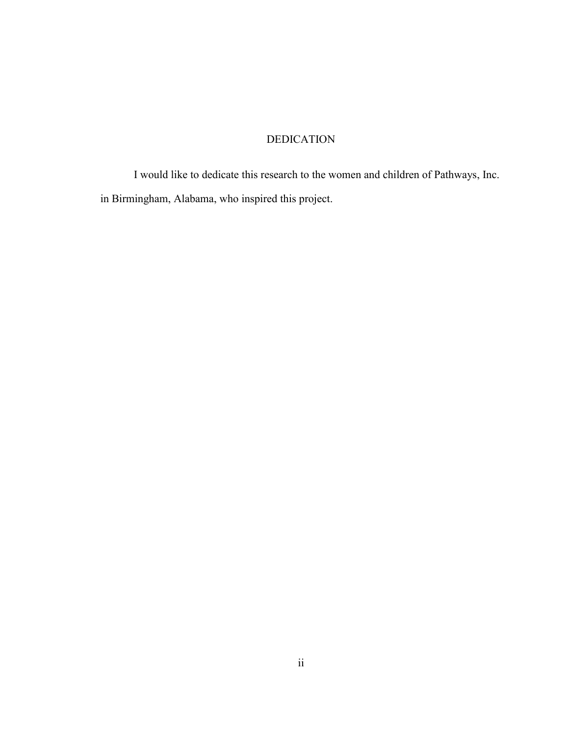# DEDICATION

<span id="page-5-0"></span>I would like to dedicate this research to the women and children of Pathways, Inc. in Birmingham, Alabama, who inspired this project.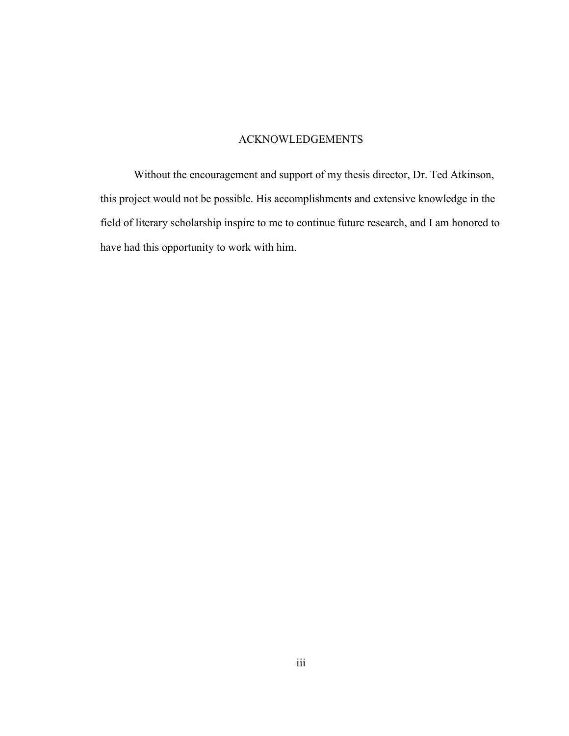# ACKNOWLEDGEMENTS

<span id="page-6-0"></span>Without the encouragement and support of my thesis director, Dr. Ted Atkinson, this project would not be possible. His accomplishments and extensive knowledge in the field of literary scholarship inspire to me to continue future research, and I am honored to have had this opportunity to work with him.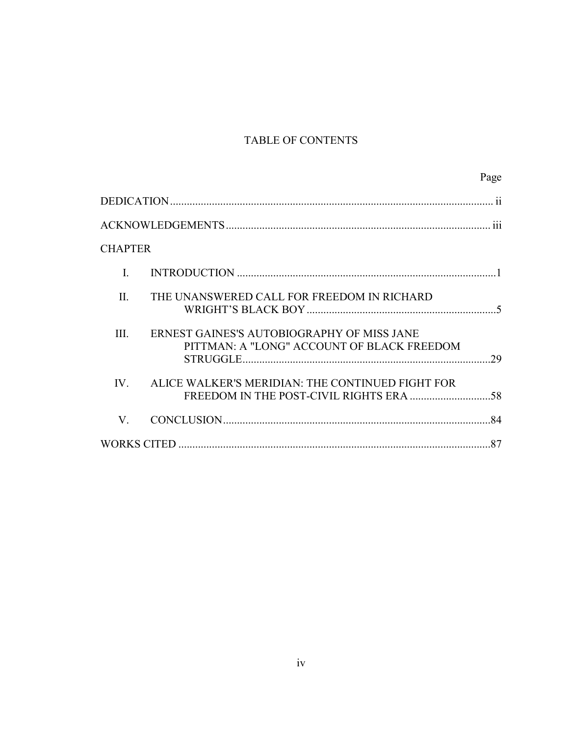# TABLE OF CONTENTS

|                                                                                                  | Page |
|--------------------------------------------------------------------------------------------------|------|
|                                                                                                  |      |
|                                                                                                  |      |
| <b>CHAPTER</b>                                                                                   |      |
| L.                                                                                               |      |
| THE UNANSWERED CALL FOR FREEDOM IN RICHARD<br>II.                                                |      |
| III.<br>ERNEST GAINES'S AUTOBIOGRAPHY OF MISS JANE<br>PITTMAN: A "LONG" ACCOUNT OF BLACK FREEDOM |      |
| ALICE WALKER'S MERIDIAN: THE CONTINUED FIGHT FOR<br>IV.                                          |      |
| V.                                                                                               |      |
|                                                                                                  |      |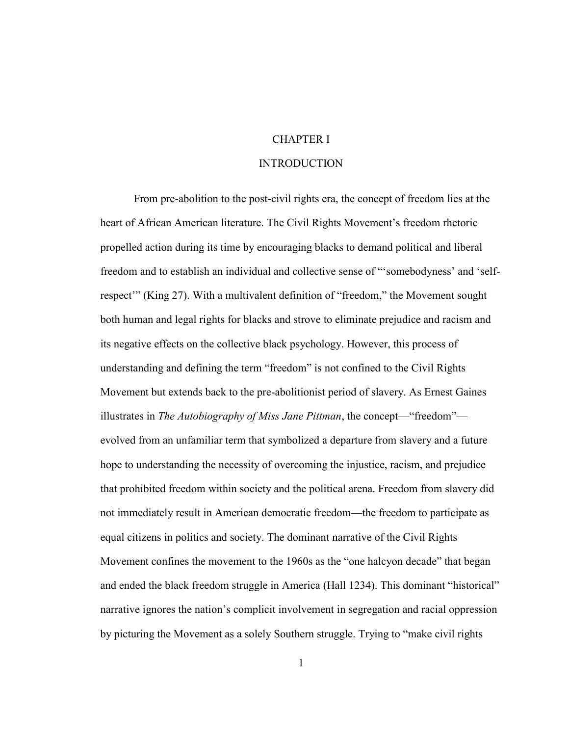# CHAPTER I

## **INTRODUCTION**

<span id="page-8-1"></span><span id="page-8-0"></span>From pre-abolition to the post-civil rights era, the concept of freedom lies at the heart of African American literature. The Civil Rights Movement's freedom rhetoric propelled action during its time by encouraging blacks to demand political and liberal freedom and to establish an individual and collective sense of "'somebodyness' and 'selfrespect<sup>\*\*</sup> (King 27). With a multivalent definition of "freedom," the Movement sought both human and legal rights for blacks and strove to eliminate prejudice and racism and its negative effects on the collective black psychology. However, this process of understanding and defining the term "freedom" is not confined to the Civil Rights Movement but extends back to the pre-abolitionist period of slavery. As Ernest Gaines illustrates in *The Autobiography of Miss Jane Pittman*, the concept—"freedom" evolved from an unfamiliar term that symbolized a departure from slavery and a future hope to understanding the necessity of overcoming the injustice, racism, and prejudice that prohibited freedom within society and the political arena. Freedom from slavery did not immediately result in American democratic freedom—the freedom to participate as equal citizens in politics and society. The dominant narrative of the Civil Rights Movement confines the movement to the 1960s as the "one halcyon decade" that began and ended the black freedom struggle in America (Hall 1234). This dominant "historical" narrative ignores the nation's complicit involvement in segregation and racial oppression by picturing the Movement as a solely Southern struggle. Trying to "make civil rights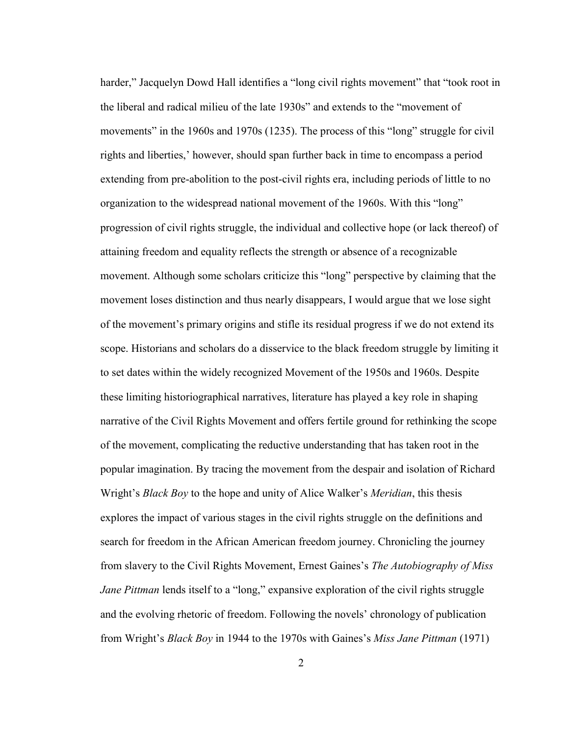harder," Jacquelyn Dowd Hall identifies a "long civil rights movement" that "took root in the liberal and radical milieu of the late 1930s" and extends to the "movement of movements" in the 1960s and 1970s (1235). The process of this "long" struggle for civil rights and liberties,' however, should span further back in time to encompass a period extending from pre-abolition to the post-civil rights era, including periods of little to no organization to the widespread national movement of the 1960s. With this "long" progression of civil rights struggle, the individual and collective hope (or lack thereof) of attaining freedom and equality reflects the strength or absence of a recognizable movement. Although some scholars criticize this "long" perspective by claiming that the movement loses distinction and thus nearly disappears, I would argue that we lose sight of the movement's primary origins and stifle its residual progress if we do not extend its scope. Historians and scholars do a disservice to the black freedom struggle by limiting it to set dates within the widely recognized Movement of the 1950s and 1960s. Despite these limiting historiographical narratives, literature has played a key role in shaping narrative of the Civil Rights Movement and offers fertile ground for rethinking the scope of the movement, complicating the reductive understanding that has taken root in the popular imagination. By tracing the movement from the despair and isolation of Richard Wright's *Black Boy* to the hope and unity of Alice Walker's *Meridian*, this thesis explores the impact of various stages in the civil rights struggle on the definitions and search for freedom in the African American freedom journey. Chronicling the journey from slavery to the Civil Rights Movement, Ernest Gaines's *The Autobiography of Miss Jane Pittman* lends itself to a "long," expansive exploration of the civil rights struggle and the evolving rhetoric of freedom. Following the novels' chronology of publication from Wright's *Black Boy* in 1944 to the 1970s with Gaines's *Miss Jane Pittman* (1971)

2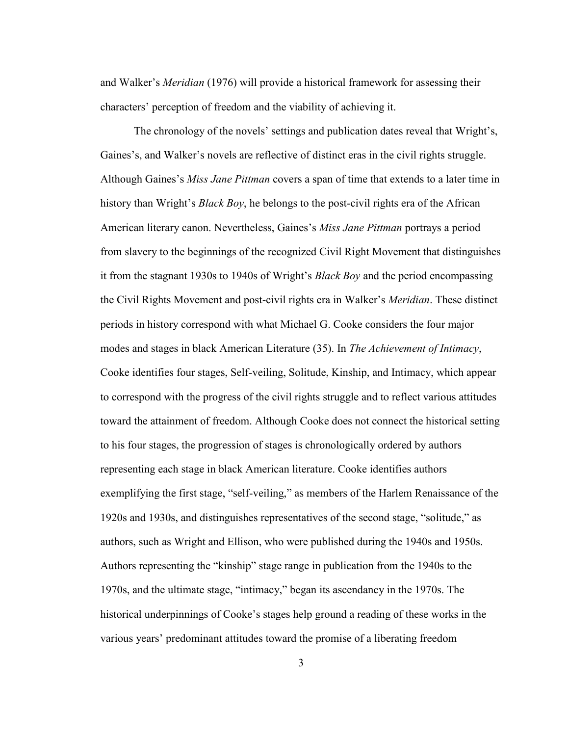and Walker's *Meridian* (1976) will provide a historical framework for assessing their characters' perception of freedom and the viability of achieving it.

The chronology of the novels' settings and publication dates reveal that Wright's, Gaines's, and Walker's novels are reflective of distinct eras in the civil rights struggle. Although Gaines's *Miss Jane Pittman* covers a span of time that extends to a later time in history than Wright's *Black Boy*, he belongs to the post-civil rights era of the African American literary canon. Nevertheless, Gaines's *Miss Jane Pittman* portrays a period from slavery to the beginnings of the recognized Civil Right Movement that distinguishes it from the stagnant 1930s to 1940s of Wright's *Black Boy* and the period encompassing the Civil Rights Movement and post-civil rights era in Walker's *Meridian*. These distinct periods in history correspond with what Michael G. Cooke considers the four major modes and stages in black American Literature (35). In *The Achievement of Intimacy*, Cooke identifies four stages, Self-veiling, Solitude, Kinship, and Intimacy, which appear to correspond with the progress of the civil rights struggle and to reflect various attitudes toward the attainment of freedom. Although Cooke does not connect the historical setting to his four stages, the progression of stages is chronologically ordered by authors representing each stage in black American literature. Cooke identifies authors exemplifying the first stage, "self-veiling," as members of the Harlem Renaissance of the 1920s and 1930s, and distinguishes representatives of the second stage, "solitude," as authors, such as Wright and Ellison, who were published during the 1940s and 1950s. Authors representing the "kinship" stage range in publication from the 1940s to the 1970s, and the ultimate stage, "intimacy," began its ascendancy in the 1970s. The historical underpinnings of Cooke's stages help ground a reading of these works in the various years' predominant attitudes toward the promise of a liberating freedom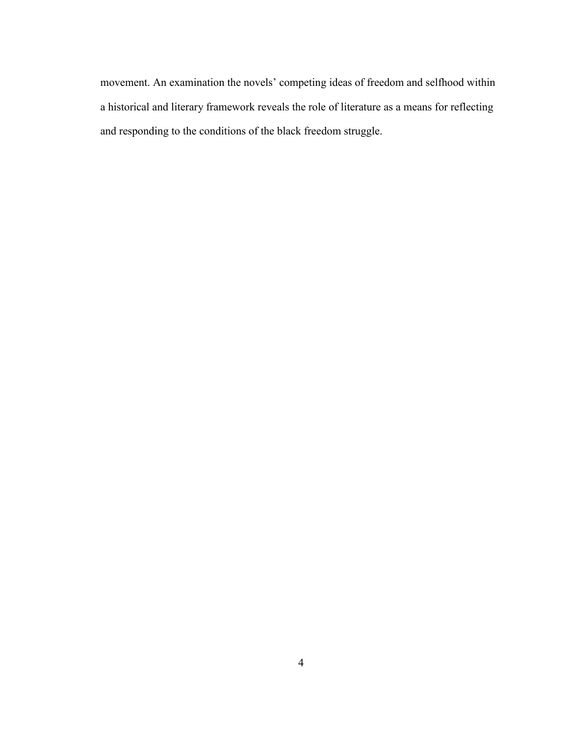movement. An examination the novels' competing ideas of freedom and selfhood within a historical and literary framework reveals the role of literature as a means for reflecting and responding to the conditions of the black freedom struggle.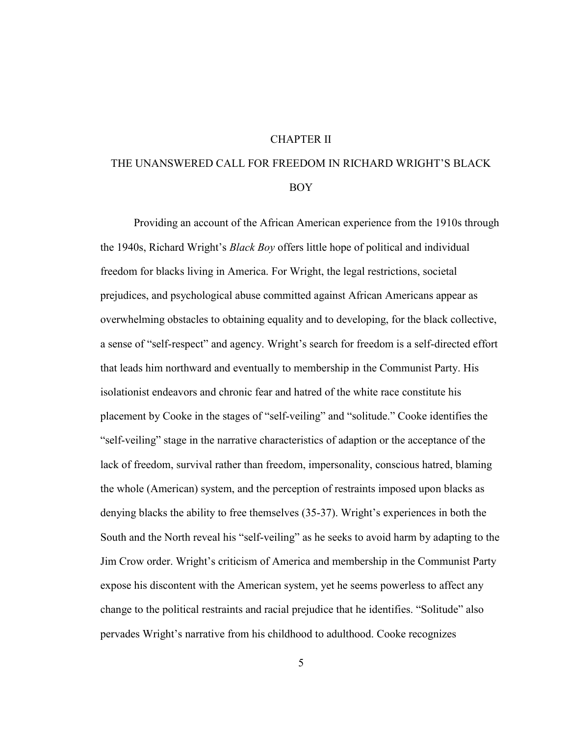#### CHAPTER II

# <span id="page-12-0"></span>THE UNANSWERED CALL FOR FREEDOM IN RICHARD WRIGHT'S BLACK BOY

Providing an account of the African American experience from the 1910s through the 1940s, Richard Wright's *Black Boy* offers little hope of political and individual freedom for blacks living in America. For Wright, the legal restrictions, societal prejudices, and psychological abuse committed against African Americans appear as overwhelming obstacles to obtaining equality and to developing, for the black collective, a sense of "self-respect" and agency. Wright's search for freedom is a self-directed effort that leads him northward and eventually to membership in the Communist Party. His isolationist endeavors and chronic fear and hatred of the white race constitute his placement by Cooke in the stages of "self-veiling" and "solitude." Cooke identifies the "self-veiling" stage in the narrative characteristics of adaption or the acceptance of the lack of freedom, survival rather than freedom, impersonality, conscious hatred, blaming the whole (American) system, and the perception of restraints imposed upon blacks as denying blacks the ability to free themselves (35-37). Wright's experiences in both the South and the North reveal his "self-veiling" as he seeks to avoid harm by adapting to the Jim Crow order. Wright's criticism of America and membership in the Communist Party expose his discontent with the American system, yet he seems powerless to affect any change to the political restraints and racial prejudice that he identifies. "Solitude" also pervades Wright's narrative from his childhood to adulthood. Cooke recognizes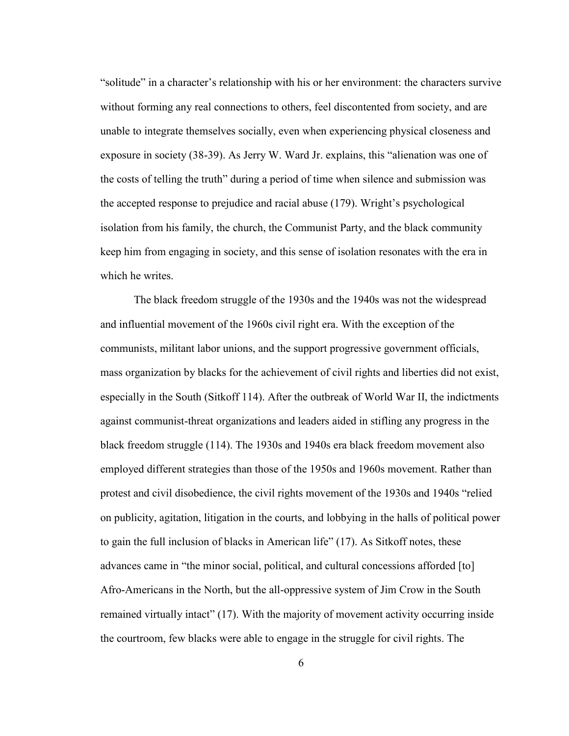"solitude" in a character's relationship with his or her environment: the characters survive without forming any real connections to others, feel discontented from society, and are unable to integrate themselves socially, even when experiencing physical closeness and exposure in society (38-39). As Jerry W. Ward Jr. explains, this "alienation was one of the costs of telling the truth" during a period of time when silence and submission was the accepted response to prejudice and racial abuse (179). Wright's psychological isolation from his family, the church, the Communist Party, and the black community keep him from engaging in society, and this sense of isolation resonates with the era in which he writes.

The black freedom struggle of the 1930s and the 1940s was not the widespread and influential movement of the 1960s civil right era. With the exception of the communists, militant labor unions, and the support progressive government officials, mass organization by blacks for the achievement of civil rights and liberties did not exist, especially in the South (Sitkoff 114). After the outbreak of World War II, the indictments against communist-threat organizations and leaders aided in stifling any progress in the black freedom struggle (114). The 1930s and 1940s era black freedom movement also employed different strategies than those of the 1950s and 1960s movement. Rather than protest and civil disobedience, the civil rights movement of the 1930s and 1940s "relied on publicity, agitation, litigation in the courts, and lobbying in the halls of political power to gain the full inclusion of blacks in American life" (17). As Sitkoff notes, these advances came in "the minor social, political, and cultural concessions afforded [to] Afro-Americans in the North, but the all-oppressive system of Jim Crow in the South remained virtually intact" (17). With the majority of movement activity occurring inside the courtroom, few blacks were able to engage in the struggle for civil rights. The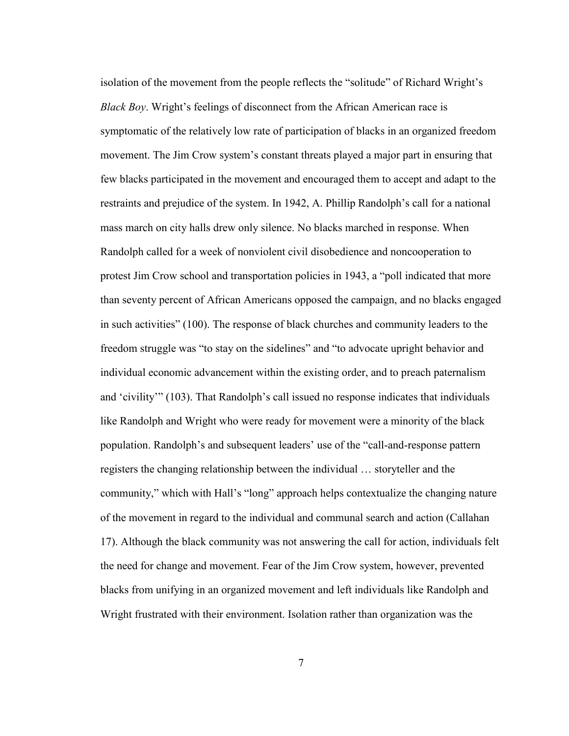isolation of the movement from the people reflects the "solitude" of Richard Wright's *Black Boy*. Wright's feelings of disconnect from the African American race is symptomatic of the relatively low rate of participation of blacks in an organized freedom movement. The Jim Crow system's constant threats played a major part in ensuring that few blacks participated in the movement and encouraged them to accept and adapt to the restraints and prejudice of the system. In 1942, A. Phillip Randolph's call for a national mass march on city halls drew only silence. No blacks marched in response. When Randolph called for a week of nonviolent civil disobedience and noncooperation to protest Jim Crow school and transportation policies in 1943, a "poll indicated that more than seventy percent of African Americans opposed the campaign, and no blacks engaged in such activities" (100). The response of black churches and community leaders to the freedom struggle was "to stay on the sidelines" and "to advocate upright behavior and individual economic advancement within the existing order, and to preach paternalism and 'civility'" (103). That Randolph's call issued no response indicates that individuals like Randolph and Wright who were ready for movement were a minority of the black population. Randolph's and subsequent leaders' use of the "call-and-response pattern registers the changing relationship between the individual … storyteller and the community," which with Hall's "long" approach helps contextualize the changing nature of the movement in regard to the individual and communal search and action (Callahan 17). Although the black community was not answering the call for action, individuals felt the need for change and movement. Fear of the Jim Crow system, however, prevented blacks from unifying in an organized movement and left individuals like Randolph and Wright frustrated with their environment. Isolation rather than organization was the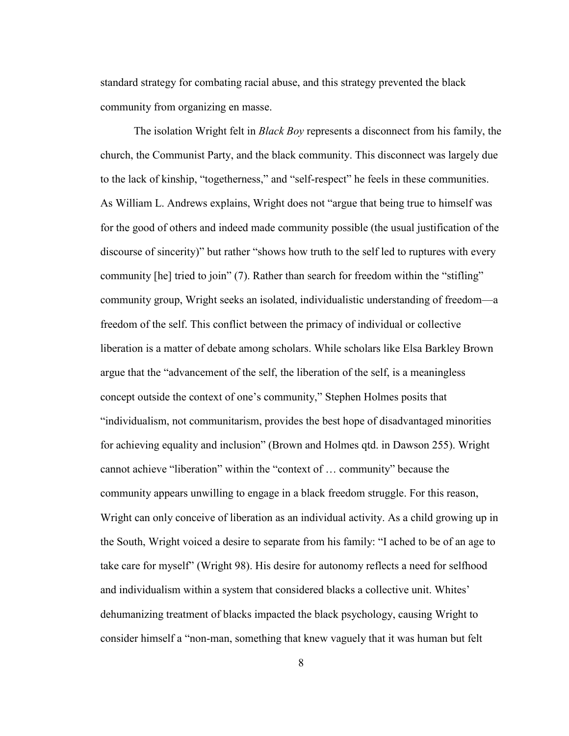standard strategy for combating racial abuse, and this strategy prevented the black community from organizing en masse.

The isolation Wright felt in *Black Boy* represents a disconnect from his family, the church, the Communist Party, and the black community. This disconnect was largely due to the lack of kinship, "togetherness," and "self-respect" he feels in these communities. As William L. Andrews explains, Wright does not "argue that being true to himself was for the good of others and indeed made community possible (the usual justification of the discourse of sincerity)" but rather "shows how truth to the self led to ruptures with every community [he] tried to join" (7). Rather than search for freedom within the "stifling" community group, Wright seeks an isolated, individualistic understanding of freedom—a freedom of the self. This conflict between the primacy of individual or collective liberation is a matter of debate among scholars. While scholars like Elsa Barkley Brown argue that the "advancement of the self, the liberation of the self, is a meaningless concept outside the context of one's community," Stephen Holmes posits that "individualism, not communitarism, provides the best hope of disadvantaged minorities for achieving equality and inclusion" (Brown and Holmes qtd. in Dawson 255). Wright cannot achieve "liberation" within the "context of … community" because the community appears unwilling to engage in a black freedom struggle. For this reason, Wright can only conceive of liberation as an individual activity. As a child growing up in the South, Wright voiced a desire to separate from his family: "I ached to be of an age to take care for myself" (Wright 98). His desire for autonomy reflects a need for selfhood and individualism within a system that considered blacks a collective unit. Whites' dehumanizing treatment of blacks impacted the black psychology, causing Wright to consider himself a "non-man, something that knew vaguely that it was human but felt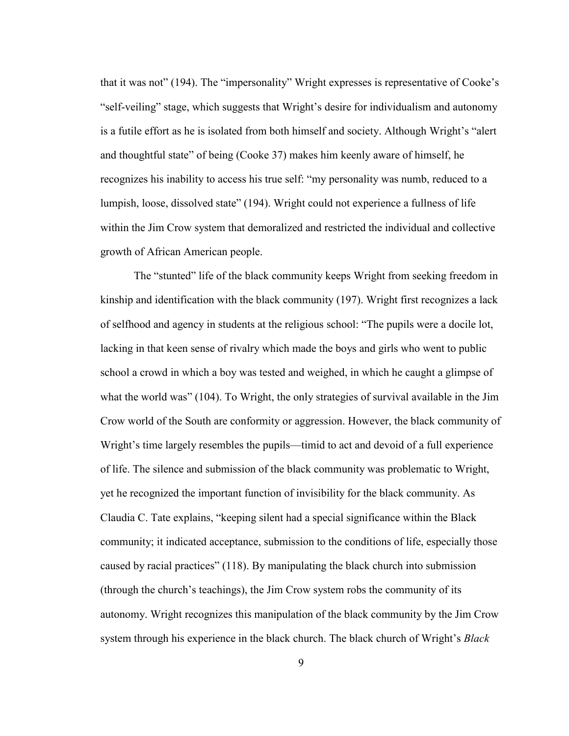that it was not" (194). The "impersonality" Wright expresses is representative of Cooke's "self-veiling" stage, which suggests that Wright's desire for individualism and autonomy is a futile effort as he is isolated from both himself and society. Although Wright's "alert and thoughtful state" of being (Cooke 37) makes him keenly aware of himself, he recognizes his inability to access his true self: "my personality was numb, reduced to a lumpish, loose, dissolved state" (194). Wright could not experience a fullness of life within the Jim Crow system that demoralized and restricted the individual and collective growth of African American people.

The "stunted" life of the black community keeps Wright from seeking freedom in kinship and identification with the black community (197). Wright first recognizes a lack of selfhood and agency in students at the religious school: "The pupils were a docile lot, lacking in that keen sense of rivalry which made the boys and girls who went to public school a crowd in which a boy was tested and weighed, in which he caught a glimpse of what the world was" (104). To Wright, the only strategies of survival available in the Jim Crow world of the South are conformity or aggression. However, the black community of Wright's time largely resembles the pupils—timid to act and devoid of a full experience of life. The silence and submission of the black community was problematic to Wright, yet he recognized the important function of invisibility for the black community. As Claudia C. Tate explains, "keeping silent had a special significance within the Black community; it indicated acceptance, submission to the conditions of life, especially those caused by racial practices" (118). By manipulating the black church into submission (through the church's teachings), the Jim Crow system robs the community of its autonomy. Wright recognizes this manipulation of the black community by the Jim Crow system through his experience in the black church. The black church of Wright's *Black*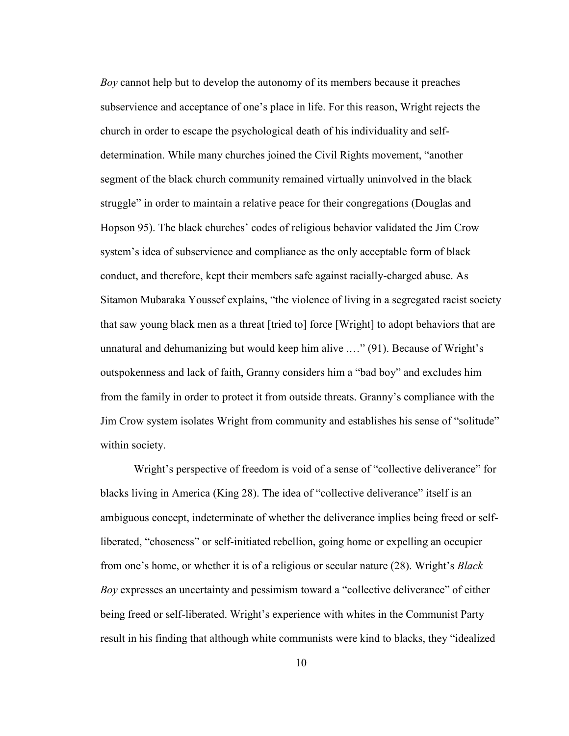*Boy* cannot help but to develop the autonomy of its members because it preaches subservience and acceptance of one's place in life. For this reason, Wright rejects the church in order to escape the psychological death of his individuality and selfdetermination. While many churches joined the Civil Rights movement, "another segment of the black church community remained virtually uninvolved in the black struggle" in order to maintain a relative peace for their congregations (Douglas and Hopson 95). The black churches' codes of religious behavior validated the Jim Crow system's idea of subservience and compliance as the only acceptable form of black conduct, and therefore, kept their members safe against racially-charged abuse. As Sitamon Mubaraka Youssef explains, "the violence of living in a segregated racist society that saw young black men as a threat [tried to] force [Wright] to adopt behaviors that are unnatural and dehumanizing but would keep him alive .…" (91). Because of Wright's outspokenness and lack of faith, Granny considers him a "bad boy" and excludes him from the family in order to protect it from outside threats. Granny's compliance with the Jim Crow system isolates Wright from community and establishes his sense of "solitude" within society.

Wright's perspective of freedom is void of a sense of "collective deliverance" for blacks living in America (King 28). The idea of "collective deliverance" itself is an ambiguous concept, indeterminate of whether the deliverance implies being freed or selfliberated, "choseness" or self-initiated rebellion, going home or expelling an occupier from one's home, or whether it is of a religious or secular nature (28). Wright's *Black Boy* expresses an uncertainty and pessimism toward a "collective deliverance" of either being freed or self-liberated. Wright's experience with whites in the Communist Party result in his finding that although white communists were kind to blacks, they "idealized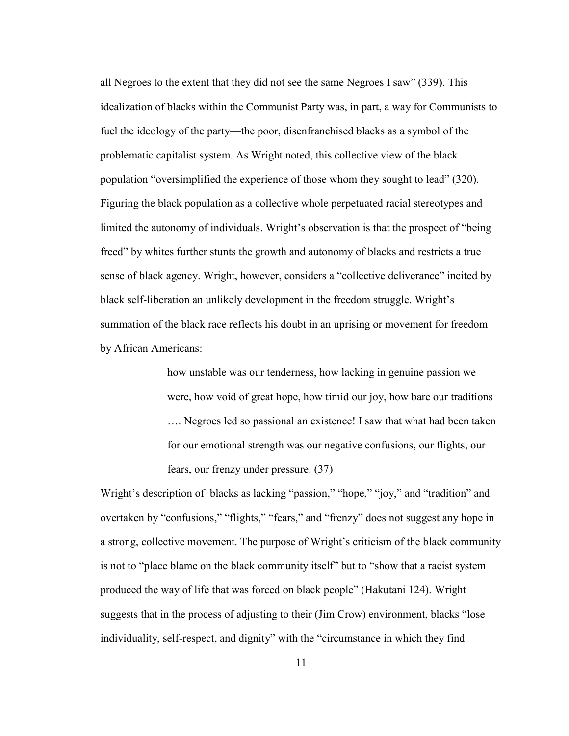all Negroes to the extent that they did not see the same Negroes I saw" (339). This idealization of blacks within the Communist Party was, in part, a way for Communists to fuel the ideology of the party—the poor, disenfranchised blacks as a symbol of the problematic capitalist system. As Wright noted, this collective view of the black population "oversimplified the experience of those whom they sought to lead" (320). Figuring the black population as a collective whole perpetuated racial stereotypes and limited the autonomy of individuals. Wright's observation is that the prospect of "being freed" by whites further stunts the growth and autonomy of blacks and restricts a true sense of black agency. Wright, however, considers a "collective deliverance" incited by black self-liberation an unlikely development in the freedom struggle. Wright's summation of the black race reflects his doubt in an uprising or movement for freedom by African Americans:

> how unstable was our tenderness, how lacking in genuine passion we were, how void of great hope, how timid our joy, how bare our traditions …. Negroes led so passional an existence! I saw that what had been taken for our emotional strength was our negative confusions, our flights, our fears, our frenzy under pressure. (37)

Wright's description of blacks as lacking "passion," "hope," "joy," and "tradition" and overtaken by "confusions," "flights," "fears," and "frenzy" does not suggest any hope in a strong, collective movement. The purpose of Wright's criticism of the black community is not to "place blame on the black community itself" but to "show that a racist system produced the way of life that was forced on black people" (Hakutani 124). Wright suggests that in the process of adjusting to their (Jim Crow) environment, blacks "lose individuality, self-respect, and dignity" with the "circumstance in which they find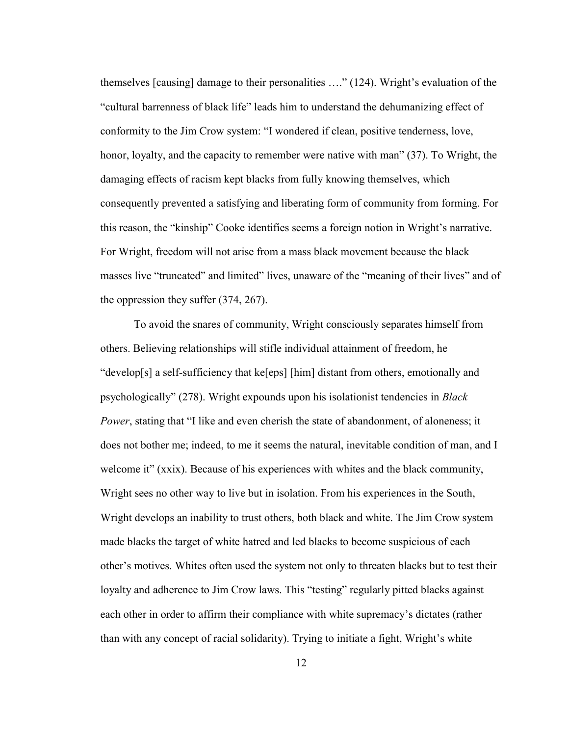themselves [causing] damage to their personalities …." (124). Wright's evaluation of the "cultural barrenness of black life" leads him to understand the dehumanizing effect of conformity to the Jim Crow system: "I wondered if clean, positive tenderness, love, honor, loyalty, and the capacity to remember were native with man" (37). To Wright, the damaging effects of racism kept blacks from fully knowing themselves, which consequently prevented a satisfying and liberating form of community from forming. For this reason, the "kinship" Cooke identifies seems a foreign notion in Wright's narrative. For Wright, freedom will not arise from a mass black movement because the black masses live "truncated" and limited" lives, unaware of the "meaning of their lives" and of the oppression they suffer (374, 267).

To avoid the snares of community, Wright consciously separates himself from others. Believing relationships will stifle individual attainment of freedom, he "develop[s] a self-sufficiency that ke[eps] [him] distant from others, emotionally and psychologically" (278). Wright expounds upon his isolationist tendencies in *Black Power*, stating that "I like and even cherish the state of abandonment, of aloneness; it does not bother me; indeed, to me it seems the natural, inevitable condition of man, and I welcome it" (xxix). Because of his experiences with whites and the black community, Wright sees no other way to live but in isolation. From his experiences in the South, Wright develops an inability to trust others, both black and white. The Jim Crow system made blacks the target of white hatred and led blacks to become suspicious of each other's motives. Whites often used the system not only to threaten blacks but to test their loyalty and adherence to Jim Crow laws. This "testing" regularly pitted blacks against each other in order to affirm their compliance with white supremacy's dictates (rather than with any concept of racial solidarity). Trying to initiate a fight, Wright's white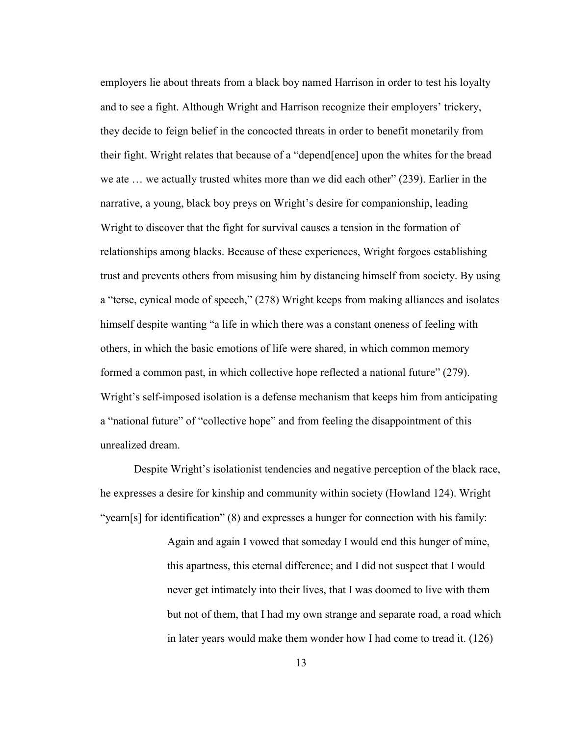employers lie about threats from a black boy named Harrison in order to test his loyalty and to see a fight. Although Wright and Harrison recognize their employers' trickery, they decide to feign belief in the concocted threats in order to benefit monetarily from their fight. Wright relates that because of a "depend[ence] upon the whites for the bread we ate … we actually trusted whites more than we did each other" (239). Earlier in the narrative, a young, black boy preys on Wright's desire for companionship, leading Wright to discover that the fight for survival causes a tension in the formation of relationships among blacks. Because of these experiences, Wright forgoes establishing trust and prevents others from misusing him by distancing himself from society. By using a "terse, cynical mode of speech," (278) Wright keeps from making alliances and isolates himself despite wanting "a life in which there was a constant oneness of feeling with others, in which the basic emotions of life were shared, in which common memory formed a common past, in which collective hope reflected a national future" (279). Wright's self-imposed isolation is a defense mechanism that keeps him from anticipating a "national future" of "collective hope" and from feeling the disappointment of this unrealized dream.

Despite Wright's isolationist tendencies and negative perception of the black race, he expresses a desire for kinship and community within society (Howland 124). Wright "yearn[s] for identification" (8) and expresses a hunger for connection with his family:

> Again and again I vowed that someday I would end this hunger of mine, this apartness, this eternal difference; and I did not suspect that I would never get intimately into their lives, that I was doomed to live with them but not of them, that I had my own strange and separate road, a road which in later years would make them wonder how I had come to tread it. (126)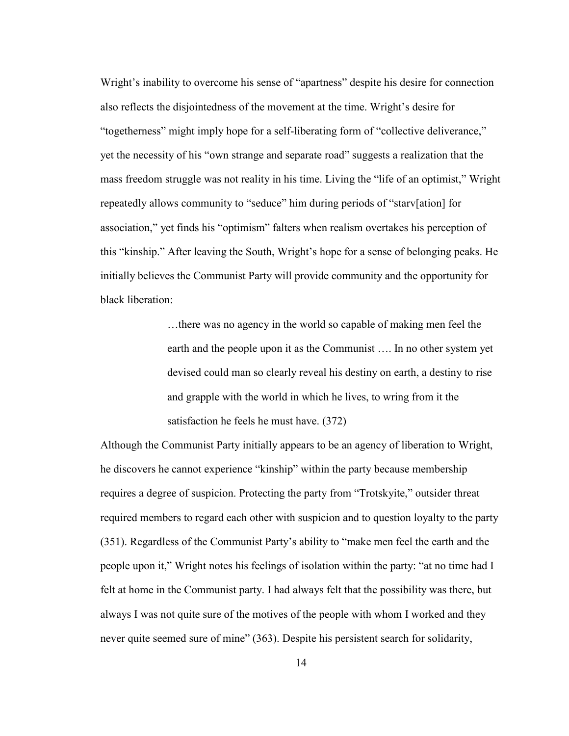Wright's inability to overcome his sense of "apartness" despite his desire for connection also reflects the disjointedness of the movement at the time. Wright's desire for "togetherness" might imply hope for a self-liberating form of "collective deliverance," yet the necessity of his "own strange and separate road" suggests a realization that the mass freedom struggle was not reality in his time. Living the "life of an optimist," Wright repeatedly allows community to "seduce" him during periods of "starv[ation] for association," yet finds his "optimism" falters when realism overtakes his perception of this "kinship." After leaving the South, Wright's hope for a sense of belonging peaks. He initially believes the Communist Party will provide community and the opportunity for black liberation:

> …there was no agency in the world so capable of making men feel the earth and the people upon it as the Communist …. In no other system yet devised could man so clearly reveal his destiny on earth, a destiny to rise and grapple with the world in which he lives, to wring from it the satisfaction he feels he must have. (372)

Although the Communist Party initially appears to be an agency of liberation to Wright, he discovers he cannot experience "kinship" within the party because membership requires a degree of suspicion. Protecting the party from "Trotskyite," outsider threat required members to regard each other with suspicion and to question loyalty to the party (351). Regardless of the Communist Party's ability to "make men feel the earth and the people upon it," Wright notes his feelings of isolation within the party: "at no time had I felt at home in the Communist party. I had always felt that the possibility was there, but always I was not quite sure of the motives of the people with whom I worked and they never quite seemed sure of mine" (363). Despite his persistent search for solidarity,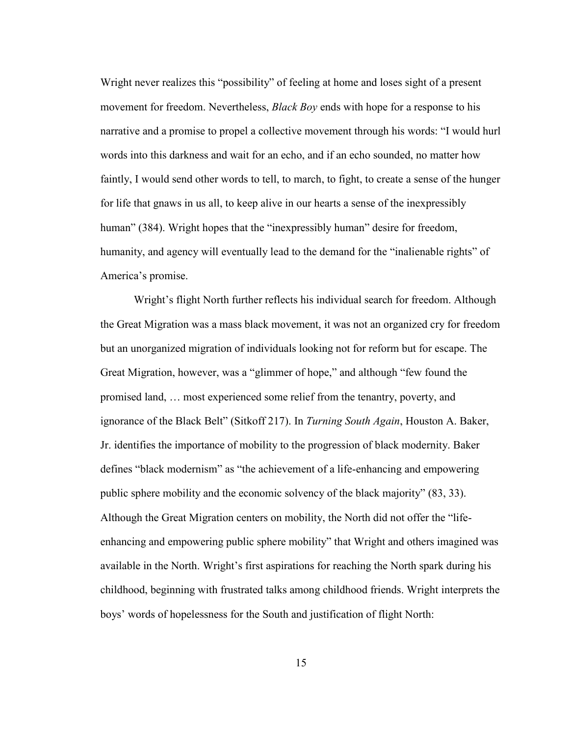Wright never realizes this "possibility" of feeling at home and loses sight of a present movement for freedom. Nevertheless, *Black Boy* ends with hope for a response to his narrative and a promise to propel a collective movement through his words: "I would hurl words into this darkness and wait for an echo, and if an echo sounded, no matter how faintly, I would send other words to tell, to march, to fight, to create a sense of the hunger for life that gnaws in us all, to keep alive in our hearts a sense of the inexpressibly human" (384). Wright hopes that the "inexpressibly human" desire for freedom, humanity, and agency will eventually lead to the demand for the "inalienable rights" of America's promise.

Wright's flight North further reflects his individual search for freedom. Although the Great Migration was a mass black movement, it was not an organized cry for freedom but an unorganized migration of individuals looking not for reform but for escape. The Great Migration, however, was a "glimmer of hope," and although "few found the promised land, … most experienced some relief from the tenantry, poverty, and ignorance of the Black Belt" (Sitkoff 217). In *Turning South Again*, Houston A. Baker, Jr. identifies the importance of mobility to the progression of black modernity. Baker defines "black modernism" as "the achievement of a life-enhancing and empowering public sphere mobility and the economic solvency of the black majority" (83, 33). Although the Great Migration centers on mobility, the North did not offer the "lifeenhancing and empowering public sphere mobility" that Wright and others imagined was available in the North. Wright's first aspirations for reaching the North spark during his childhood, beginning with frustrated talks among childhood friends. Wright interprets the boys' words of hopelessness for the South and justification of flight North: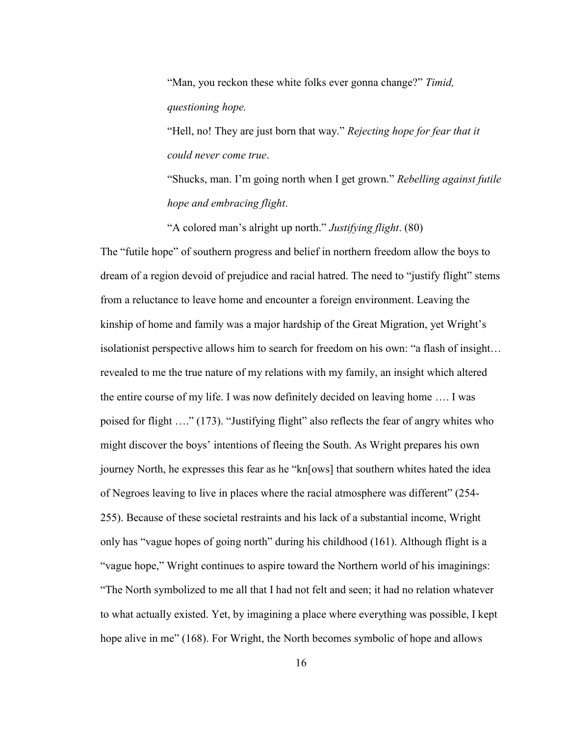"Man, you reckon these white folks ever gonna change?" *Timid, questioning hope.* 

"Hell, no! They are just born that way." *Rejecting hope for fear that it could never come true*.

"Shucks, man. I'm going north when I get grown." *Rebelling against futile hope and embracing flight*.

"A colored man's alright up north." *Justifying flight*. (80)

The "futile hope" of southern progress and belief in northern freedom allow the boys to dream of a region devoid of prejudice and racial hatred. The need to "justify flight" stems from a reluctance to leave home and encounter a foreign environment. Leaving the kinship of home and family was a major hardship of the Great Migration, yet Wright's isolationist perspective allows him to search for freedom on his own: "a flash of insight… revealed to me the true nature of my relations with my family, an insight which altered the entire course of my life. I was now definitely decided on leaving home …. I was poised for flight …." (173). "Justifying flight" also reflects the fear of angry whites who might discover the boys' intentions of fleeing the South. As Wright prepares his own journey North, he expresses this fear as he "kn[ows] that southern whites hated the idea of Negroes leaving to live in places where the racial atmosphere was different" (254- 255). Because of these societal restraints and his lack of a substantial income, Wright only has "vague hopes of going north" during his childhood (161). Although flight is a "vague hope," Wright continues to aspire toward the Northern world of his imaginings: "The North symbolized to me all that I had not felt and seen; it had no relation whatever to what actually existed. Yet, by imagining a place where everything was possible, I kept hope alive in me" (168). For Wright, the North becomes symbolic of hope and allows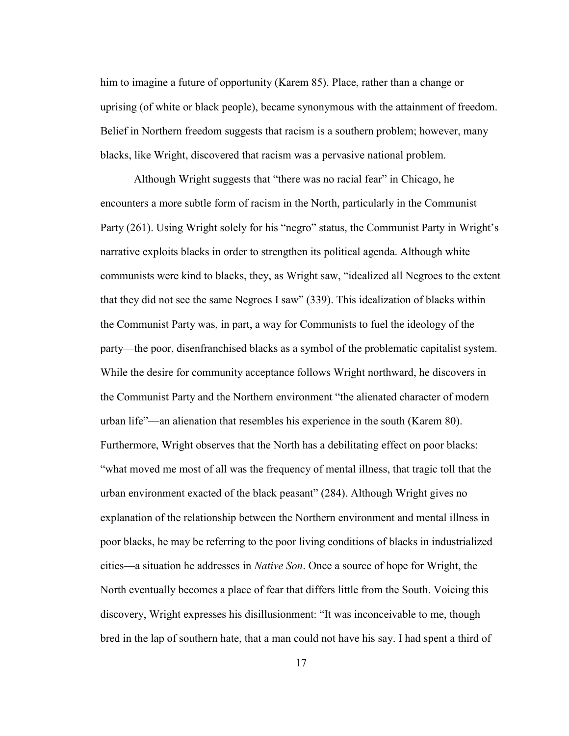him to imagine a future of opportunity (Karem 85). Place, rather than a change or uprising (of white or black people), became synonymous with the attainment of freedom. Belief in Northern freedom suggests that racism is a southern problem; however, many blacks, like Wright, discovered that racism was a pervasive national problem.

Although Wright suggests that "there was no racial fear" in Chicago, he encounters a more subtle form of racism in the North, particularly in the Communist Party (261). Using Wright solely for his "negro" status, the Communist Party in Wright's narrative exploits blacks in order to strengthen its political agenda. Although white communists were kind to blacks, they, as Wright saw, "idealized all Negroes to the extent that they did not see the same Negroes I saw" (339). This idealization of blacks within the Communist Party was, in part, a way for Communists to fuel the ideology of the party—the poor, disenfranchised blacks as a symbol of the problematic capitalist system. While the desire for community acceptance follows Wright northward, he discovers in the Communist Party and the Northern environment "the alienated character of modern urban life"—an alienation that resembles his experience in the south (Karem 80). Furthermore, Wright observes that the North has a debilitating effect on poor blacks: "what moved me most of all was the frequency of mental illness, that tragic toll that the urban environment exacted of the black peasant" (284). Although Wright gives no explanation of the relationship between the Northern environment and mental illness in poor blacks, he may be referring to the poor living conditions of blacks in industrialized cities—a situation he addresses in *Native Son*. Once a source of hope for Wright, the North eventually becomes a place of fear that differs little from the South. Voicing this discovery, Wright expresses his disillusionment: "It was inconceivable to me, though bred in the lap of southern hate, that a man could not have his say. I had spent a third of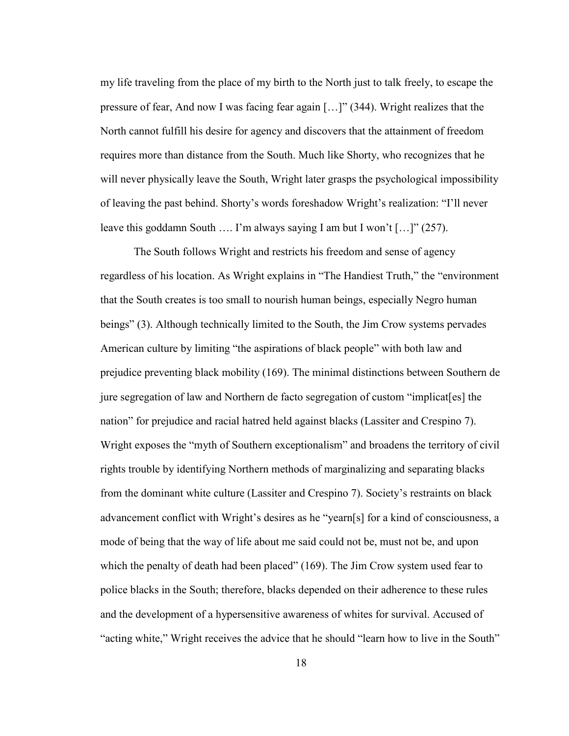my life traveling from the place of my birth to the North just to talk freely, to escape the pressure of fear, And now I was facing fear again […]" (344). Wright realizes that the North cannot fulfill his desire for agency and discovers that the attainment of freedom requires more than distance from the South. Much like Shorty, who recognizes that he will never physically leave the South, Wright later grasps the psychological impossibility of leaving the past behind. Shorty's words foreshadow Wright's realization: "I'll never leave this goddamn South …. I'm always saying I am but I won't […]" (257).

The South follows Wright and restricts his freedom and sense of agency regardless of his location. As Wright explains in "The Handiest Truth," the "environment that the South creates is too small to nourish human beings, especially Negro human beings" (3). Although technically limited to the South, the Jim Crow systems pervades American culture by limiting "the aspirations of black people" with both law and prejudice preventing black mobility (169). The minimal distinctions between Southern de jure segregation of law and Northern de facto segregation of custom "implicat[es] the nation" for prejudice and racial hatred held against blacks (Lassiter and Crespino 7). Wright exposes the "myth of Southern exceptionalism" and broadens the territory of civil rights trouble by identifying Northern methods of marginalizing and separating blacks from the dominant white culture (Lassiter and Crespino 7). Society's restraints on black advancement conflict with Wright's desires as he "yearn[s] for a kind of consciousness, a mode of being that the way of life about me said could not be, must not be, and upon which the penalty of death had been placed" (169). The Jim Crow system used fear to police blacks in the South; therefore, blacks depended on their adherence to these rules and the development of a hypersensitive awareness of whites for survival. Accused of "acting white," Wright receives the advice that he should "learn how to live in the South"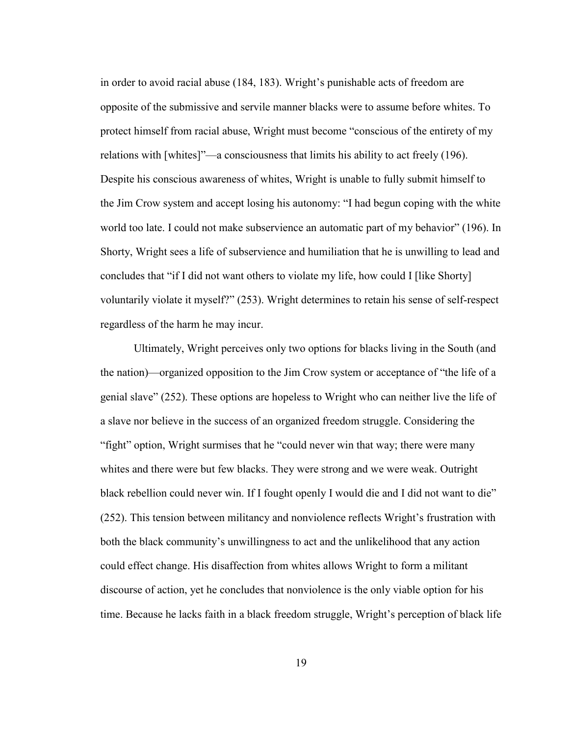in order to avoid racial abuse (184, 183). Wright's punishable acts of freedom are opposite of the submissive and servile manner blacks were to assume before whites. To protect himself from racial abuse, Wright must become "conscious of the entirety of my relations with [whites]"—a consciousness that limits his ability to act freely (196). Despite his conscious awareness of whites, Wright is unable to fully submit himself to the Jim Crow system and accept losing his autonomy: "I had begun coping with the white world too late. I could not make subservience an automatic part of my behavior" (196). In Shorty, Wright sees a life of subservience and humiliation that he is unwilling to lead and concludes that "if I did not want others to violate my life, how could I [like Shorty] voluntarily violate it myself?" (253). Wright determines to retain his sense of self-respect regardless of the harm he may incur.

Ultimately, Wright perceives only two options for blacks living in the South (and the nation)—organized opposition to the Jim Crow system or acceptance of "the life of a genial slave" (252). These options are hopeless to Wright who can neither live the life of a slave nor believe in the success of an organized freedom struggle. Considering the "fight" option, Wright surmises that he "could never win that way; there were many whites and there were but few blacks. They were strong and we were weak. Outright black rebellion could never win. If I fought openly I would die and I did not want to die" (252). This tension between militancy and nonviolence reflects Wright's frustration with both the black community's unwillingness to act and the unlikelihood that any action could effect change. His disaffection from whites allows Wright to form a militant discourse of action, yet he concludes that nonviolence is the only viable option for his time. Because he lacks faith in a black freedom struggle, Wright's perception of black life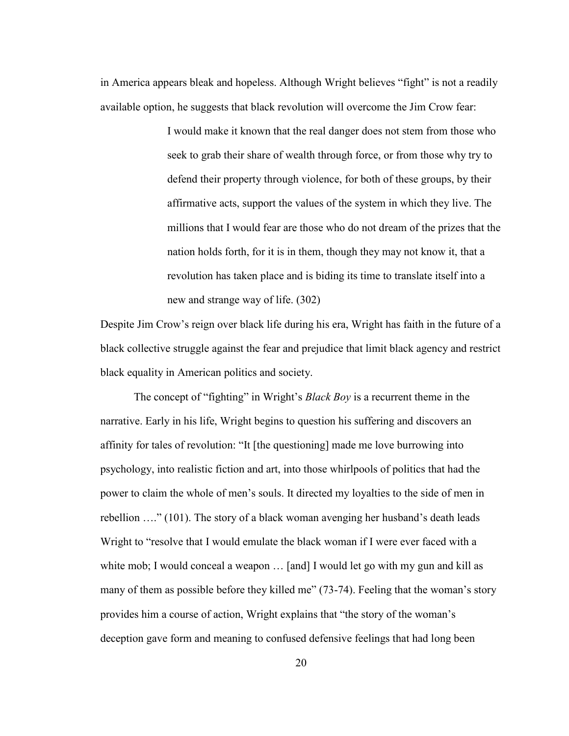in America appears bleak and hopeless. Although Wright believes "fight" is not a readily available option, he suggests that black revolution will overcome the Jim Crow fear:

> I would make it known that the real danger does not stem from those who seek to grab their share of wealth through force, or from those why try to defend their property through violence, for both of these groups, by their affirmative acts, support the values of the system in which they live. The millions that I would fear are those who do not dream of the prizes that the nation holds forth, for it is in them, though they may not know it, that a revolution has taken place and is biding its time to translate itself into a new and strange way of life. (302)

Despite Jim Crow's reign over black life during his era, Wright has faith in the future of a black collective struggle against the fear and prejudice that limit black agency and restrict black equality in American politics and society.

The concept of "fighting" in Wright's *Black Boy* is a recurrent theme in the narrative. Early in his life, Wright begins to question his suffering and discovers an affinity for tales of revolution: "It [the questioning] made me love burrowing into psychology, into realistic fiction and art, into those whirlpools of politics that had the power to claim the whole of men's souls. It directed my loyalties to the side of men in rebellion …." (101). The story of a black woman avenging her husband's death leads Wright to "resolve that I would emulate the black woman if I were ever faced with a white mob; I would conceal a weapon ... [and] I would let go with my gun and kill as many of them as possible before they killed me" (73-74). Feeling that the woman's story provides him a course of action, Wright explains that "the story of the woman's deception gave form and meaning to confused defensive feelings that had long been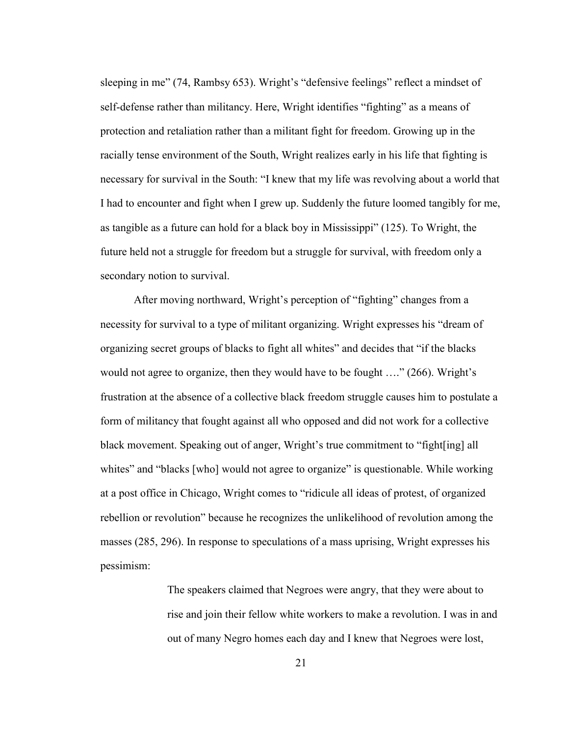sleeping in me" (74, Rambsy 653). Wright's "defensive feelings" reflect a mindset of self-defense rather than militancy. Here, Wright identifies "fighting" as a means of protection and retaliation rather than a militant fight for freedom. Growing up in the racially tense environment of the South, Wright realizes early in his life that fighting is necessary for survival in the South: "I knew that my life was revolving about a world that I had to encounter and fight when I grew up. Suddenly the future loomed tangibly for me, as tangible as a future can hold for a black boy in Mississippi" (125). To Wright, the future held not a struggle for freedom but a struggle for survival, with freedom only a secondary notion to survival.

After moving northward, Wright's perception of "fighting" changes from a necessity for survival to a type of militant organizing. Wright expresses his "dream of organizing secret groups of blacks to fight all whites" and decides that "if the blacks would not agree to organize, then they would have to be fought ...." (266). Wright's frustration at the absence of a collective black freedom struggle causes him to postulate a form of militancy that fought against all who opposed and did not work for a collective black movement. Speaking out of anger, Wright's true commitment to "fight[ing] all whites" and "blacks [who] would not agree to organize" is questionable. While working at a post office in Chicago, Wright comes to "ridicule all ideas of protest, of organized rebellion or revolution" because he recognizes the unlikelihood of revolution among the masses (285, 296). In response to speculations of a mass uprising, Wright expresses his pessimism:

> The speakers claimed that Negroes were angry, that they were about to rise and join their fellow white workers to make a revolution. I was in and out of many Negro homes each day and I knew that Negroes were lost,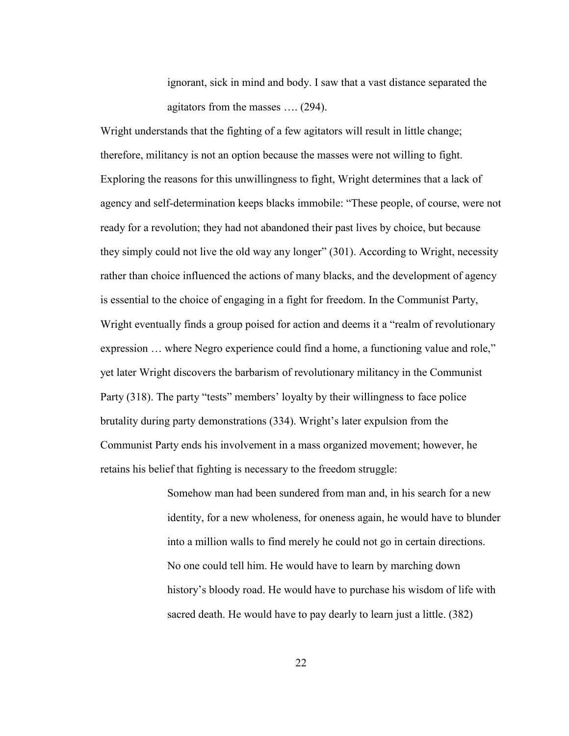ignorant, sick in mind and body. I saw that a vast distance separated the agitators from the masses …. (294).

Wright understands that the fighting of a few agitators will result in little change; therefore, militancy is not an option because the masses were not willing to fight. Exploring the reasons for this unwillingness to fight, Wright determines that a lack of agency and self-determination keeps blacks immobile: "These people, of course, were not ready for a revolution; they had not abandoned their past lives by choice, but because they simply could not live the old way any longer" (301). According to Wright, necessity rather than choice influenced the actions of many blacks, and the development of agency is essential to the choice of engaging in a fight for freedom. In the Communist Party, Wright eventually finds a group poised for action and deems it a "realm of revolutionary expression … where Negro experience could find a home, a functioning value and role," yet later Wright discovers the barbarism of revolutionary militancy in the Communist Party (318). The party "tests" members' loyalty by their willingness to face police brutality during party demonstrations (334). Wright's later expulsion from the Communist Party ends his involvement in a mass organized movement; however, he retains his belief that fighting is necessary to the freedom struggle:

> Somehow man had been sundered from man and, in his search for a new identity, for a new wholeness, for oneness again, he would have to blunder into a million walls to find merely he could not go in certain directions. No one could tell him. He would have to learn by marching down history's bloody road. He would have to purchase his wisdom of life with sacred death. He would have to pay dearly to learn just a little. (382)

> > 22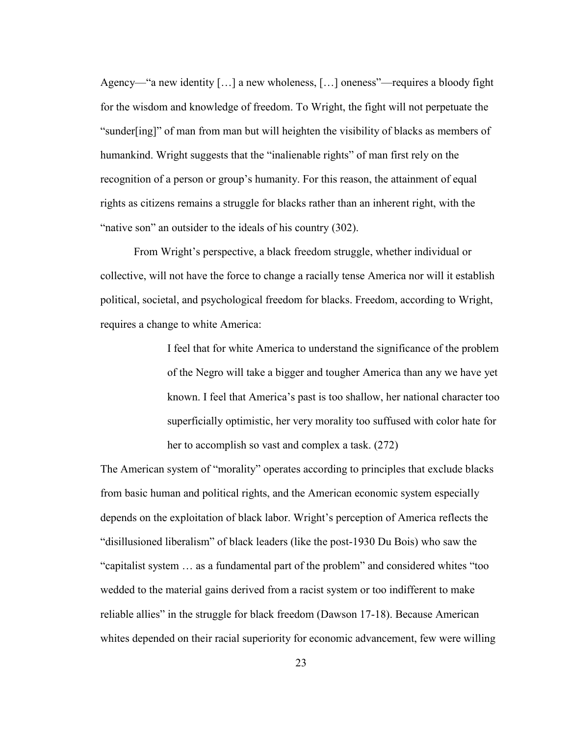Agency—"a new identity […] a new wholeness, […] oneness"—requires a bloody fight for the wisdom and knowledge of freedom. To Wright, the fight will not perpetuate the "sunder[ing]" of man from man but will heighten the visibility of blacks as members of humankind. Wright suggests that the "inalienable rights" of man first rely on the recognition of a person or group's humanity. For this reason, the attainment of equal rights as citizens remains a struggle for blacks rather than an inherent right, with the "native son" an outsider to the ideals of his country (302).

From Wright's perspective, a black freedom struggle, whether individual or collective, will not have the force to change a racially tense America nor will it establish political, societal, and psychological freedom for blacks. Freedom, according to Wright, requires a change to white America:

> I feel that for white America to understand the significance of the problem of the Negro will take a bigger and tougher America than any we have yet known. I feel that America's past is too shallow, her national character too superficially optimistic, her very morality too suffused with color hate for her to accomplish so vast and complex a task. (272)

The American system of "morality" operates according to principles that exclude blacks from basic human and political rights, and the American economic system especially depends on the exploitation of black labor. Wright's perception of America reflects the "disillusioned liberalism" of black leaders (like the post-1930 Du Bois) who saw the "capitalist system … as a fundamental part of the problem" and considered whites "too wedded to the material gains derived from a racist system or too indifferent to make reliable allies" in the struggle for black freedom (Dawson 17-18). Because American whites depended on their racial superiority for economic advancement, few were willing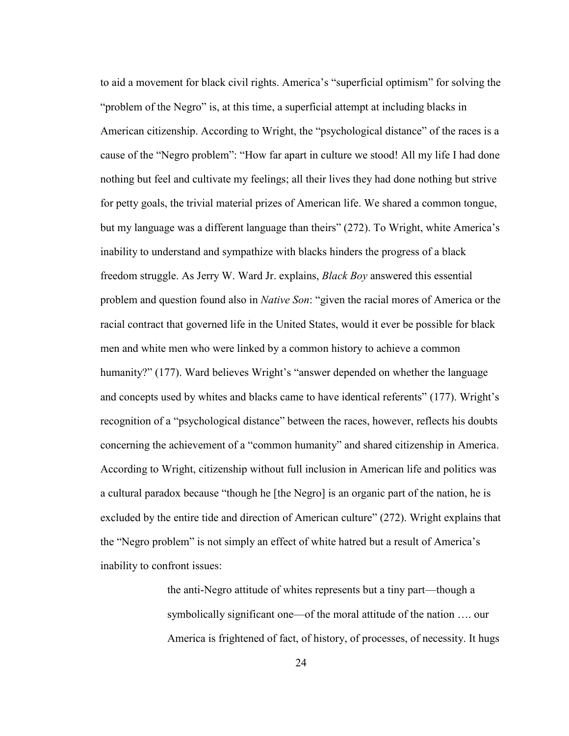to aid a movement for black civil rights. America's "superficial optimism" for solving the "problem of the Negro" is, at this time, a superficial attempt at including blacks in American citizenship. According to Wright, the "psychological distance" of the races is a cause of the "Negro problem": "How far apart in culture we stood! All my life I had done nothing but feel and cultivate my feelings; all their lives they had done nothing but strive for petty goals, the trivial material prizes of American life. We shared a common tongue, but my language was a different language than theirs" (272). To Wright, white America's inability to understand and sympathize with blacks hinders the progress of a black freedom struggle. As Jerry W. Ward Jr. explains, *Black Boy* answered this essential problem and question found also in *Native Son*: "given the racial mores of America or the racial contract that governed life in the United States, would it ever be possible for black men and white men who were linked by a common history to achieve a common humanity?" (177). Ward believes Wright's "answer depended on whether the language and concepts used by whites and blacks came to have identical referents" (177). Wright's recognition of a "psychological distance" between the races, however, reflects his doubts concerning the achievement of a "common humanity" and shared citizenship in America. According to Wright, citizenship without full inclusion in American life and politics was a cultural paradox because "though he [the Negro] is an organic part of the nation, he is excluded by the entire tide and direction of American culture" (272). Wright explains that the "Negro problem" is not simply an effect of white hatred but a result of America's inability to confront issues:

> the anti-Negro attitude of whites represents but a tiny part—though a symbolically significant one—of the moral attitude of the nation …. our America is frightened of fact, of history, of processes, of necessity. It hugs

> > 24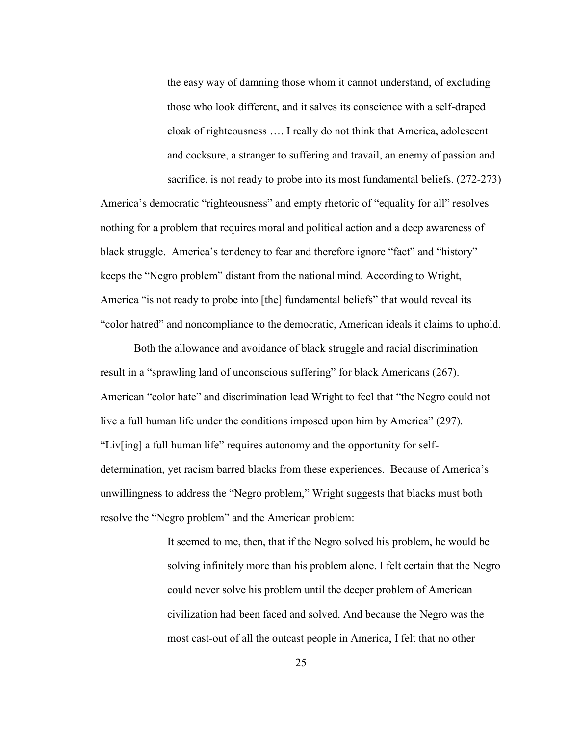the easy way of damning those whom it cannot understand, of excluding those who look different, and it salves its conscience with a self-draped cloak of righteousness …. I really do not think that America, adolescent and cocksure, a stranger to suffering and travail, an enemy of passion and sacrifice, is not ready to probe into its most fundamental beliefs. (272-273)

America's democratic "righteousness" and empty rhetoric of "equality for all" resolves nothing for a problem that requires moral and political action and a deep awareness of black struggle. America's tendency to fear and therefore ignore "fact" and "history" keeps the "Negro problem" distant from the national mind. According to Wright, America "is not ready to probe into [the] fundamental beliefs" that would reveal its "color hatred" and noncompliance to the democratic, American ideals it claims to uphold.

Both the allowance and avoidance of black struggle and racial discrimination result in a "sprawling land of unconscious suffering" for black Americans (267). American "color hate" and discrimination lead Wright to feel that "the Negro could not live a full human life under the conditions imposed upon him by America" (297). "Liv[ing] a full human life" requires autonomy and the opportunity for selfdetermination, yet racism barred blacks from these experiences. Because of America's unwillingness to address the "Negro problem," Wright suggests that blacks must both resolve the "Negro problem" and the American problem:

> It seemed to me, then, that if the Negro solved his problem, he would be solving infinitely more than his problem alone. I felt certain that the Negro could never solve his problem until the deeper problem of American civilization had been faced and solved. And because the Negro was the most cast-out of all the outcast people in America, I felt that no other

> > 25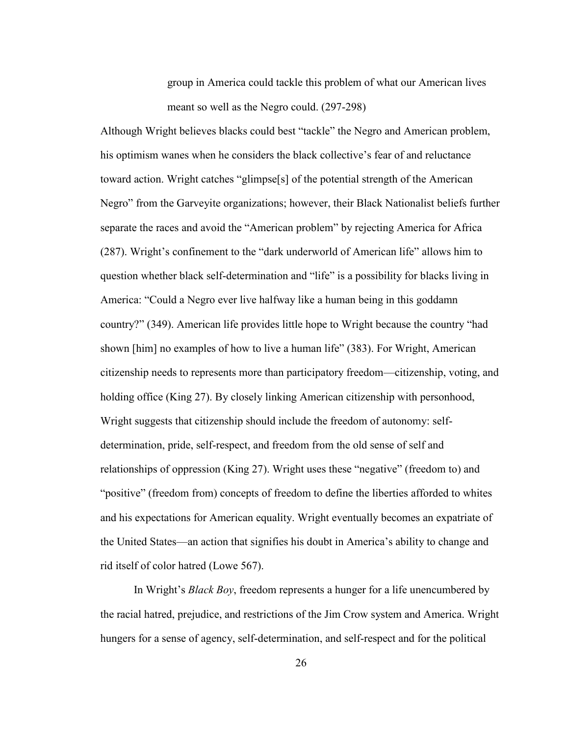group in America could tackle this problem of what our American lives meant so well as the Negro could. (297-298)

Although Wright believes blacks could best "tackle" the Negro and American problem, his optimism wanes when he considers the black collective's fear of and reluctance toward action. Wright catches "glimpse[s] of the potential strength of the American Negro" from the Garveyite organizations; however, their Black Nationalist beliefs further separate the races and avoid the "American problem" by rejecting America for Africa (287). Wright's confinement to the "dark underworld of American life" allows him to question whether black self-determination and "life" is a possibility for blacks living in America: "Could a Negro ever live halfway like a human being in this goddamn country?" (349). American life provides little hope to Wright because the country "had shown [him] no examples of how to live a human life" (383). For Wright, American citizenship needs to represents more than participatory freedom—citizenship, voting, and holding office (King 27). By closely linking American citizenship with personhood, Wright suggests that citizenship should include the freedom of autonomy: selfdetermination, pride, self-respect, and freedom from the old sense of self and relationships of oppression (King 27). Wright uses these "negative" (freedom to) and "positive" (freedom from) concepts of freedom to define the liberties afforded to whites and his expectations for American equality. Wright eventually becomes an expatriate of the United States—an action that signifies his doubt in America's ability to change and rid itself of color hatred (Lowe 567).

In Wright's *Black Boy*, freedom represents a hunger for a life unencumbered by the racial hatred, prejudice, and restrictions of the Jim Crow system and America. Wright hungers for a sense of agency, self-determination, and self-respect and for the political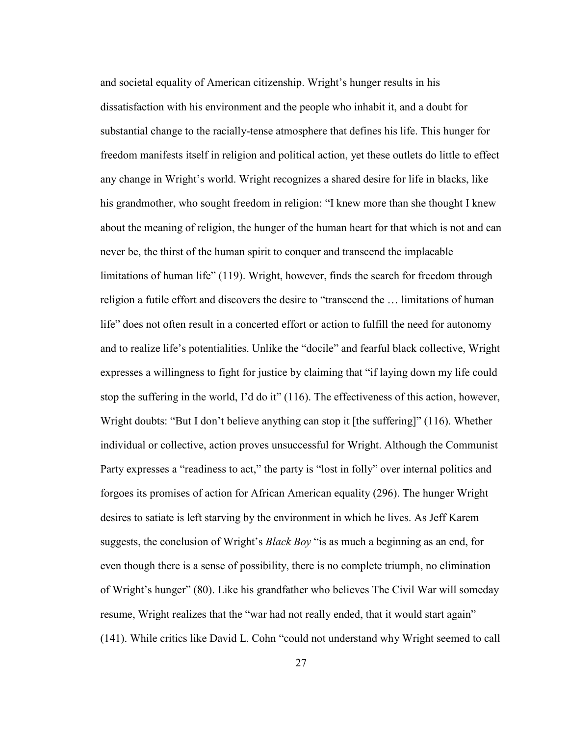and societal equality of American citizenship. Wright's hunger results in his dissatisfaction with his environment and the people who inhabit it, and a doubt for substantial change to the racially-tense atmosphere that defines his life. This hunger for freedom manifests itself in religion and political action, yet these outlets do little to effect any change in Wright's world. Wright recognizes a shared desire for life in blacks, like his grandmother, who sought freedom in religion: "I knew more than she thought I knew about the meaning of religion, the hunger of the human heart for that which is not and can never be, the thirst of the human spirit to conquer and transcend the implacable limitations of human life" (119). Wright, however, finds the search for freedom through religion a futile effort and discovers the desire to "transcend the … limitations of human life" does not often result in a concerted effort or action to fulfill the need for autonomy and to realize life's potentialities. Unlike the "docile" and fearful black collective, Wright expresses a willingness to fight for justice by claiming that "if laying down my life could stop the suffering in the world, I'd do it" (116). The effectiveness of this action, however, Wright doubts: "But I don't believe anything can stop it [the suffering]" (116). Whether individual or collective, action proves unsuccessful for Wright. Although the Communist Party expresses a "readiness to act," the party is "lost in folly" over internal politics and forgoes its promises of action for African American equality (296). The hunger Wright desires to satiate is left starving by the environment in which he lives. As Jeff Karem suggests, the conclusion of Wright's *Black Boy* "is as much a beginning as an end, for even though there is a sense of possibility, there is no complete triumph, no elimination of Wright's hunger" (80). Like his grandfather who believes The Civil War will someday resume, Wright realizes that the "war had not really ended, that it would start again" (141). While critics like David L. Cohn "could not understand why Wright seemed to call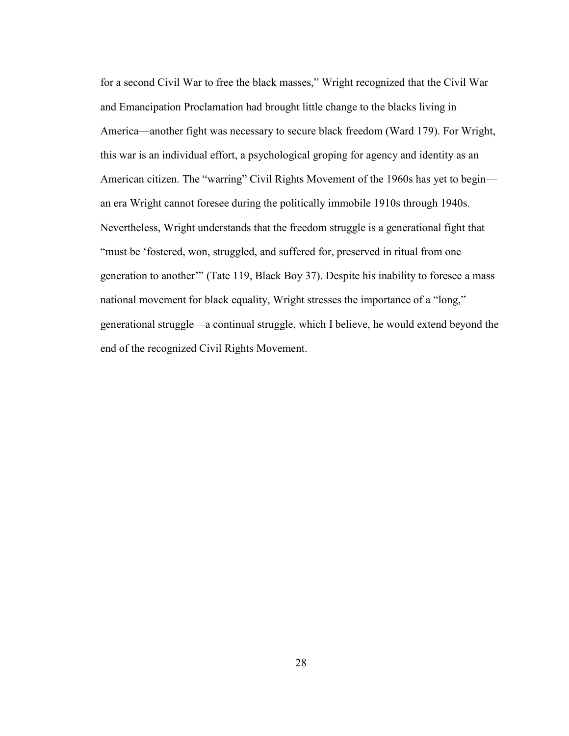for a second Civil War to free the black masses," Wright recognized that the Civil War and Emancipation Proclamation had brought little change to the blacks living in America—another fight was necessary to secure black freedom (Ward 179). For Wright, this war is an individual effort, a psychological groping for agency and identity as an American citizen. The "warring" Civil Rights Movement of the 1960s has yet to begin an era Wright cannot foresee during the politically immobile 1910s through 1940s. Nevertheless, Wright understands that the freedom struggle is a generational fight that "must be 'fostered, won, struggled, and suffered for, preserved in ritual from one generation to another'" (Tate 119, Black Boy 37). Despite his inability to foresee a mass national movement for black equality, Wright stresses the importance of a "long," generational struggle—a continual struggle, which I believe, he would extend beyond the end of the recognized Civil Rights Movement.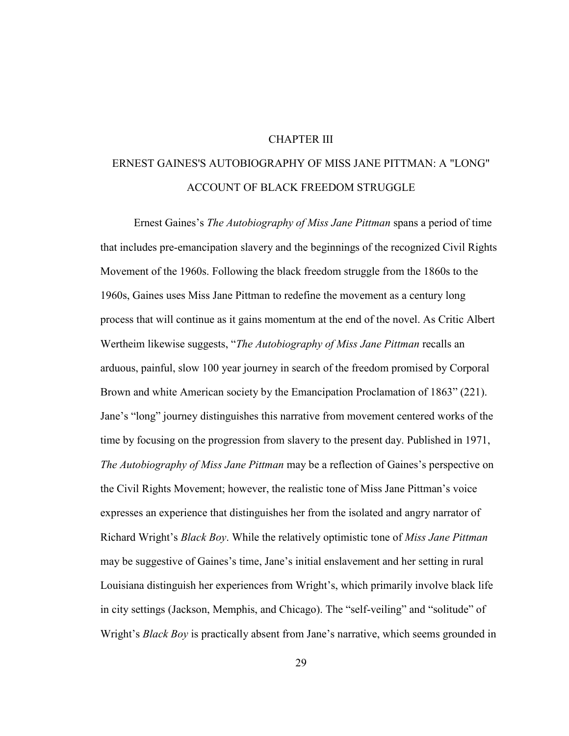## CHAPTER III

## ERNEST GAINES'S AUTOBIOGRAPHY OF MISS JANE PITTMAN: A "LONG" ACCOUNT OF BLACK FREEDOM STRUGGLE

Ernest Gaines's *The Autobiography of Miss Jane Pittman* spans a period of time that includes pre-emancipation slavery and the beginnings of the recognized Civil Rights Movement of the 1960s. Following the black freedom struggle from the 1860s to the 1960s, Gaines uses Miss Jane Pittman to redefine the movement as a century long process that will continue as it gains momentum at the end of the novel. As Critic Albert Wertheim likewise suggests, "*The Autobiography of Miss Jane Pittman* recalls an arduous, painful, slow 100 year journey in search of the freedom promised by Corporal Brown and white American society by the Emancipation Proclamation of 1863" (221). Jane's "long" journey distinguishes this narrative from movement centered works of the time by focusing on the progression from slavery to the present day. Published in 1971, *The Autobiography of Miss Jane Pittman* may be a reflection of Gaines's perspective on the Civil Rights Movement; however, the realistic tone of Miss Jane Pittman's voice expresses an experience that distinguishes her from the isolated and angry narrator of Richard Wright's *Black Boy*. While the relatively optimistic tone of *Miss Jane Pittman* may be suggestive of Gaines's time, Jane's initial enslavement and her setting in rural Louisiana distinguish her experiences from Wright's, which primarily involve black life in city settings (Jackson, Memphis, and Chicago). The "self-veiling" and "solitude" of Wright's *Black Boy* is practically absent from Jane's narrative, which seems grounded in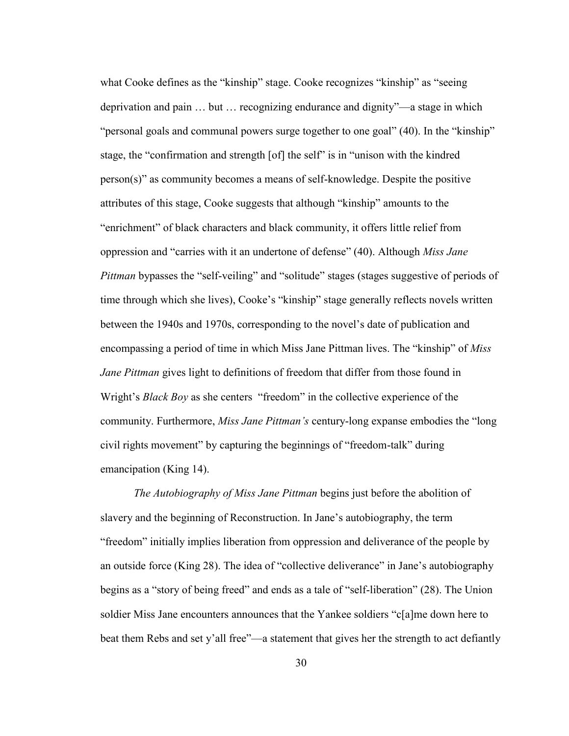what Cooke defines as the "kinship" stage. Cooke recognizes "kinship" as "seeing deprivation and pain … but … recognizing endurance and dignity"—a stage in which "personal goals and communal powers surge together to one goal" (40). In the "kinship" stage, the "confirmation and strength [of] the self" is in "unison with the kindred person(s)" as community becomes a means of self-knowledge. Despite the positive attributes of this stage, Cooke suggests that although "kinship" amounts to the "enrichment" of black characters and black community, it offers little relief from oppression and "carries with it an undertone of defense" (40). Although *Miss Jane Pittman* bypasses the "self-veiling" and "solitude" stages (stages suggestive of periods of time through which she lives), Cooke's "kinship" stage generally reflects novels written between the 1940s and 1970s, corresponding to the novel's date of publication and encompassing a period of time in which Miss Jane Pittman lives. The "kinship" of *Miss Jane Pittman* gives light to definitions of freedom that differ from those found in Wright's *Black Boy* as she centers "freedom" in the collective experience of the community. Furthermore, *Miss Jane Pittman's* century-long expanse embodies the "long civil rights movement" by capturing the beginnings of "freedom-talk" during emancipation (King 14).

*The Autobiography of Miss Jane Pittman* begins just before the abolition of slavery and the beginning of Reconstruction. In Jane's autobiography, the term "freedom" initially implies liberation from oppression and deliverance of the people by an outside force (King 28). The idea of "collective deliverance" in Jane's autobiography begins as a "story of being freed" and ends as a tale of "self-liberation" (28). The Union soldier Miss Jane encounters announces that the Yankee soldiers "c[a]me down here to beat them Rebs and set y'all free"—a statement that gives her the strength to act defiantly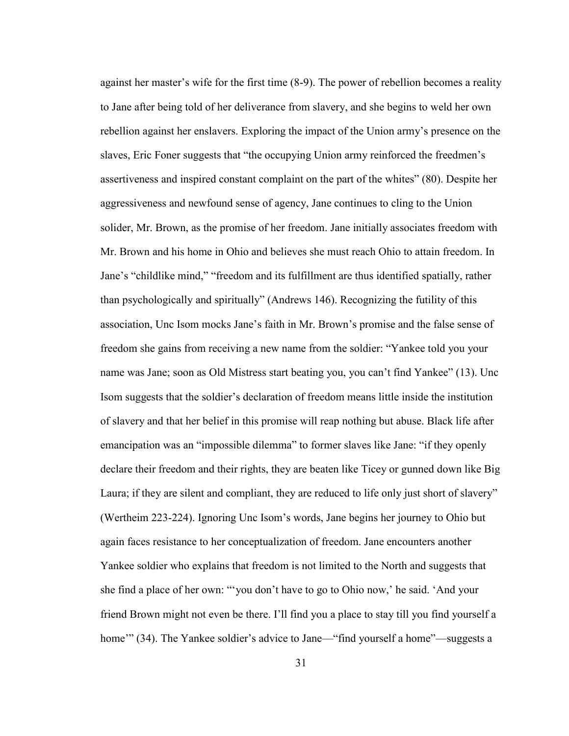against her master's wife for the first time (8-9). The power of rebellion becomes a reality to Jane after being told of her deliverance from slavery, and she begins to weld her own rebellion against her enslavers. Exploring the impact of the Union army's presence on the slaves, Eric Foner suggests that "the occupying Union army reinforced the freedmen's assertiveness and inspired constant complaint on the part of the whites" (80). Despite her aggressiveness and newfound sense of agency, Jane continues to cling to the Union solider, Mr. Brown, as the promise of her freedom. Jane initially associates freedom with Mr. Brown and his home in Ohio and believes she must reach Ohio to attain freedom. In Jane's "childlike mind," "freedom and its fulfillment are thus identified spatially, rather than psychologically and spiritually" (Andrews 146). Recognizing the futility of this association, Unc Isom mocks Jane's faith in Mr. Brown's promise and the false sense of freedom she gains from receiving a new name from the soldier: "Yankee told you your name was Jane; soon as Old Mistress start beating you, you can't find Yankee" (13). Unc Isom suggests that the soldier's declaration of freedom means little inside the institution of slavery and that her belief in this promise will reap nothing but abuse. Black life after emancipation was an "impossible dilemma" to former slaves like Jane: "if they openly declare their freedom and their rights, they are beaten like Ticey or gunned down like Big Laura; if they are silent and compliant, they are reduced to life only just short of slavery" (Wertheim 223-224). Ignoring Unc Isom's words, Jane begins her journey to Ohio but again faces resistance to her conceptualization of freedom. Jane encounters another Yankee soldier who explains that freedom is not limited to the North and suggests that she find a place of her own: "'you don't have to go to Ohio now,' he said. 'And your friend Brown might not even be there. I'll find you a place to stay till you find yourself a home" (34). The Yankee soldier's advice to Jane—"find yourself a home"—suggests a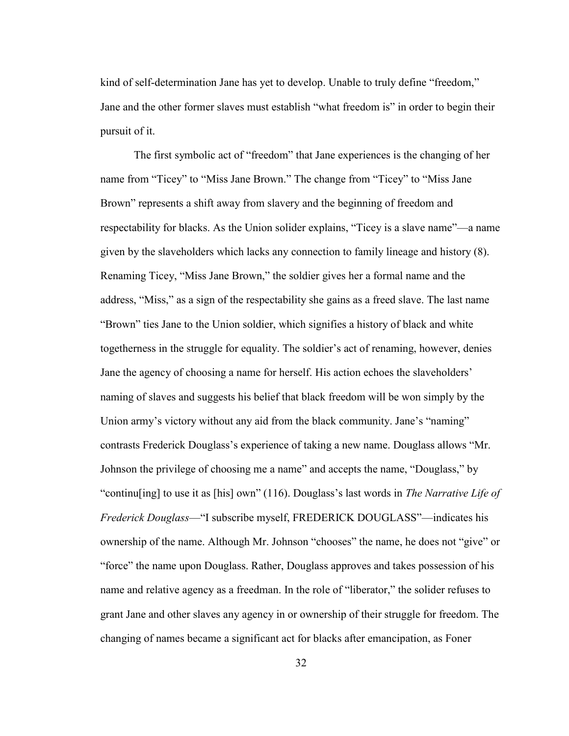kind of self-determination Jane has yet to develop. Unable to truly define "freedom," Jane and the other former slaves must establish "what freedom is" in order to begin their pursuit of it.

The first symbolic act of "freedom" that Jane experiences is the changing of her name from "Ticey" to "Miss Jane Brown." The change from "Ticey" to "Miss Jane Brown" represents a shift away from slavery and the beginning of freedom and respectability for blacks. As the Union solider explains, "Ticey is a slave name"—a name given by the slaveholders which lacks any connection to family lineage and history (8). Renaming Ticey, "Miss Jane Brown," the soldier gives her a formal name and the address, "Miss," as a sign of the respectability she gains as a freed slave. The last name "Brown" ties Jane to the Union soldier, which signifies a history of black and white togetherness in the struggle for equality. The soldier's act of renaming, however, denies Jane the agency of choosing a name for herself. His action echoes the slaveholders' naming of slaves and suggests his belief that black freedom will be won simply by the Union army's victory without any aid from the black community. Jane's "naming" contrasts Frederick Douglass's experience of taking a new name. Douglass allows "Mr. Johnson the privilege of choosing me a name" and accepts the name, "Douglass," by "continu[ing] to use it as [his] own" (116). Douglass's last words in *The Narrative Life of Frederick Douglass*—"I subscribe myself, FREDERICK DOUGLASS"—indicates his ownership of the name. Although Mr. Johnson "chooses" the name, he does not "give" or "force" the name upon Douglass. Rather, Douglass approves and takes possession of his name and relative agency as a freedman. In the role of "liberator," the solider refuses to grant Jane and other slaves any agency in or ownership of their struggle for freedom. The changing of names became a significant act for blacks after emancipation, as Foner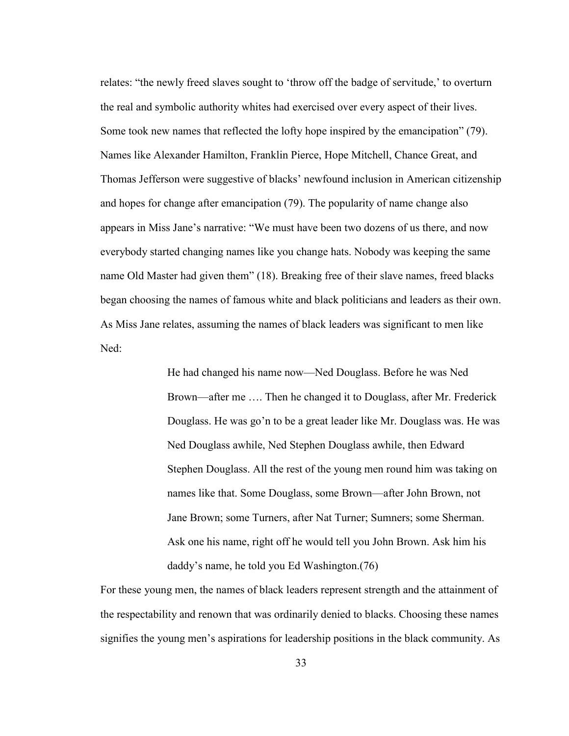relates: "the newly freed slaves sought to 'throw off the badge of servitude,' to overturn the real and symbolic authority whites had exercised over every aspect of their lives. Some took new names that reflected the lofty hope inspired by the emancipation" (79). Names like Alexander Hamilton, Franklin Pierce, Hope Mitchell, Chance Great, and Thomas Jefferson were suggestive of blacks' newfound inclusion in American citizenship and hopes for change after emancipation (79). The popularity of name change also appears in Miss Jane's narrative: "We must have been two dozens of us there, and now everybody started changing names like you change hats. Nobody was keeping the same name Old Master had given them" (18). Breaking free of their slave names, freed blacks began choosing the names of famous white and black politicians and leaders as their own. As Miss Jane relates, assuming the names of black leaders was significant to men like Ned:

> He had changed his name now—Ned Douglass. Before he was Ned Brown—after me …. Then he changed it to Douglass, after Mr. Frederick Douglass. He was go'n to be a great leader like Mr. Douglass was. He was Ned Douglass awhile, Ned Stephen Douglass awhile, then Edward Stephen Douglass. All the rest of the young men round him was taking on names like that. Some Douglass, some Brown—after John Brown, not Jane Brown; some Turners, after Nat Turner; Sumners; some Sherman. Ask one his name, right off he would tell you John Brown. Ask him his daddy's name, he told you Ed Washington.(76)

For these young men, the names of black leaders represent strength and the attainment of the respectability and renown that was ordinarily denied to blacks. Choosing these names signifies the young men's aspirations for leadership positions in the black community. As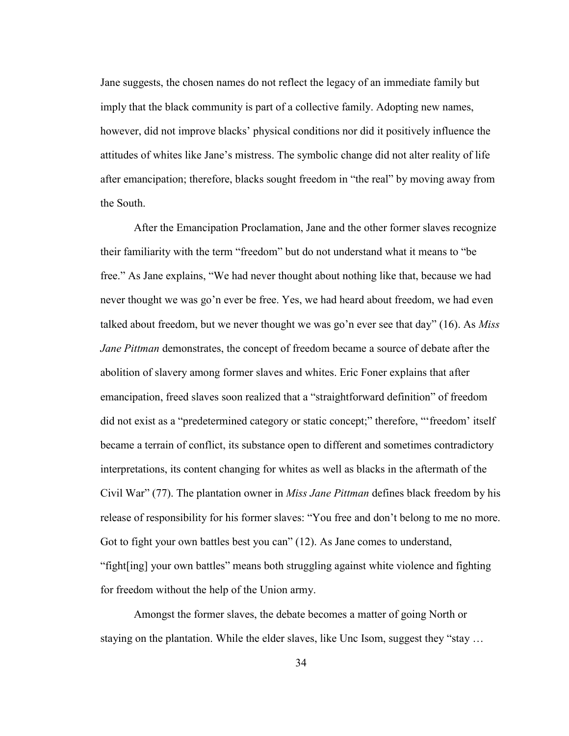Jane suggests, the chosen names do not reflect the legacy of an immediate family but imply that the black community is part of a collective family. Adopting new names, however, did not improve blacks' physical conditions nor did it positively influence the attitudes of whites like Jane's mistress. The symbolic change did not alter reality of life after emancipation; therefore, blacks sought freedom in "the real" by moving away from the South.

After the Emancipation Proclamation, Jane and the other former slaves recognize their familiarity with the term "freedom" but do not understand what it means to "be free." As Jane explains, "We had never thought about nothing like that, because we had never thought we was go'n ever be free. Yes, we had heard about freedom, we had even talked about freedom, but we never thought we was go'n ever see that day" (16). As *Miss Jane Pittman* demonstrates, the concept of freedom became a source of debate after the abolition of slavery among former slaves and whites. Eric Foner explains that after emancipation, freed slaves soon realized that a "straightforward definition" of freedom did not exist as a "predetermined category or static concept;" therefore, "'freedom' itself became a terrain of conflict, its substance open to different and sometimes contradictory interpretations, its content changing for whites as well as blacks in the aftermath of the Civil War" (77). The plantation owner in *Miss Jane Pittman* defines black freedom by his release of responsibility for his former slaves: "You free and don't belong to me no more. Got to fight your own battles best you can" (12). As Jane comes to understand, "fight[ing] your own battles" means both struggling against white violence and fighting for freedom without the help of the Union army.

Amongst the former slaves, the debate becomes a matter of going North or staying on the plantation. While the elder slaves, like Unc Isom, suggest they "stay …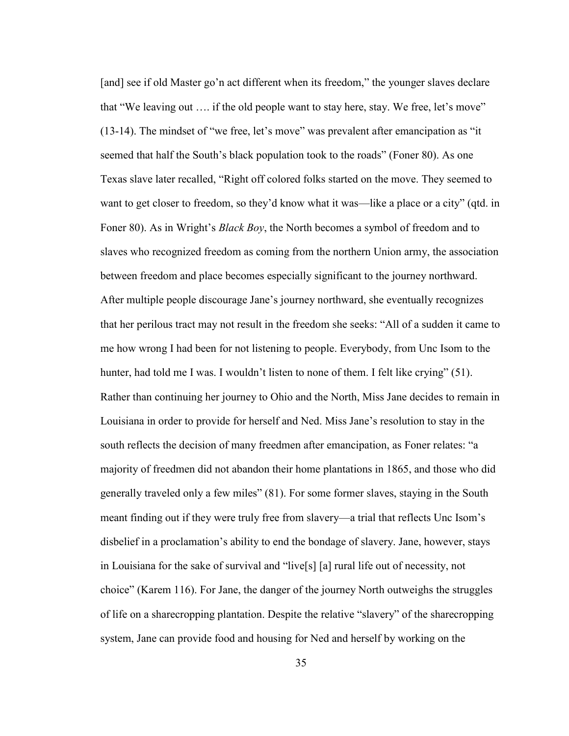[and] see if old Master go'n act different when its freedom," the younger slaves declare that "We leaving out …. if the old people want to stay here, stay. We free, let's move" (13-14). The mindset of "we free, let's move" was prevalent after emancipation as "it seemed that half the South's black population took to the roads" (Foner 80). As one Texas slave later recalled, "Right off colored folks started on the move. They seemed to want to get closer to freedom, so they'd know what it was—like a place or a city" (qtd. in Foner 80). As in Wright's *Black Boy*, the North becomes a symbol of freedom and to slaves who recognized freedom as coming from the northern Union army, the association between freedom and place becomes especially significant to the journey northward. After multiple people discourage Jane's journey northward, she eventually recognizes that her perilous tract may not result in the freedom she seeks: "All of a sudden it came to me how wrong I had been for not listening to people. Everybody, from Unc Isom to the hunter, had told me I was. I wouldn't listen to none of them. I felt like crying" (51). Rather than continuing her journey to Ohio and the North, Miss Jane decides to remain in Louisiana in order to provide for herself and Ned. Miss Jane's resolution to stay in the south reflects the decision of many freedmen after emancipation, as Foner relates: "a majority of freedmen did not abandon their home plantations in 1865, and those who did generally traveled only a few miles" (81). For some former slaves, staying in the South meant finding out if they were truly free from slavery—a trial that reflects Unc Isom's disbelief in a proclamation's ability to end the bondage of slavery. Jane, however, stays in Louisiana for the sake of survival and "live[s] [a] rural life out of necessity, not choice" (Karem 116). For Jane, the danger of the journey North outweighs the struggles of life on a sharecropping plantation. Despite the relative "slavery" of the sharecropping system, Jane can provide food and housing for Ned and herself by working on the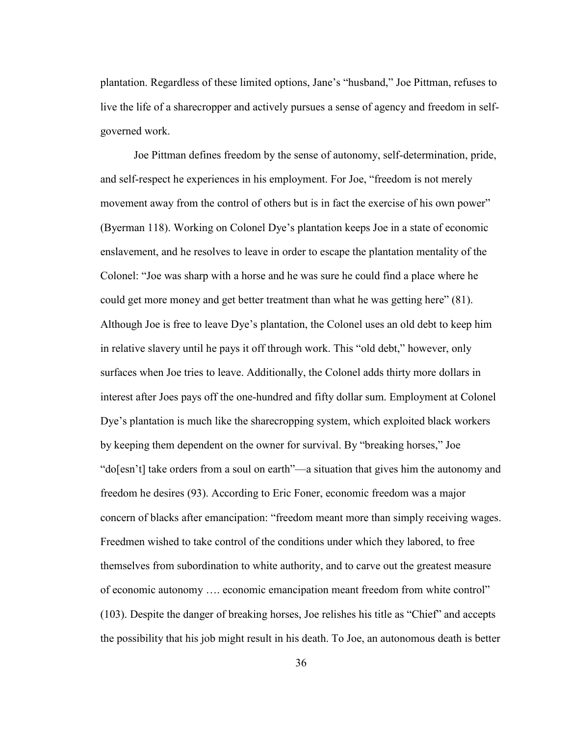plantation. Regardless of these limited options, Jane's "husband," Joe Pittman, refuses to live the life of a sharecropper and actively pursues a sense of agency and freedom in selfgoverned work.

Joe Pittman defines freedom by the sense of autonomy, self-determination, pride, and self-respect he experiences in his employment. For Joe, "freedom is not merely movement away from the control of others but is in fact the exercise of his own power" (Byerman 118). Working on Colonel Dye's plantation keeps Joe in a state of economic enslavement, and he resolves to leave in order to escape the plantation mentality of the Colonel: "Joe was sharp with a horse and he was sure he could find a place where he could get more money and get better treatment than what he was getting here" (81). Although Joe is free to leave Dye's plantation, the Colonel uses an old debt to keep him in relative slavery until he pays it off through work. This "old debt," however, only surfaces when Joe tries to leave. Additionally, the Colonel adds thirty more dollars in interest after Joes pays off the one-hundred and fifty dollar sum. Employment at Colonel Dye's plantation is much like the sharecropping system, which exploited black workers by keeping them dependent on the owner for survival. By "breaking horses," Joe "do[esn't] take orders from a soul on earth"—a situation that gives him the autonomy and freedom he desires (93). According to Eric Foner, economic freedom was a major concern of blacks after emancipation: "freedom meant more than simply receiving wages. Freedmen wished to take control of the conditions under which they labored, to free themselves from subordination to white authority, and to carve out the greatest measure of economic autonomy …. economic emancipation meant freedom from white control" (103). Despite the danger of breaking horses, Joe relishes his title as "Chief" and accepts the possibility that his job might result in his death. To Joe, an autonomous death is better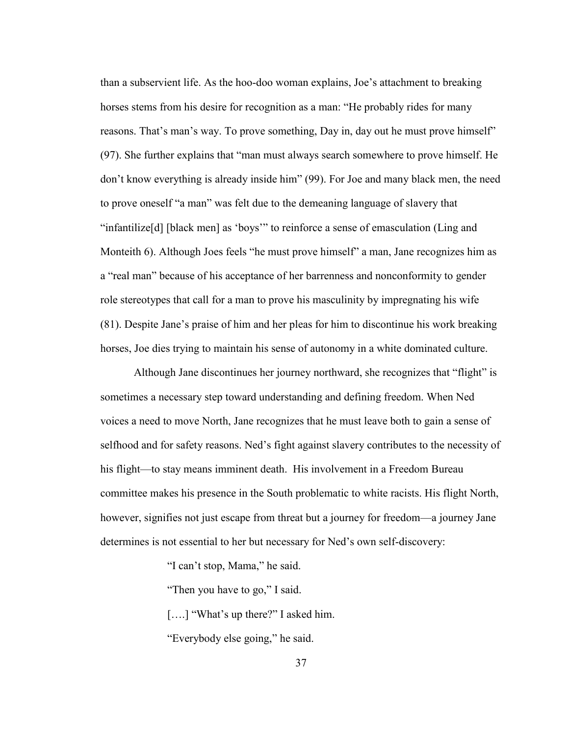than a subservient life. As the hoo-doo woman explains, Joe's attachment to breaking horses stems from his desire for recognition as a man: "He probably rides for many reasons. That's man's way. To prove something, Day in, day out he must prove himself" (97). She further explains that "man must always search somewhere to prove himself. He don't know everything is already inside him" (99). For Joe and many black men, the need to prove oneself "a man" was felt due to the demeaning language of slavery that "infantilize[d] [black men] as 'boys'" to reinforce a sense of emasculation (Ling and Monteith 6). Although Joes feels "he must prove himself" a man, Jane recognizes him as a "real man" because of his acceptance of her barrenness and nonconformity to gender role stereotypes that call for a man to prove his masculinity by impregnating his wife (81). Despite Jane's praise of him and her pleas for him to discontinue his work breaking horses, Joe dies trying to maintain his sense of autonomy in a white dominated culture.

Although Jane discontinues her journey northward, she recognizes that "flight" is sometimes a necessary step toward understanding and defining freedom. When Ned voices a need to move North, Jane recognizes that he must leave both to gain a sense of selfhood and for safety reasons. Ned's fight against slavery contributes to the necessity of his flight—to stay means imminent death. His involvement in a Freedom Bureau committee makes his presence in the South problematic to white racists. His flight North, however, signifies not just escape from threat but a journey for freedom—a journey Jane determines is not essential to her but necessary for Ned's own self-discovery:

"I can't stop, Mama," he said.

"Then you have to go," I said.

[....] "What's up there?" I asked him.

"Everybody else going," he said.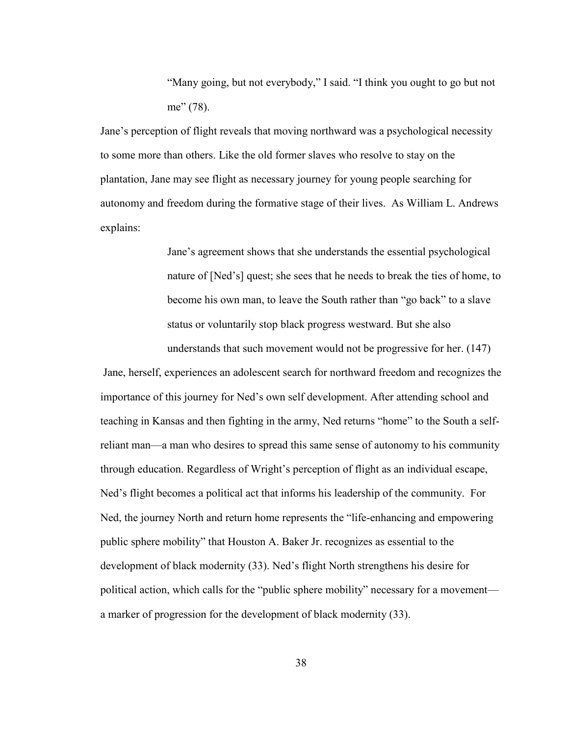"Many going, but not everybody," I said. "I think you ought to go but not me" (78).

Jane's perception of flight reveals that moving northward was a psychological necessity to some more than others. Like the old former slaves who resolve to stay on the plantation, Jane may see flight as necessary journey for young people searching for autonomy and freedom during the formative stage of their lives. As William L. Andrews explains:

> Jane's agreement shows that she understands the essential psychological nature of [Ned's] quest; she sees that he needs to break the ties of home, to become his own man, to leave the South rather than "go back" to a slave status or voluntarily stop black progress westward. But she also understands that such movement would not be progressive for her. (147)

 Jane, herself, experiences an adolescent search for northward freedom and recognizes the importance of this journey for Ned's own self development. After attending school and teaching in Kansas and then fighting in the army, Ned returns "home" to the South a selfreliant man—a man who desires to spread this same sense of autonomy to his community through education. Regardless of Wright's perception of flight as an individual escape, Ned's flight becomes a political act that informs his leadership of the community. For Ned, the journey North and return home represents the "life-enhancing and empowering public sphere mobility" that Houston A. Baker Jr. recognizes as essential to the development of black modernity (33). Ned's flight North strengthens his desire for political action, which calls for the "public sphere mobility" necessary for a movement a marker of progression for the development of black modernity (33).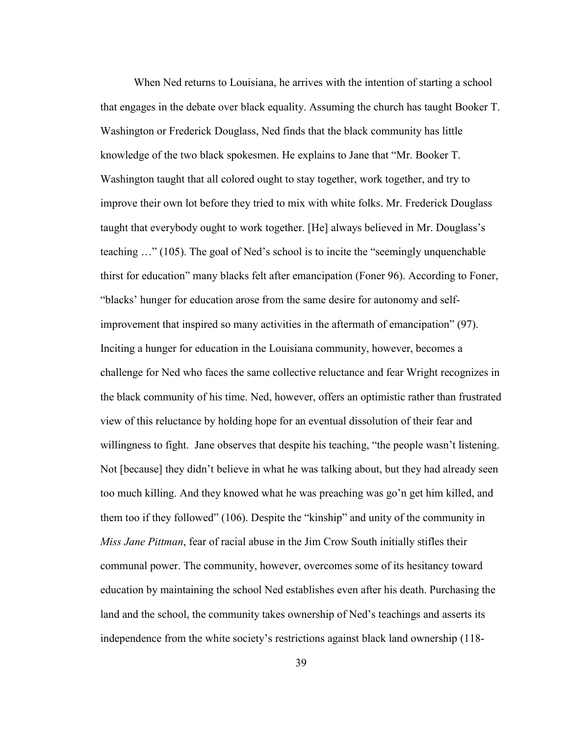When Ned returns to Louisiana, he arrives with the intention of starting a school that engages in the debate over black equality. Assuming the church has taught Booker T. Washington or Frederick Douglass, Ned finds that the black community has little knowledge of the two black spokesmen. He explains to Jane that "Mr. Booker T. Washington taught that all colored ought to stay together, work together, and try to improve their own lot before they tried to mix with white folks. Mr. Frederick Douglass taught that everybody ought to work together. [He] always believed in Mr. Douglass's teaching …" (105). The goal of Ned's school is to incite the "seemingly unquenchable thirst for education" many blacks felt after emancipation (Foner 96). According to Foner, "blacks' hunger for education arose from the same desire for autonomy and selfimprovement that inspired so many activities in the aftermath of emancipation" (97). Inciting a hunger for education in the Louisiana community, however, becomes a challenge for Ned who faces the same collective reluctance and fear Wright recognizes in the black community of his time. Ned, however, offers an optimistic rather than frustrated view of this reluctance by holding hope for an eventual dissolution of their fear and willingness to fight. Jane observes that despite his teaching, "the people wasn't listening. Not [because] they didn't believe in what he was talking about, but they had already seen too much killing. And they knowed what he was preaching was go'n get him killed, and them too if they followed" (106). Despite the "kinship" and unity of the community in *Miss Jane Pittman*, fear of racial abuse in the Jim Crow South initially stifles their communal power. The community, however, overcomes some of its hesitancy toward education by maintaining the school Ned establishes even after his death. Purchasing the land and the school, the community takes ownership of Ned's teachings and asserts its independence from the white society's restrictions against black land ownership (118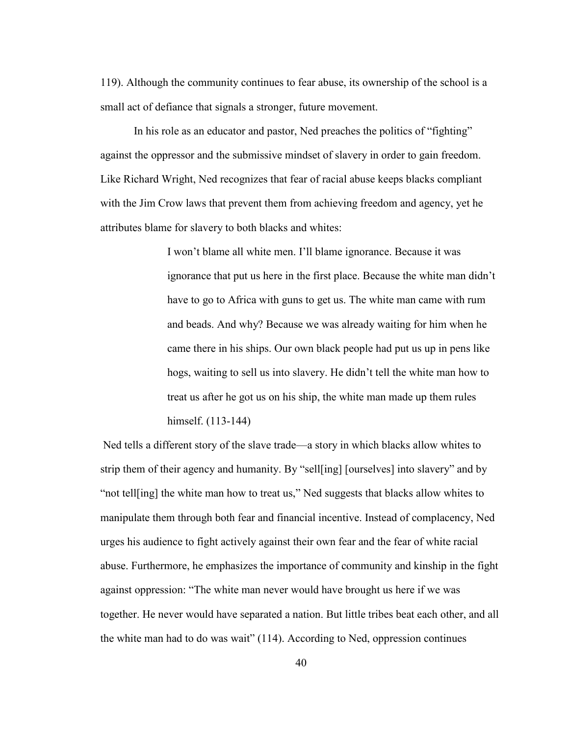119). Although the community continues to fear abuse, its ownership of the school is a small act of defiance that signals a stronger, future movement.

In his role as an educator and pastor, Ned preaches the politics of "fighting" against the oppressor and the submissive mindset of slavery in order to gain freedom. Like Richard Wright, Ned recognizes that fear of racial abuse keeps blacks compliant with the Jim Crow laws that prevent them from achieving freedom and agency, yet he attributes blame for slavery to both blacks and whites:

> I won't blame all white men. I'll blame ignorance. Because it was ignorance that put us here in the first place. Because the white man didn't have to go to Africa with guns to get us. The white man came with rum and beads. And why? Because we was already waiting for him when he came there in his ships. Our own black people had put us up in pens like hogs, waiting to sell us into slavery. He didn't tell the white man how to treat us after he got us on his ship, the white man made up them rules himself. (113-144)

 Ned tells a different story of the slave trade—a story in which blacks allow whites to strip them of their agency and humanity. By "sell[ing] [ourselves] into slavery" and by "not tell[ing] the white man how to treat us," Ned suggests that blacks allow whites to manipulate them through both fear and financial incentive. Instead of complacency, Ned urges his audience to fight actively against their own fear and the fear of white racial abuse. Furthermore, he emphasizes the importance of community and kinship in the fight against oppression: "The white man never would have brought us here if we was together. He never would have separated a nation. But little tribes beat each other, and all the white man had to do was wait" (114). According to Ned, oppression continues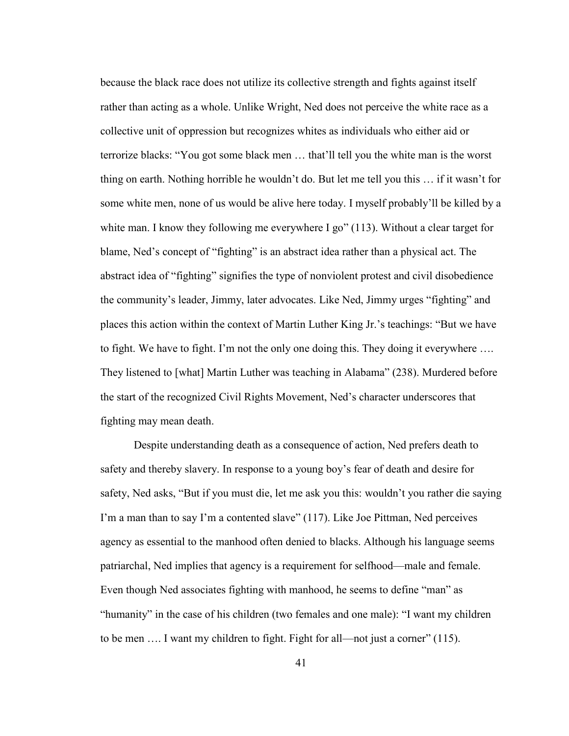because the black race does not utilize its collective strength and fights against itself rather than acting as a whole. Unlike Wright, Ned does not perceive the white race as a collective unit of oppression but recognizes whites as individuals who either aid or terrorize blacks: "You got some black men … that'll tell you the white man is the worst thing on earth. Nothing horrible he wouldn't do. But let me tell you this … if it wasn't for some white men, none of us would be alive here today. I myself probably'll be killed by a white man. I know they following me everywhere I go"  $(113)$ . Without a clear target for blame, Ned's concept of "fighting" is an abstract idea rather than a physical act. The abstract idea of "fighting" signifies the type of nonviolent protest and civil disobedience the community's leader, Jimmy, later advocates. Like Ned, Jimmy urges "fighting" and places this action within the context of Martin Luther King Jr.'s teachings: "But we have to fight. We have to fight. I'm not the only one doing this. They doing it everywhere …. They listened to [what] Martin Luther was teaching in Alabama" (238). Murdered before the start of the recognized Civil Rights Movement, Ned's character underscores that fighting may mean death.

Despite understanding death as a consequence of action, Ned prefers death to safety and thereby slavery. In response to a young boy's fear of death and desire for safety, Ned asks, "But if you must die, let me ask you this: wouldn't you rather die saying I'm a man than to say I'm a contented slave" (117). Like Joe Pittman, Ned perceives agency as essential to the manhood often denied to blacks. Although his language seems patriarchal, Ned implies that agency is a requirement for selfhood—male and female. Even though Ned associates fighting with manhood, he seems to define "man" as "humanity" in the case of his children (two females and one male): "I want my children to be men …. I want my children to fight. Fight for all—not just a corner" (115).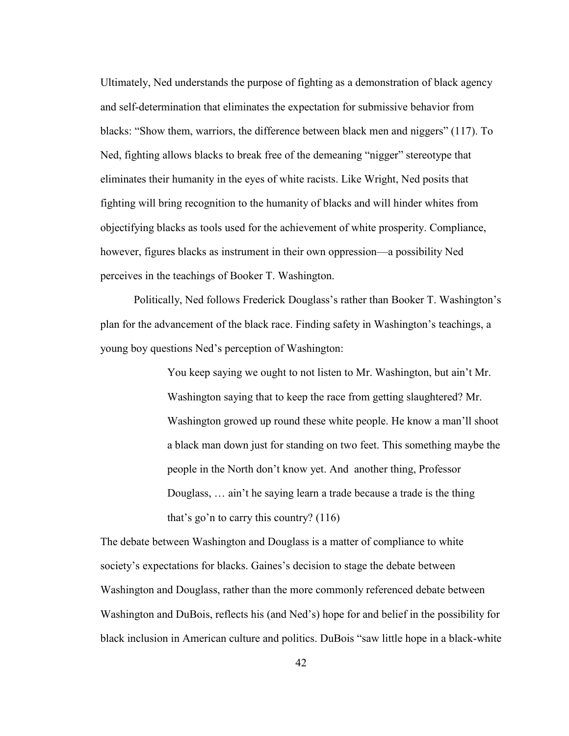Ultimately, Ned understands the purpose of fighting as a demonstration of black agency and self-determination that eliminates the expectation for submissive behavior from blacks: "Show them, warriors, the difference between black men and niggers" (117). To Ned, fighting allows blacks to break free of the demeaning "nigger" stereotype that eliminates their humanity in the eyes of white racists. Like Wright, Ned posits that fighting will bring recognition to the humanity of blacks and will hinder whites from objectifying blacks as tools used for the achievement of white prosperity. Compliance, however, figures blacks as instrument in their own oppression—a possibility Ned perceives in the teachings of Booker T. Washington.

Politically, Ned follows Frederick Douglass's rather than Booker T. Washington's plan for the advancement of the black race. Finding safety in Washington's teachings, a young boy questions Ned's perception of Washington:

> You keep saying we ought to not listen to Mr. Washington, but ain't Mr. Washington saying that to keep the race from getting slaughtered? Mr. Washington growed up round these white people. He know a man'll shoot a black man down just for standing on two feet. This something maybe the people in the North don't know yet. And another thing, Professor Douglass, … ain't he saying learn a trade because a trade is the thing that's go'n to carry this country? (116)

The debate between Washington and Douglass is a matter of compliance to white society's expectations for blacks. Gaines's decision to stage the debate between Washington and Douglass, rather than the more commonly referenced debate between Washington and DuBois, reflects his (and Ned's) hope for and belief in the possibility for black inclusion in American culture and politics. DuBois "saw little hope in a black-white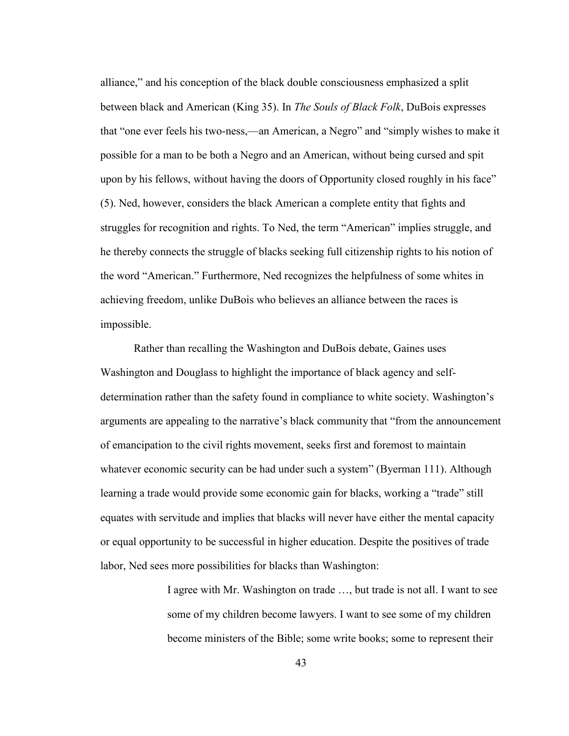alliance," and his conception of the black double consciousness emphasized a split between black and American (King 35). In *The Souls of Black Folk*, DuBois expresses that "one ever feels his two-ness,—an American, a Negro" and "simply wishes to make it possible for a man to be both a Negro and an American, without being cursed and spit upon by his fellows, without having the doors of Opportunity closed roughly in his face" (5). Ned, however, considers the black American a complete entity that fights and struggles for recognition and rights. To Ned, the term "American" implies struggle, and he thereby connects the struggle of blacks seeking full citizenship rights to his notion of the word "American." Furthermore, Ned recognizes the helpfulness of some whites in achieving freedom, unlike DuBois who believes an alliance between the races is impossible.

Rather than recalling the Washington and DuBois debate, Gaines uses Washington and Douglass to highlight the importance of black agency and selfdetermination rather than the safety found in compliance to white society. Washington's arguments are appealing to the narrative's black community that "from the announcement of emancipation to the civil rights movement, seeks first and foremost to maintain whatever economic security can be had under such a system" (Byerman 111). Although learning a trade would provide some economic gain for blacks, working a "trade" still equates with servitude and implies that blacks will never have either the mental capacity or equal opportunity to be successful in higher education. Despite the positives of trade labor, Ned sees more possibilities for blacks than Washington:

> I agree with Mr. Washington on trade …, but trade is not all. I want to see some of my children become lawyers. I want to see some of my children become ministers of the Bible; some write books; some to represent their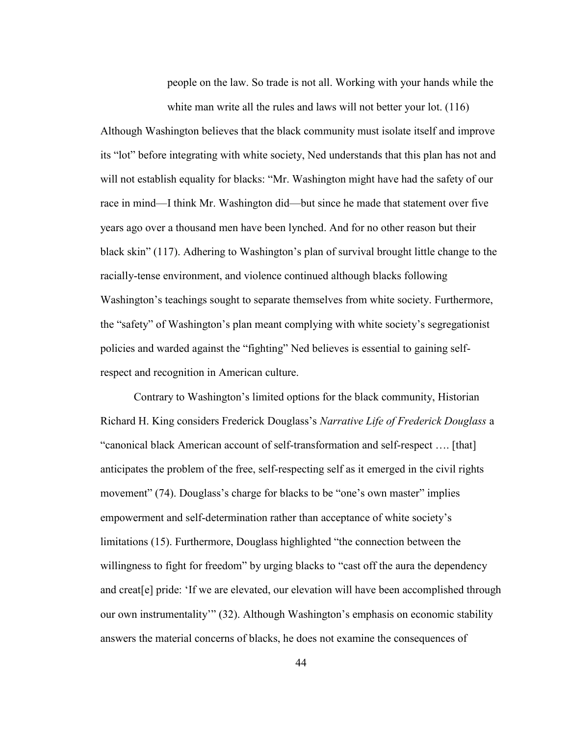people on the law. So trade is not all. Working with your hands while the white man write all the rules and laws will not better your lot. (116)

Although Washington believes that the black community must isolate itself and improve its "lot" before integrating with white society, Ned understands that this plan has not and will not establish equality for blacks: "Mr. Washington might have had the safety of our race in mind—I think Mr. Washington did—but since he made that statement over five years ago over a thousand men have been lynched. And for no other reason but their black skin" (117). Adhering to Washington's plan of survival brought little change to the racially-tense environment, and violence continued although blacks following Washington's teachings sought to separate themselves from white society. Furthermore, the "safety" of Washington's plan meant complying with white society's segregationist policies and warded against the "fighting" Ned believes is essential to gaining selfrespect and recognition in American culture.

Contrary to Washington's limited options for the black community, Historian Richard H. King considers Frederick Douglass's *Narrative Life of Frederick Douglass* a "canonical black American account of self-transformation and self-respect …. [that] anticipates the problem of the free, self-respecting self as it emerged in the civil rights movement" (74). Douglass's charge for blacks to be "one's own master" implies empowerment and self-determination rather than acceptance of white society's limitations (15). Furthermore, Douglass highlighted "the connection between the willingness to fight for freedom" by urging blacks to "cast off the aura the dependency and creat[e] pride: 'If we are elevated, our elevation will have been accomplished through our own instrumentality'" (32). Although Washington's emphasis on economic stability answers the material concerns of blacks, he does not examine the consequences of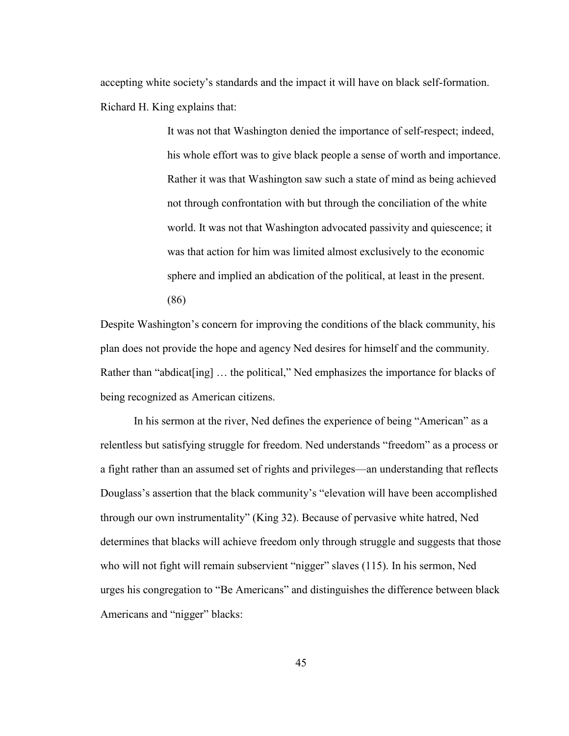accepting white society's standards and the impact it will have on black self-formation. Richard H. King explains that:

> It was not that Washington denied the importance of self-respect; indeed, his whole effort was to give black people a sense of worth and importance. Rather it was that Washington saw such a state of mind as being achieved not through confrontation with but through the conciliation of the white world. It was not that Washington advocated passivity and quiescence; it was that action for him was limited almost exclusively to the economic sphere and implied an abdication of the political, at least in the present. (86)

Despite Washington's concern for improving the conditions of the black community, his plan does not provide the hope and agency Ned desires for himself and the community. Rather than "abdicat[ing] ... the political," Ned emphasizes the importance for blacks of being recognized as American citizens.

In his sermon at the river, Ned defines the experience of being "American" as a relentless but satisfying struggle for freedom. Ned understands "freedom" as a process or a fight rather than an assumed set of rights and privileges—an understanding that reflects Douglass's assertion that the black community's "elevation will have been accomplished through our own instrumentality" (King 32). Because of pervasive white hatred, Ned determines that blacks will achieve freedom only through struggle and suggests that those who will not fight will remain subservient "nigger" slaves (115). In his sermon, Ned urges his congregation to "Be Americans" and distinguishes the difference between black Americans and "nigger" blacks: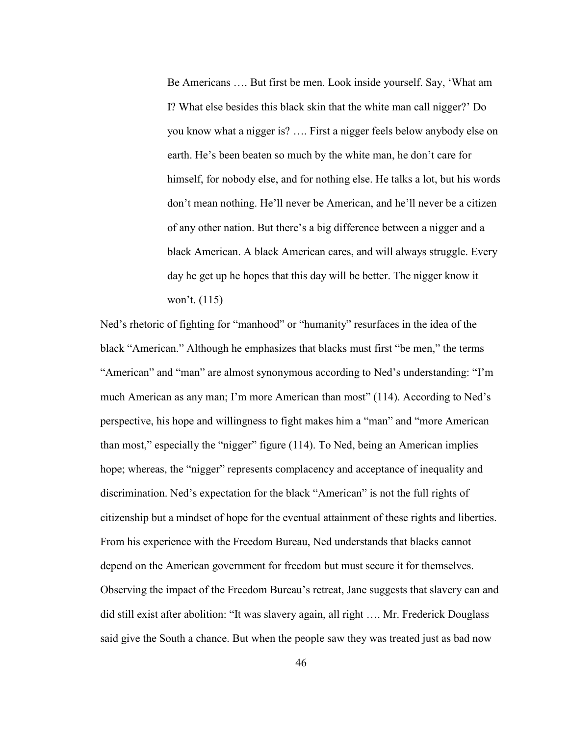Be Americans …. But first be men. Look inside yourself. Say, 'What am I? What else besides this black skin that the white man call nigger?' Do you know what a nigger is? …. First a nigger feels below anybody else on earth. He's been beaten so much by the white man, he don't care for himself, for nobody else, and for nothing else. He talks a lot, but his words don't mean nothing. He'll never be American, and he'll never be a citizen of any other nation. But there's a big difference between a nigger and a black American. A black American cares, and will always struggle. Every day he get up he hopes that this day will be better. The nigger know it won't. (115)

Ned's rhetoric of fighting for "manhood" or "humanity" resurfaces in the idea of the black "American." Although he emphasizes that blacks must first "be men," the terms "American" and "man" are almost synonymous according to Ned's understanding: "I'm much American as any man; I'm more American than most" (114). According to Ned's perspective, his hope and willingness to fight makes him a "man" and "more American than most," especially the "nigger" figure (114). To Ned, being an American implies hope; whereas, the "nigger" represents complacency and acceptance of inequality and discrimination. Ned's expectation for the black "American" is not the full rights of citizenship but a mindset of hope for the eventual attainment of these rights and liberties. From his experience with the Freedom Bureau, Ned understands that blacks cannot depend on the American government for freedom but must secure it for themselves. Observing the impact of the Freedom Bureau's retreat, Jane suggests that slavery can and did still exist after abolition: "It was slavery again, all right …. Mr. Frederick Douglass said give the South a chance. But when the people saw they was treated just as bad now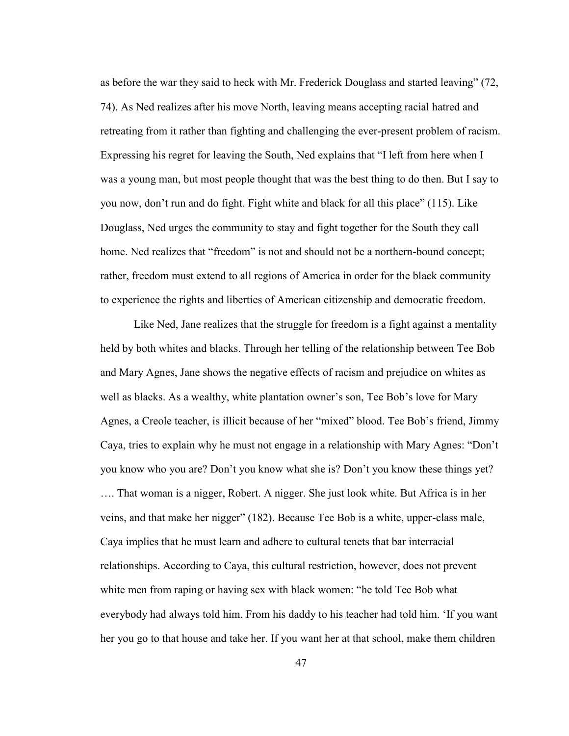as before the war they said to heck with Mr. Frederick Douglass and started leaving" (72, 74). As Ned realizes after his move North, leaving means accepting racial hatred and retreating from it rather than fighting and challenging the ever-present problem of racism. Expressing his regret for leaving the South, Ned explains that "I left from here when I was a young man, but most people thought that was the best thing to do then. But I say to you now, don't run and do fight. Fight white and black for all this place" (115). Like Douglass, Ned urges the community to stay and fight together for the South they call home. Ned realizes that "freedom" is not and should not be a northern-bound concept; rather, freedom must extend to all regions of America in order for the black community to experience the rights and liberties of American citizenship and democratic freedom.

Like Ned, Jane realizes that the struggle for freedom is a fight against a mentality held by both whites and blacks. Through her telling of the relationship between Tee Bob and Mary Agnes, Jane shows the negative effects of racism and prejudice on whites as well as blacks. As a wealthy, white plantation owner's son, Tee Bob's love for Mary Agnes, a Creole teacher, is illicit because of her "mixed" blood. Tee Bob's friend, Jimmy Caya, tries to explain why he must not engage in a relationship with Mary Agnes: "Don't you know who you are? Don't you know what she is? Don't you know these things yet? …. That woman is a nigger, Robert. A nigger. She just look white. But Africa is in her veins, and that make her nigger" (182). Because Tee Bob is a white, upper-class male, Caya implies that he must learn and adhere to cultural tenets that bar interracial relationships. According to Caya, this cultural restriction, however, does not prevent white men from raping or having sex with black women: "he told Tee Bob what everybody had always told him. From his daddy to his teacher had told him. 'If you want her you go to that house and take her. If you want her at that school, make them children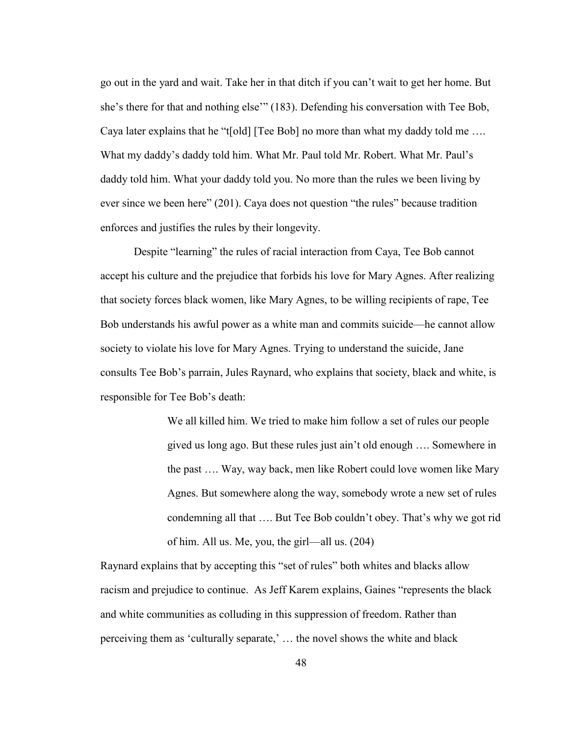go out in the yard and wait. Take her in that ditch if you can't wait to get her home. But she's there for that and nothing else'" (183). Defending his conversation with Tee Bob, Caya later explains that he "t[old] [Tee Bob] no more than what my daddy told me …. What my daddy's daddy told him. What Mr. Paul told Mr. Robert. What Mr. Paul's daddy told him. What your daddy told you. No more than the rules we been living by ever since we been here" (201). Caya does not question "the rules" because tradition enforces and justifies the rules by their longevity.

Despite "learning" the rules of racial interaction from Caya, Tee Bob cannot accept his culture and the prejudice that forbids his love for Mary Agnes. After realizing that society forces black women, like Mary Agnes, to be willing recipients of rape, Tee Bob understands his awful power as a white man and commits suicide—he cannot allow society to violate his love for Mary Agnes. Trying to understand the suicide, Jane consults Tee Bob's parrain, Jules Raynard, who explains that society, black and white, is responsible for Tee Bob's death:

> We all killed him. We tried to make him follow a set of rules our people gived us long ago. But these rules just ain't old enough …. Somewhere in the past …. Way, way back, men like Robert could love women like Mary Agnes. But somewhere along the way, somebody wrote a new set of rules condemning all that …. But Tee Bob couldn't obey. That's why we got rid of him. All us. Me, you, the girl—all us. (204)

Raynard explains that by accepting this "set of rules" both whites and blacks allow racism and prejudice to continue. As Jeff Karem explains, Gaines "represents the black and white communities as colluding in this suppression of freedom. Rather than perceiving them as 'culturally separate,' … the novel shows the white and black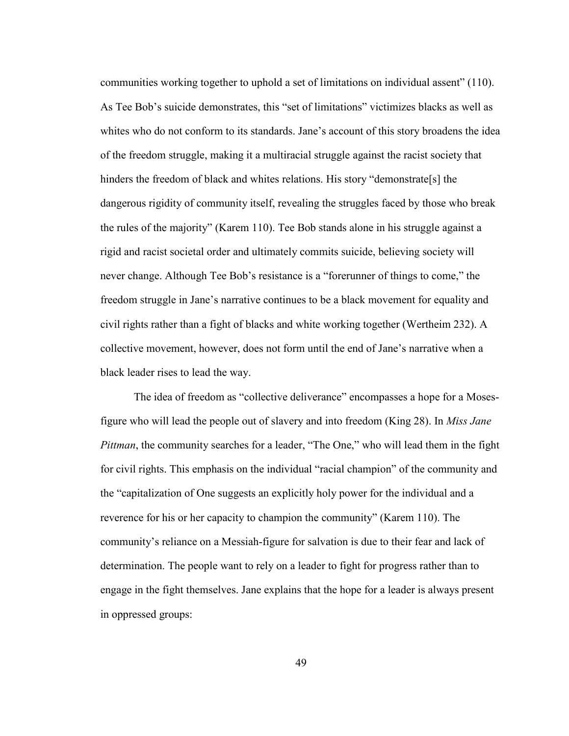communities working together to uphold a set of limitations on individual assent" (110). As Tee Bob's suicide demonstrates, this "set of limitations" victimizes blacks as well as whites who do not conform to its standards. Jane's account of this story broadens the idea of the freedom struggle, making it a multiracial struggle against the racist society that hinders the freedom of black and whites relations. His story "demonstrate[s] the dangerous rigidity of community itself, revealing the struggles faced by those who break the rules of the majority" (Karem 110). Tee Bob stands alone in his struggle against a rigid and racist societal order and ultimately commits suicide, believing society will never change. Although Tee Bob's resistance is a "forerunner of things to come," the freedom struggle in Jane's narrative continues to be a black movement for equality and civil rights rather than a fight of blacks and white working together (Wertheim 232). A collective movement, however, does not form until the end of Jane's narrative when a black leader rises to lead the way.

The idea of freedom as "collective deliverance" encompasses a hope for a Mosesfigure who will lead the people out of slavery and into freedom (King 28). In *Miss Jane Pittman*, the community searches for a leader, "The One," who will lead them in the fight for civil rights. This emphasis on the individual "racial champion" of the community and the "capitalization of One suggests an explicitly holy power for the individual and a reverence for his or her capacity to champion the community" (Karem 110). The community's reliance on a Messiah-figure for salvation is due to their fear and lack of determination. The people want to rely on a leader to fight for progress rather than to engage in the fight themselves. Jane explains that the hope for a leader is always present in oppressed groups: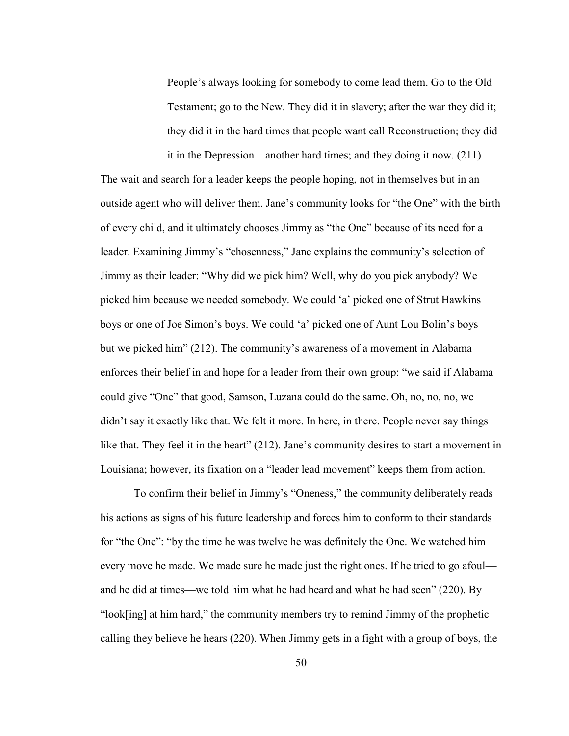People's always looking for somebody to come lead them. Go to the Old Testament; go to the New. They did it in slavery; after the war they did it; they did it in the hard times that people want call Reconstruction; they did

it in the Depression—another hard times; and they doing it now. (211) The wait and search for a leader keeps the people hoping, not in themselves but in an outside agent who will deliver them. Jane's community looks for "the One" with the birth of every child, and it ultimately chooses Jimmy as "the One" because of its need for a leader. Examining Jimmy's "chosenness," Jane explains the community's selection of Jimmy as their leader: "Why did we pick him? Well, why do you pick anybody? We picked him because we needed somebody. We could 'a' picked one of Strut Hawkins boys or one of Joe Simon's boys. We could 'a' picked one of Aunt Lou Bolin's boys but we picked him" (212). The community's awareness of a movement in Alabama enforces their belief in and hope for a leader from their own group: "we said if Alabama could give "One" that good, Samson, Luzana could do the same. Oh, no, no, no, we didn't say it exactly like that. We felt it more. In here, in there. People never say things like that. They feel it in the heart" (212). Jane's community desires to start a movement in Louisiana; however, its fixation on a "leader lead movement" keeps them from action.

To confirm their belief in Jimmy's "Oneness," the community deliberately reads his actions as signs of his future leadership and forces him to conform to their standards for "the One": "by the time he was twelve he was definitely the One. We watched him every move he made. We made sure he made just the right ones. If he tried to go afoul and he did at times—we told him what he had heard and what he had seen" (220). By "look[ing] at him hard," the community members try to remind Jimmy of the prophetic calling they believe he hears (220). When Jimmy gets in a fight with a group of boys, the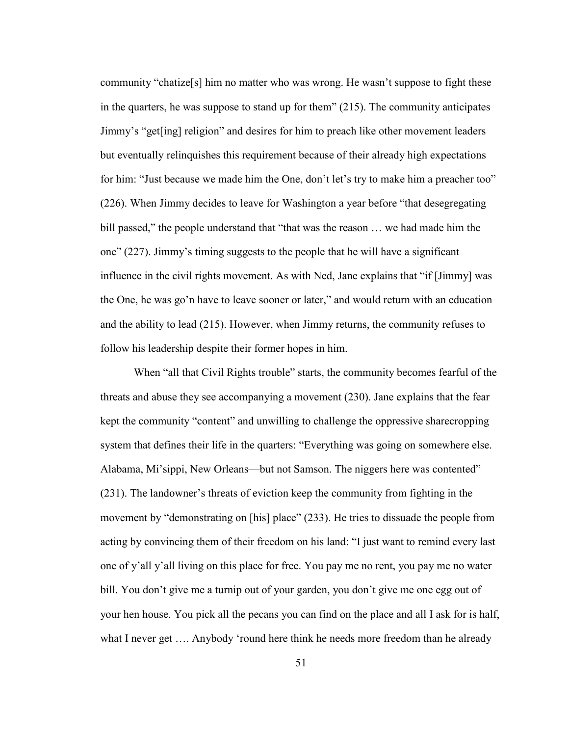community "chatize[s] him no matter who was wrong. He wasn't suppose to fight these in the quarters, he was suppose to stand up for them" (215). The community anticipates Jimmy's "get[ing] religion" and desires for him to preach like other movement leaders but eventually relinquishes this requirement because of their already high expectations for him: "Just because we made him the One, don't let's try to make him a preacher too" (226). When Jimmy decides to leave for Washington a year before "that desegregating bill passed," the people understand that "that was the reason … we had made him the one" (227). Jimmy's timing suggests to the people that he will have a significant influence in the civil rights movement. As with Ned, Jane explains that "if [Jimmy] was the One, he was go'n have to leave sooner or later," and would return with an education and the ability to lead (215). However, when Jimmy returns, the community refuses to follow his leadership despite their former hopes in him.

When "all that Civil Rights trouble" starts, the community becomes fearful of the threats and abuse they see accompanying a movement (230). Jane explains that the fear kept the community "content" and unwilling to challenge the oppressive sharecropping system that defines their life in the quarters: "Everything was going on somewhere else. Alabama, Mi'sippi, New Orleans—but not Samson. The niggers here was contented" (231). The landowner's threats of eviction keep the community from fighting in the movement by "demonstrating on [his] place" (233). He tries to dissuade the people from acting by convincing them of their freedom on his land: "I just want to remind every last one of y'all y'all living on this place for free. You pay me no rent, you pay me no water bill. You don't give me a turnip out of your garden, you don't give me one egg out of your hen house. You pick all the pecans you can find on the place and all I ask for is half, what I never get .... Anybody 'round here think he needs more freedom than he already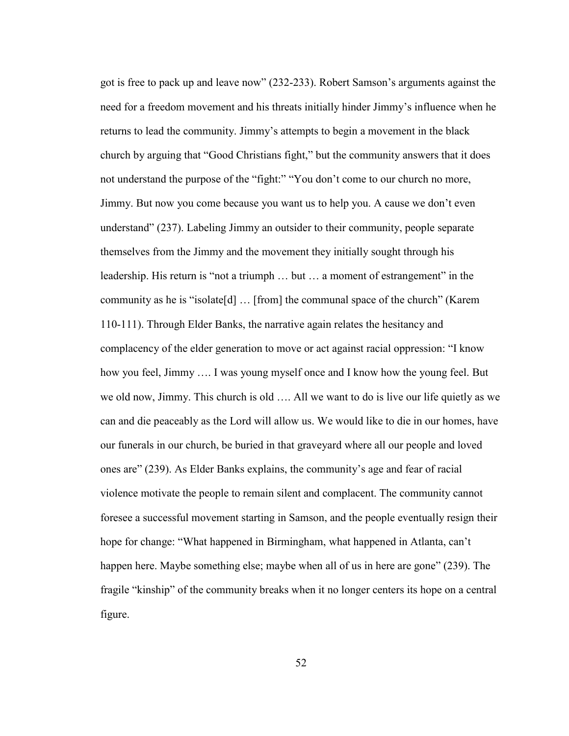got is free to pack up and leave now" (232-233). Robert Samson's arguments against the need for a freedom movement and his threats initially hinder Jimmy's influence when he returns to lead the community. Jimmy's attempts to begin a movement in the black church by arguing that "Good Christians fight," but the community answers that it does not understand the purpose of the "fight:" "You don't come to our church no more, Jimmy. But now you come because you want us to help you. A cause we don't even understand" (237). Labeling Jimmy an outsider to their community, people separate themselves from the Jimmy and the movement they initially sought through his leadership. His return is "not a triumph … but … a moment of estrangement" in the community as he is "isolate[d] … [from] the communal space of the church" (Karem 110-111). Through Elder Banks, the narrative again relates the hesitancy and complacency of the elder generation to move or act against racial oppression: "I know how you feel, Jimmy …. I was young myself once and I know how the young feel. But we old now, Jimmy. This church is old …. All we want to do is live our life quietly as we can and die peaceably as the Lord will allow us. We would like to die in our homes, have our funerals in our church, be buried in that graveyard where all our people and loved ones are" (239). As Elder Banks explains, the community's age and fear of racial violence motivate the people to remain silent and complacent. The community cannot foresee a successful movement starting in Samson, and the people eventually resign their hope for change: "What happened in Birmingham, what happened in Atlanta, can't happen here. Maybe something else; maybe when all of us in here are gone" (239). The fragile "kinship" of the community breaks when it no longer centers its hope on a central figure.

52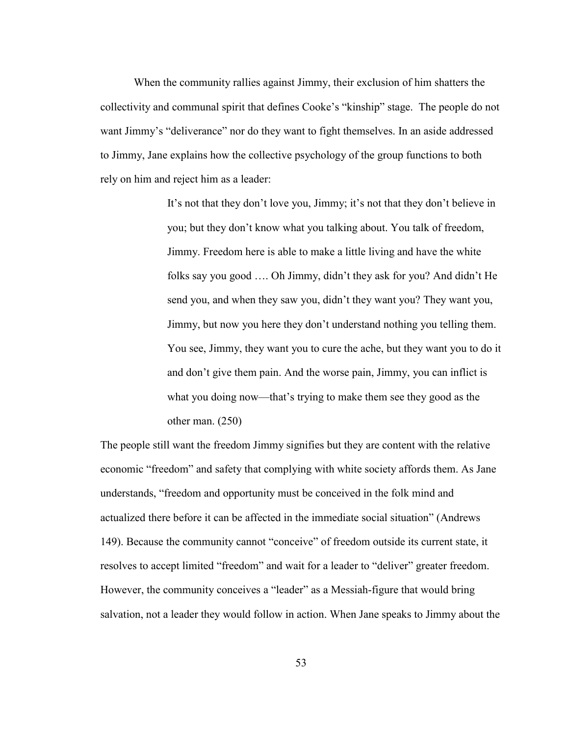When the community rallies against Jimmy, their exclusion of him shatters the collectivity and communal spirit that defines Cooke's "kinship" stage. The people do not want Jimmy's "deliverance" nor do they want to fight themselves. In an aside addressed to Jimmy, Jane explains how the collective psychology of the group functions to both rely on him and reject him as a leader:

> It's not that they don't love you, Jimmy; it's not that they don't believe in you; but they don't know what you talking about. You talk of freedom, Jimmy. Freedom here is able to make a little living and have the white folks say you good …. Oh Jimmy, didn't they ask for you? And didn't He send you, and when they saw you, didn't they want you? They want you, Jimmy, but now you here they don't understand nothing you telling them. You see, Jimmy, they want you to cure the ache, but they want you to do it and don't give them pain. And the worse pain, Jimmy, you can inflict is what you doing now—that's trying to make them see they good as the other man. (250)

The people still want the freedom Jimmy signifies but they are content with the relative economic "freedom" and safety that complying with white society affords them. As Jane understands, "freedom and opportunity must be conceived in the folk mind and actualized there before it can be affected in the immediate social situation" (Andrews 149). Because the community cannot "conceive" of freedom outside its current state, it resolves to accept limited "freedom" and wait for a leader to "deliver" greater freedom. However, the community conceives a "leader" as a Messiah-figure that would bring salvation, not a leader they would follow in action. When Jane speaks to Jimmy about the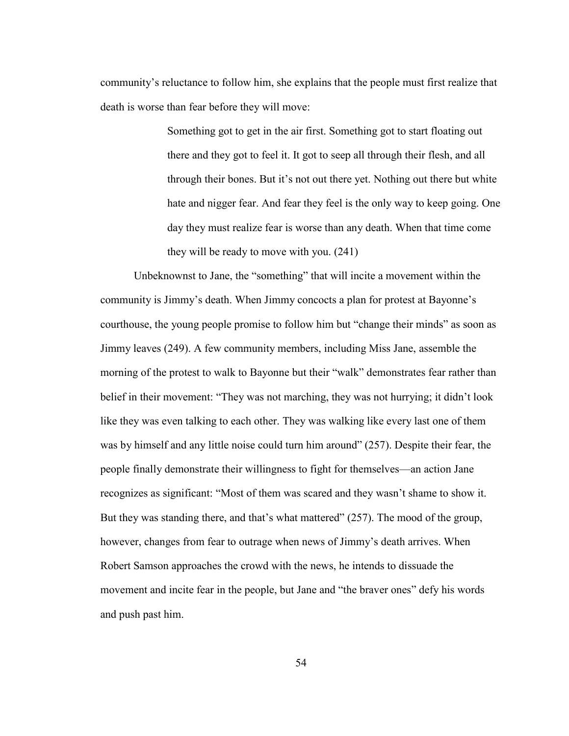community's reluctance to follow him, she explains that the people must first realize that death is worse than fear before they will move:

> Something got to get in the air first. Something got to start floating out there and they got to feel it. It got to seep all through their flesh, and all through their bones. But it's not out there yet. Nothing out there but white hate and nigger fear. And fear they feel is the only way to keep going. One day they must realize fear is worse than any death. When that time come they will be ready to move with you. (241)

Unbeknownst to Jane, the "something" that will incite a movement within the community is Jimmy's death. When Jimmy concocts a plan for protest at Bayonne's courthouse, the young people promise to follow him but "change their minds" as soon as Jimmy leaves (249). A few community members, including Miss Jane, assemble the morning of the protest to walk to Bayonne but their "walk" demonstrates fear rather than belief in their movement: "They was not marching, they was not hurrying; it didn't look like they was even talking to each other. They was walking like every last one of them was by himself and any little noise could turn him around" (257). Despite their fear, the people finally demonstrate their willingness to fight for themselves—an action Jane recognizes as significant: "Most of them was scared and they wasn't shame to show it. But they was standing there, and that's what mattered" (257). The mood of the group, however, changes from fear to outrage when news of Jimmy's death arrives. When Robert Samson approaches the crowd with the news, he intends to dissuade the movement and incite fear in the people, but Jane and "the braver ones" defy his words and push past him.

54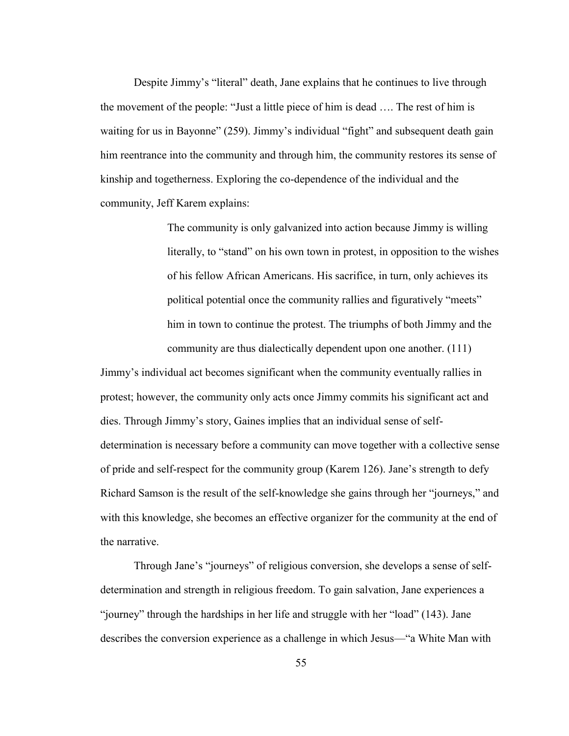Despite Jimmy's "literal" death, Jane explains that he continues to live through the movement of the people: "Just a little piece of him is dead …. The rest of him is waiting for us in Bayonne" (259). Jimmy's individual "fight" and subsequent death gain him reentrance into the community and through him, the community restores its sense of kinship and togetherness. Exploring the co-dependence of the individual and the community, Jeff Karem explains:

> The community is only galvanized into action because Jimmy is willing literally, to "stand" on his own town in protest, in opposition to the wishes of his fellow African Americans. His sacrifice, in turn, only achieves its political potential once the community rallies and figuratively "meets" him in town to continue the protest. The triumphs of both Jimmy and the community are thus dialectically dependent upon one another. (111)

Jimmy's individual act becomes significant when the community eventually rallies in protest; however, the community only acts once Jimmy commits his significant act and dies. Through Jimmy's story, Gaines implies that an individual sense of selfdetermination is necessary before a community can move together with a collective sense of pride and self-respect for the community group (Karem 126). Jane's strength to defy Richard Samson is the result of the self-knowledge she gains through her "journeys," and with this knowledge, she becomes an effective organizer for the community at the end of the narrative.

Through Jane's "journeys" of religious conversion, she develops a sense of selfdetermination and strength in religious freedom. To gain salvation, Jane experiences a "journey" through the hardships in her life and struggle with her "load" (143). Jane describes the conversion experience as a challenge in which Jesus—"a White Man with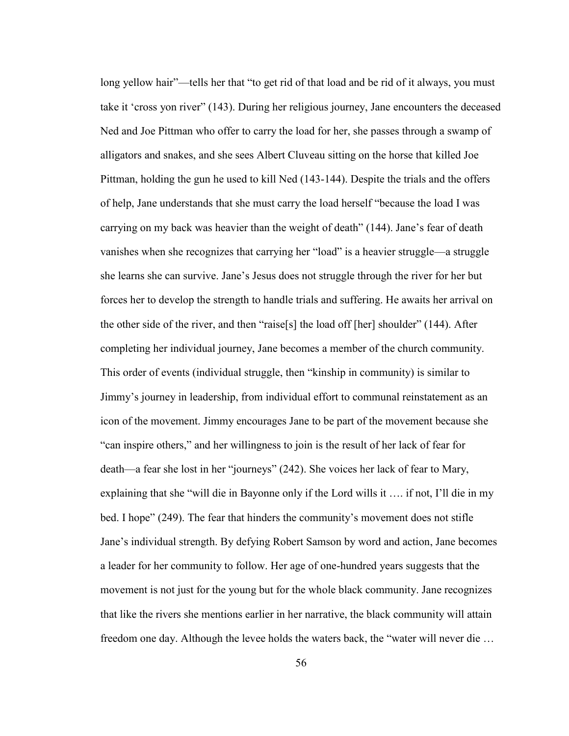long yellow hair"—tells her that "to get rid of that load and be rid of it always, you must take it 'cross yon river" (143). During her religious journey, Jane encounters the deceased Ned and Joe Pittman who offer to carry the load for her, she passes through a swamp of alligators and snakes, and she sees Albert Cluveau sitting on the horse that killed Joe Pittman, holding the gun he used to kill Ned (143-144). Despite the trials and the offers of help, Jane understands that she must carry the load herself "because the load I was carrying on my back was heavier than the weight of death" (144). Jane's fear of death vanishes when she recognizes that carrying her "load" is a heavier struggle—a struggle she learns she can survive. Jane's Jesus does not struggle through the river for her but forces her to develop the strength to handle trials and suffering. He awaits her arrival on the other side of the river, and then "raise[s] the load off [her] shoulder"  $(144)$ . After completing her individual journey, Jane becomes a member of the church community. This order of events (individual struggle, then "kinship in community) is similar to Jimmy's journey in leadership, from individual effort to communal reinstatement as an icon of the movement. Jimmy encourages Jane to be part of the movement because she "can inspire others," and her willingness to join is the result of her lack of fear for death—a fear she lost in her "journeys" (242). She voices her lack of fear to Mary, explaining that she "will die in Bayonne only if the Lord wills it …. if not, I'll die in my bed. I hope" (249). The fear that hinders the community's movement does not stifle Jane's individual strength. By defying Robert Samson by word and action, Jane becomes a leader for her community to follow. Her age of one-hundred years suggests that the movement is not just for the young but for the whole black community. Jane recognizes that like the rivers she mentions earlier in her narrative, the black community will attain freedom one day. Although the levee holds the waters back, the "water will never die …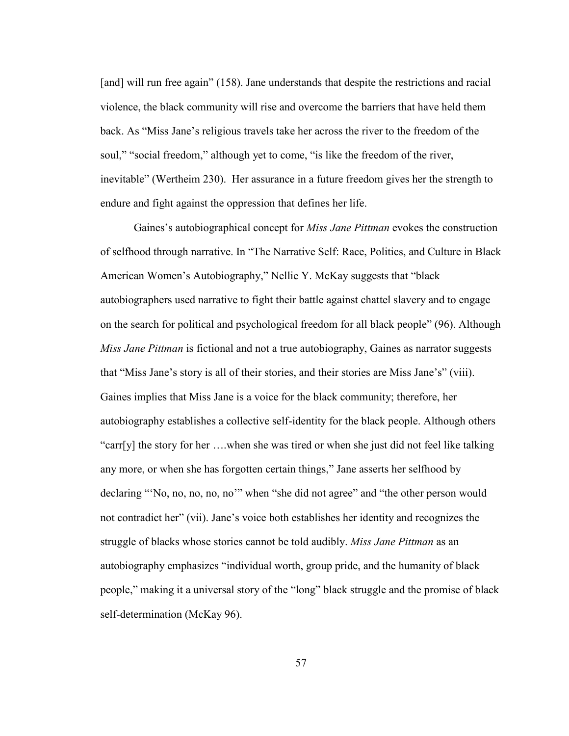[and] will run free again" (158). Jane understands that despite the restrictions and racial violence, the black community will rise and overcome the barriers that have held them back. As "Miss Jane's religious travels take her across the river to the freedom of the soul," "social freedom," although yet to come, "is like the freedom of the river, inevitable" (Wertheim 230). Her assurance in a future freedom gives her the strength to endure and fight against the oppression that defines her life.

Gaines's autobiographical concept for *Miss Jane Pittman* evokes the construction of selfhood through narrative. In "The Narrative Self: Race, Politics, and Culture in Black American Women's Autobiography," Nellie Y. McKay suggests that "black autobiographers used narrative to fight their battle against chattel slavery and to engage on the search for political and psychological freedom for all black people" (96). Although *Miss Jane Pittman* is fictional and not a true autobiography, Gaines as narrator suggests that "Miss Jane's story is all of their stories, and their stories are Miss Jane's" (viii). Gaines implies that Miss Jane is a voice for the black community; therefore, her autobiography establishes a collective self-identity for the black people. Although others "carr[y] the story for her ….when she was tired or when she just did not feel like talking any more, or when she has forgotten certain things," Jane asserts her selfhood by declaring "'No, no, no, no, no'" when "she did not agree" and "the other person would not contradict her" (vii). Jane's voice both establishes her identity and recognizes the struggle of blacks whose stories cannot be told audibly. *Miss Jane Pittman* as an autobiography emphasizes "individual worth, group pride, and the humanity of black people," making it a universal story of the "long" black struggle and the promise of black self-determination (McKay 96).

57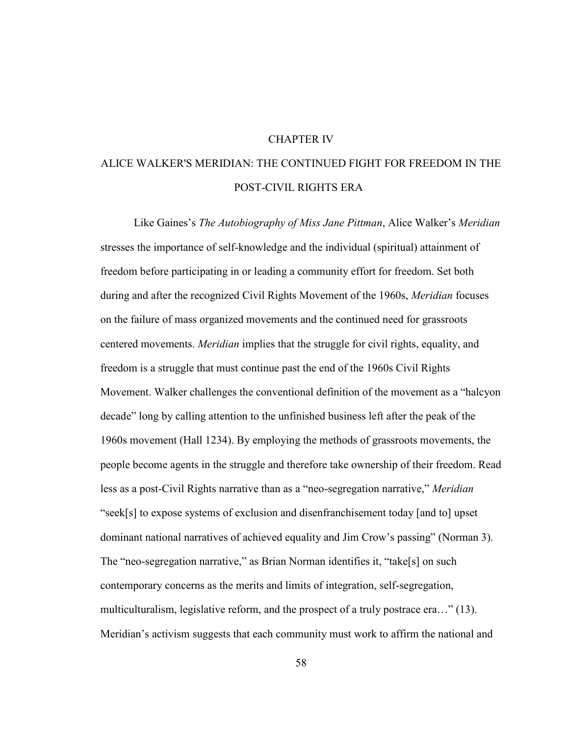## CHAPTER IV

## ALICE WALKER'S MERIDIAN: THE CONTINUED FIGHT FOR FREEDOM IN THE POST-CIVIL RIGHTS ERA

Like Gaines's *The Autobiography of Miss Jane Pittman*, Alice Walker's *Meridian*  stresses the importance of self-knowledge and the individual (spiritual) attainment of freedom before participating in or leading a community effort for freedom. Set both during and after the recognized Civil Rights Movement of the 1960s, *Meridian* focuses on the failure of mass organized movements and the continued need for grassroots centered movements. *Meridian* implies that the struggle for civil rights, equality, and freedom is a struggle that must continue past the end of the 1960s Civil Rights Movement. Walker challenges the conventional definition of the movement as a "halcyon decade" long by calling attention to the unfinished business left after the peak of the 1960s movement (Hall 1234). By employing the methods of grassroots movements, the people become agents in the struggle and therefore take ownership of their freedom. Read less as a post-Civil Rights narrative than as a "neo-segregation narrative," *Meridian*  "seek[s] to expose systems of exclusion and disenfranchisement today [and to] upset dominant national narratives of achieved equality and Jim Crow's passing" (Norman 3). The "neo-segregation narrative," as Brian Norman identifies it, "take[s] on such contemporary concerns as the merits and limits of integration, self-segregation, multiculturalism, legislative reform, and the prospect of a truly postrace era…" (13). Meridian's activism suggests that each community must work to affirm the national and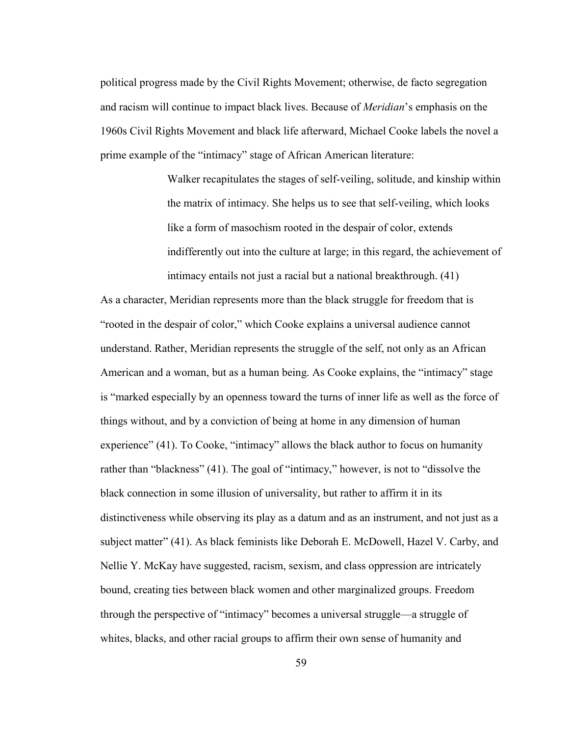political progress made by the Civil Rights Movement; otherwise, de facto segregation and racism will continue to impact black lives. Because of *Meridian*'s emphasis on the 1960s Civil Rights Movement and black life afterward, Michael Cooke labels the novel a prime example of the "intimacy" stage of African American literature:

> Walker recapitulates the stages of self-veiling, solitude, and kinship within the matrix of intimacy. She helps us to see that self-veiling, which looks like a form of masochism rooted in the despair of color, extends indifferently out into the culture at large; in this regard, the achievement of intimacy entails not just a racial but a national breakthrough. (41)

As a character, Meridian represents more than the black struggle for freedom that is "rooted in the despair of color," which Cooke explains a universal audience cannot understand. Rather, Meridian represents the struggle of the self, not only as an African American and a woman, but as a human being. As Cooke explains, the "intimacy" stage is "marked especially by an openness toward the turns of inner life as well as the force of things without, and by a conviction of being at home in any dimension of human experience" (41). To Cooke, "intimacy" allows the black author to focus on humanity rather than "blackness" (41). The goal of "intimacy," however, is not to "dissolve the black connection in some illusion of universality, but rather to affirm it in its distinctiveness while observing its play as a datum and as an instrument, and not just as a subject matter" (41). As black feminists like Deborah E. McDowell, Hazel V. Carby, and Nellie Y. McKay have suggested, racism, sexism, and class oppression are intricately bound, creating ties between black women and other marginalized groups. Freedom through the perspective of "intimacy" becomes a universal struggle—a struggle of whites, blacks, and other racial groups to affirm their own sense of humanity and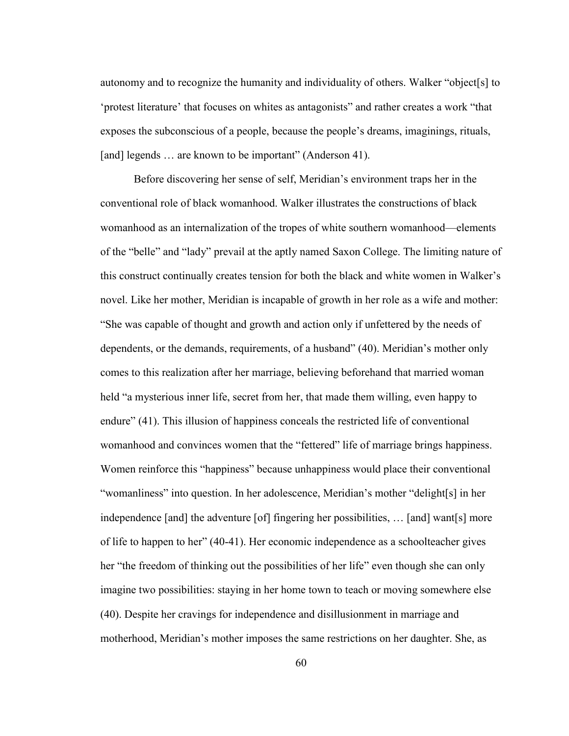autonomy and to recognize the humanity and individuality of others. Walker "object[s] to 'protest literature' that focuses on whites as antagonists" and rather creates a work "that exposes the subconscious of a people, because the people's dreams, imaginings, rituals, [and] legends ... are known to be important" (Anderson 41).

Before discovering her sense of self, Meridian's environment traps her in the conventional role of black womanhood. Walker illustrates the constructions of black womanhood as an internalization of the tropes of white southern womanhood—elements of the "belle" and "lady" prevail at the aptly named Saxon College. The limiting nature of this construct continually creates tension for both the black and white women in Walker's novel. Like her mother, Meridian is incapable of growth in her role as a wife and mother: "She was capable of thought and growth and action only if unfettered by the needs of dependents, or the demands, requirements, of a husband" (40). Meridian's mother only comes to this realization after her marriage, believing beforehand that married woman held "a mysterious inner life, secret from her, that made them willing, even happy to endure" (41). This illusion of happiness conceals the restricted life of conventional womanhood and convinces women that the "fettered" life of marriage brings happiness. Women reinforce this "happiness" because unhappiness would place their conventional "womanliness" into question. In her adolescence, Meridian's mother "delight[s] in her independence [and] the adventure [of] fingering her possibilities, … [and] want[s] more of life to happen to her" (40-41). Her economic independence as a schoolteacher gives her "the freedom of thinking out the possibilities of her life" even though she can only imagine two possibilities: staying in her home town to teach or moving somewhere else (40). Despite her cravings for independence and disillusionment in marriage and motherhood, Meridian's mother imposes the same restrictions on her daughter. She, as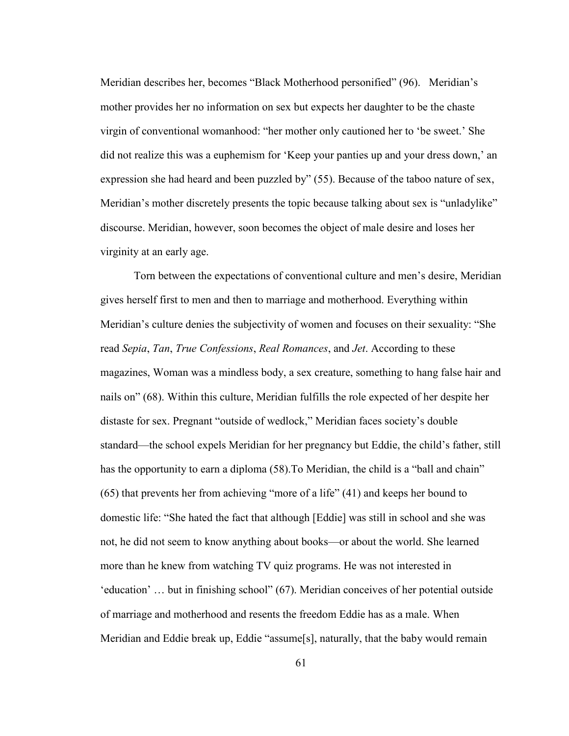Meridian describes her, becomes "Black Motherhood personified" (96). Meridian's mother provides her no information on sex but expects her daughter to be the chaste virgin of conventional womanhood: "her mother only cautioned her to 'be sweet.' She did not realize this was a euphemism for 'Keep your panties up and your dress down,' an expression she had heard and been puzzled by" (55). Because of the taboo nature of sex, Meridian's mother discretely presents the topic because talking about sex is "unladylike" discourse. Meridian, however, soon becomes the object of male desire and loses her virginity at an early age.

Torn between the expectations of conventional culture and men's desire, Meridian gives herself first to men and then to marriage and motherhood. Everything within Meridian's culture denies the subjectivity of women and focuses on their sexuality: "She read *Sepia*, *Tan*, *True Confessions*, *Real Romances*, and *Jet*. According to these magazines, Woman was a mindless body, a sex creature, something to hang false hair and nails on" (68). Within this culture, Meridian fulfills the role expected of her despite her distaste for sex. Pregnant "outside of wedlock," Meridian faces society's double standard—the school expels Meridian for her pregnancy but Eddie, the child's father, still has the opportunity to earn a diploma (58). To Meridian, the child is a "ball and chain" (65) that prevents her from achieving "more of a life" (41) and keeps her bound to domestic life: "She hated the fact that although [Eddie] was still in school and she was not, he did not seem to know anything about books—or about the world. She learned more than he knew from watching TV quiz programs. He was not interested in 'education' … but in finishing school" (67). Meridian conceives of her potential outside of marriage and motherhood and resents the freedom Eddie has as a male. When Meridian and Eddie break up, Eddie "assume[s], naturally, that the baby would remain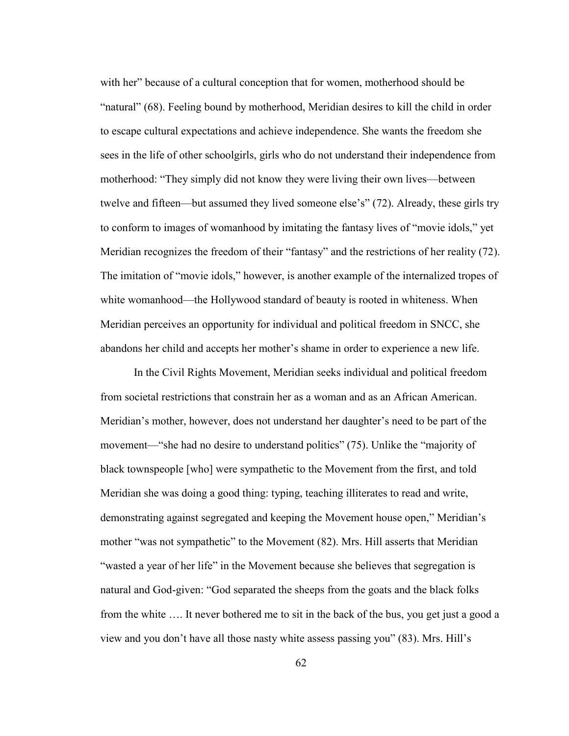with her" because of a cultural conception that for women, motherhood should be "natural" (68). Feeling bound by motherhood, Meridian desires to kill the child in order to escape cultural expectations and achieve independence. She wants the freedom she sees in the life of other schoolgirls, girls who do not understand their independence from motherhood: "They simply did not know they were living their own lives—between twelve and fifteen—but assumed they lived someone else's" (72). Already, these girls try to conform to images of womanhood by imitating the fantasy lives of "movie idols," yet Meridian recognizes the freedom of their "fantasy" and the restrictions of her reality (72). The imitation of "movie idols," however, is another example of the internalized tropes of white womanhood—the Hollywood standard of beauty is rooted in whiteness. When Meridian perceives an opportunity for individual and political freedom in SNCC, she abandons her child and accepts her mother's shame in order to experience a new life.

In the Civil Rights Movement, Meridian seeks individual and political freedom from societal restrictions that constrain her as a woman and as an African American. Meridian's mother, however, does not understand her daughter's need to be part of the movement—"she had no desire to understand politics" (75). Unlike the "majority of black townspeople [who] were sympathetic to the Movement from the first, and told Meridian she was doing a good thing: typing, teaching illiterates to read and write, demonstrating against segregated and keeping the Movement house open," Meridian's mother "was not sympathetic" to the Movement (82). Mrs. Hill asserts that Meridian "wasted a year of her life" in the Movement because she believes that segregation is natural and God-given: "God separated the sheeps from the goats and the black folks from the white …. It never bothered me to sit in the back of the bus, you get just a good a view and you don't have all those nasty white assess passing you" (83). Mrs. Hill's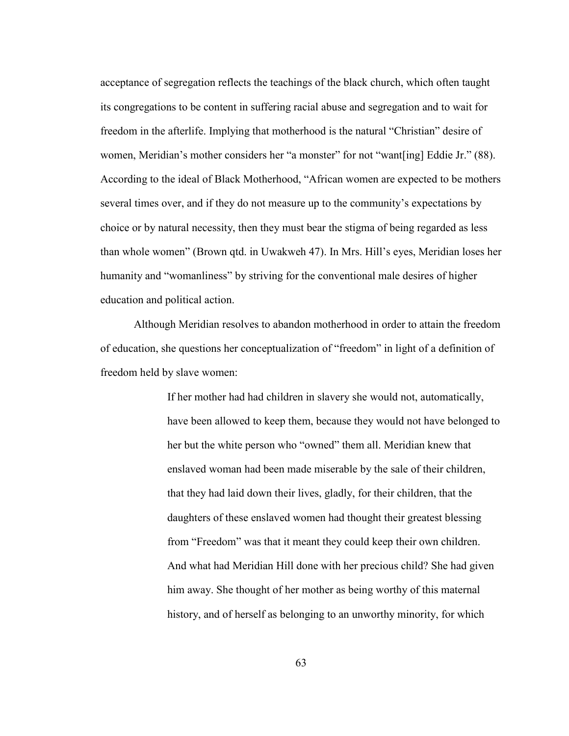acceptance of segregation reflects the teachings of the black church, which often taught its congregations to be content in suffering racial abuse and segregation and to wait for freedom in the afterlife. Implying that motherhood is the natural "Christian" desire of women, Meridian's mother considers her "a monster" for not "want[ing] Eddie Jr." (88). According to the ideal of Black Motherhood, "African women are expected to be mothers several times over, and if they do not measure up to the community's expectations by choice or by natural necessity, then they must bear the stigma of being regarded as less than whole women" (Brown qtd. in Uwakweh 47). In Mrs. Hill's eyes, Meridian loses her humanity and "womanliness" by striving for the conventional male desires of higher education and political action.

Although Meridian resolves to abandon motherhood in order to attain the freedom of education, she questions her conceptualization of "freedom" in light of a definition of freedom held by slave women:

> If her mother had had children in slavery she would not, automatically, have been allowed to keep them, because they would not have belonged to her but the white person who "owned" them all. Meridian knew that enslaved woman had been made miserable by the sale of their children, that they had laid down their lives, gladly, for their children, that the daughters of these enslaved women had thought their greatest blessing from "Freedom" was that it meant they could keep their own children. And what had Meridian Hill done with her precious child? She had given him away. She thought of her mother as being worthy of this maternal history, and of herself as belonging to an unworthy minority, for which

> > 63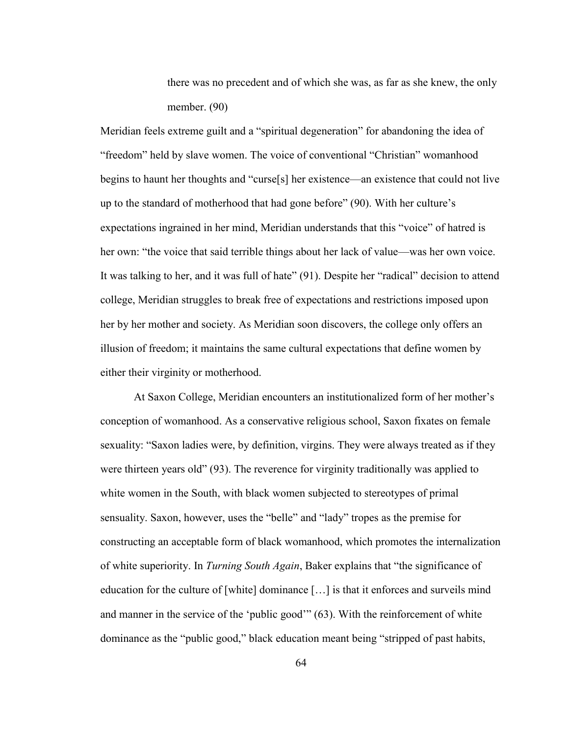there was no precedent and of which she was, as far as she knew, the only member. (90)

Meridian feels extreme guilt and a "spiritual degeneration" for abandoning the idea of "freedom" held by slave women. The voice of conventional "Christian" womanhood begins to haunt her thoughts and "curse[s] her existence—an existence that could not live up to the standard of motherhood that had gone before" (90). With her culture's expectations ingrained in her mind, Meridian understands that this "voice" of hatred is her own: "the voice that said terrible things about her lack of value—was her own voice. It was talking to her, and it was full of hate" (91). Despite her "radical" decision to attend college, Meridian struggles to break free of expectations and restrictions imposed upon her by her mother and society. As Meridian soon discovers, the college only offers an illusion of freedom; it maintains the same cultural expectations that define women by either their virginity or motherhood.

At Saxon College, Meridian encounters an institutionalized form of her mother's conception of womanhood. As a conservative religious school, Saxon fixates on female sexuality: "Saxon ladies were, by definition, virgins. They were always treated as if they were thirteen years old" (93). The reverence for virginity traditionally was applied to white women in the South, with black women subjected to stereotypes of primal sensuality. Saxon, however, uses the "belle" and "lady" tropes as the premise for constructing an acceptable form of black womanhood, which promotes the internalization of white superiority. In *Turning South Again*, Baker explains that "the significance of education for the culture of [white] dominance […] is that it enforces and surveils mind and manner in the service of the 'public good'" (63). With the reinforcement of white dominance as the "public good," black education meant being "stripped of past habits,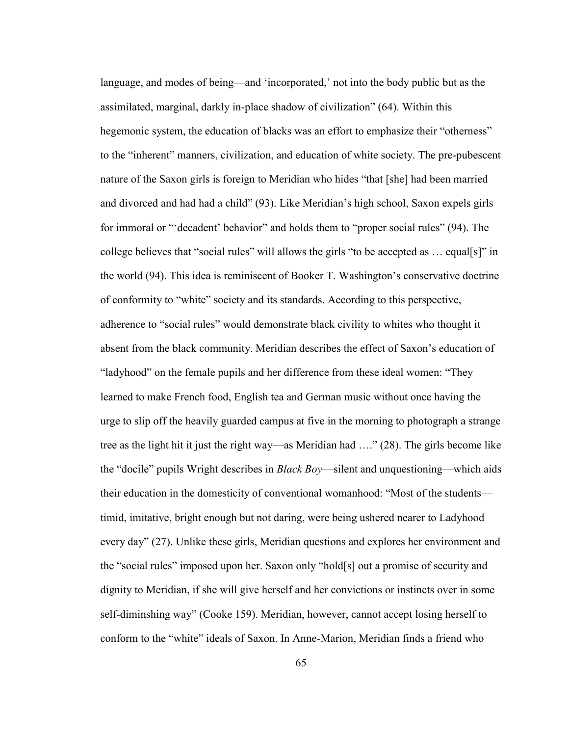language, and modes of being—and 'incorporated,' not into the body public but as the assimilated, marginal, darkly in-place shadow of civilization" (64). Within this hegemonic system, the education of blacks was an effort to emphasize their "otherness" to the "inherent" manners, civilization, and education of white society. The pre-pubescent nature of the Saxon girls is foreign to Meridian who hides "that [she] had been married and divorced and had had a child" (93). Like Meridian's high school, Saxon expels girls for immoral or "'decadent' behavior" and holds them to "proper social rules" (94). The college believes that "social rules" will allows the girls "to be accepted as … equal[s]" in the world (94). This idea is reminiscent of Booker T. Washington's conservative doctrine of conformity to "white" society and its standards. According to this perspective, adherence to "social rules" would demonstrate black civility to whites who thought it absent from the black community. Meridian describes the effect of Saxon's education of "ladyhood" on the female pupils and her difference from these ideal women: "They learned to make French food, English tea and German music without once having the urge to slip off the heavily guarded campus at five in the morning to photograph a strange tree as the light hit it just the right way—as Meridian had …." (28). The girls become like the "docile" pupils Wright describes in *Black Boy*—silent and unquestioning—which aids their education in the domesticity of conventional womanhood: "Most of the students timid, imitative, bright enough but not daring, were being ushered nearer to Ladyhood every day" (27). Unlike these girls, Meridian questions and explores her environment and the "social rules" imposed upon her. Saxon only "hold[s] out a promise of security and dignity to Meridian, if she will give herself and her convictions or instincts over in some self-diminshing way" (Cooke 159). Meridian, however, cannot accept losing herself to conform to the "white" ideals of Saxon. In Anne-Marion, Meridian finds a friend who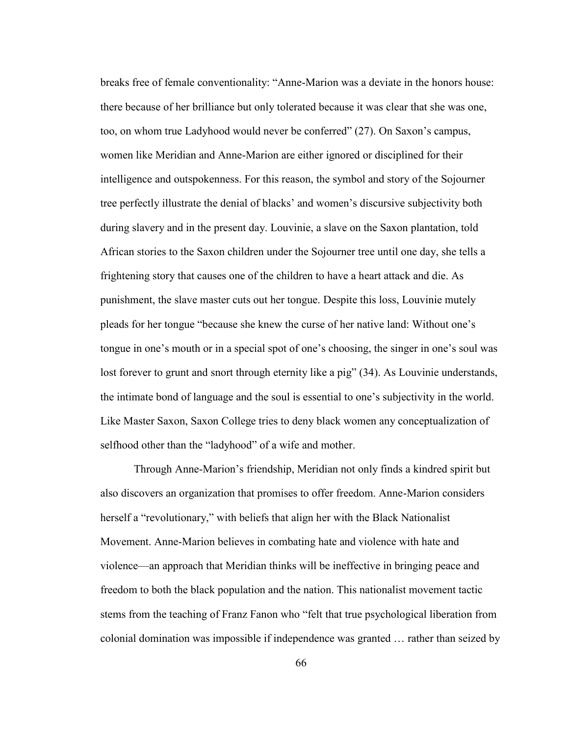breaks free of female conventionality: "Anne-Marion was a deviate in the honors house: there because of her brilliance but only tolerated because it was clear that she was one, too, on whom true Ladyhood would never be conferred" (27). On Saxon's campus, women like Meridian and Anne-Marion are either ignored or disciplined for their intelligence and outspokenness. For this reason, the symbol and story of the Sojourner tree perfectly illustrate the denial of blacks' and women's discursive subjectivity both during slavery and in the present day. Louvinie, a slave on the Saxon plantation, told African stories to the Saxon children under the Sojourner tree until one day, she tells a frightening story that causes one of the children to have a heart attack and die. As punishment, the slave master cuts out her tongue. Despite this loss, Louvinie mutely pleads for her tongue "because she knew the curse of her native land: Without one's tongue in one's mouth or in a special spot of one's choosing, the singer in one's soul was lost forever to grunt and snort through eternity like a pig" (34). As Louvinie understands, the intimate bond of language and the soul is essential to one's subjectivity in the world. Like Master Saxon, Saxon College tries to deny black women any conceptualization of selfhood other than the "ladyhood" of a wife and mother.

Through Anne-Marion's friendship, Meridian not only finds a kindred spirit but also discovers an organization that promises to offer freedom. Anne-Marion considers herself a "revolutionary," with beliefs that align her with the Black Nationalist Movement. Anne-Marion believes in combating hate and violence with hate and violence—an approach that Meridian thinks will be ineffective in bringing peace and freedom to both the black population and the nation. This nationalist movement tactic stems from the teaching of Franz Fanon who "felt that true psychological liberation from colonial domination was impossible if independence was granted … rather than seized by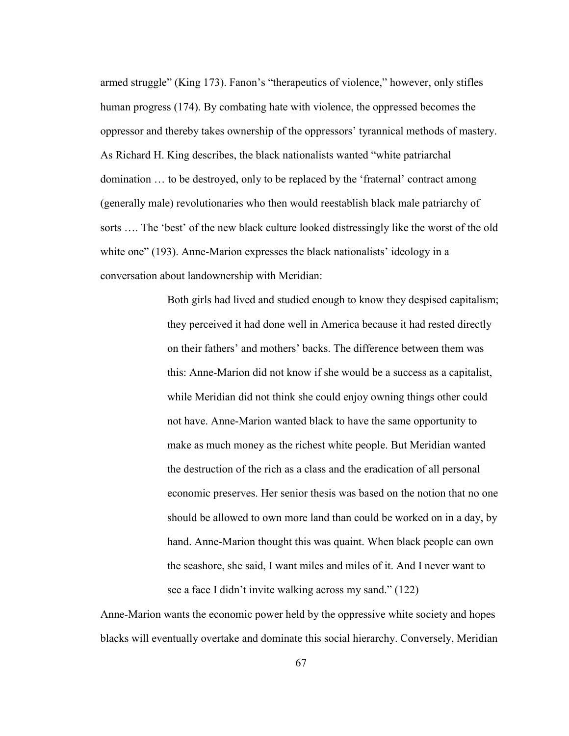armed struggle" (King 173). Fanon's "therapeutics of violence," however, only stifles human progress (174). By combating hate with violence, the oppressed becomes the oppressor and thereby takes ownership of the oppressors' tyrannical methods of mastery. As Richard H. King describes, the black nationalists wanted "white patriarchal domination … to be destroyed, only to be replaced by the 'fraternal' contract among (generally male) revolutionaries who then would reestablish black male patriarchy of sorts …. The 'best' of the new black culture looked distressingly like the worst of the old white one" (193). Anne-Marion expresses the black nationalists' ideology in a conversation about landownership with Meridian:

> Both girls had lived and studied enough to know they despised capitalism; they perceived it had done well in America because it had rested directly on their fathers' and mothers' backs. The difference between them was this: Anne-Marion did not know if she would be a success as a capitalist, while Meridian did not think she could enjoy owning things other could not have. Anne-Marion wanted black to have the same opportunity to make as much money as the richest white people. But Meridian wanted the destruction of the rich as a class and the eradication of all personal economic preserves. Her senior thesis was based on the notion that no one should be allowed to own more land than could be worked on in a day, by hand. Anne-Marion thought this was quaint. When black people can own the seashore, she said, I want miles and miles of it. And I never want to see a face I didn't invite walking across my sand." (122)

Anne-Marion wants the economic power held by the oppressive white society and hopes blacks will eventually overtake and dominate this social hierarchy. Conversely, Meridian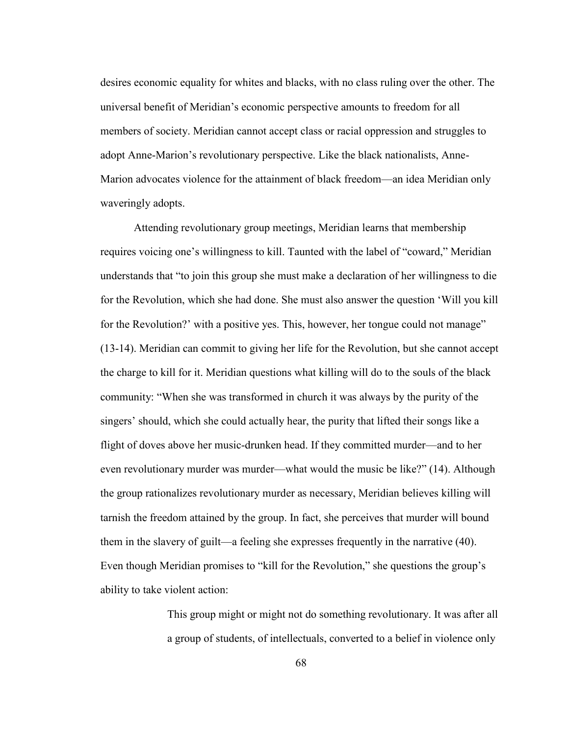desires economic equality for whites and blacks, with no class ruling over the other. The universal benefit of Meridian's economic perspective amounts to freedom for all members of society. Meridian cannot accept class or racial oppression and struggles to adopt Anne-Marion's revolutionary perspective. Like the black nationalists, Anne-Marion advocates violence for the attainment of black freedom—an idea Meridian only waveringly adopts.

Attending revolutionary group meetings, Meridian learns that membership requires voicing one's willingness to kill. Taunted with the label of "coward," Meridian understands that "to join this group she must make a declaration of her willingness to die for the Revolution, which she had done. She must also answer the question 'Will you kill for the Revolution?' with a positive yes. This, however, her tongue could not manage" (13-14). Meridian can commit to giving her life for the Revolution, but she cannot accept the charge to kill for it. Meridian questions what killing will do to the souls of the black community: "When she was transformed in church it was always by the purity of the singers' should, which she could actually hear, the purity that lifted their songs like a flight of doves above her music-drunken head. If they committed murder—and to her even revolutionary murder was murder—what would the music be like?" (14). Although the group rationalizes revolutionary murder as necessary, Meridian believes killing will tarnish the freedom attained by the group. In fact, she perceives that murder will bound them in the slavery of guilt—a feeling she expresses frequently in the narrative (40). Even though Meridian promises to "kill for the Revolution," she questions the group's ability to take violent action:

> This group might or might not do something revolutionary. It was after all a group of students, of intellectuals, converted to a belief in violence only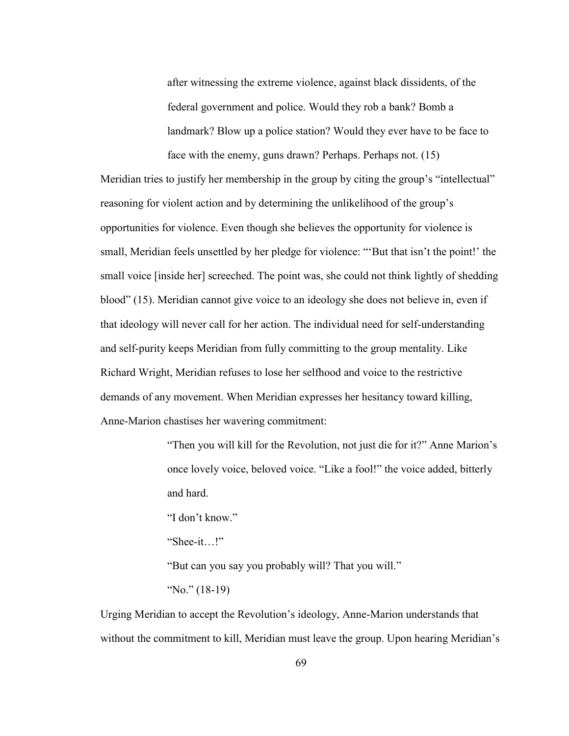after witnessing the extreme violence, against black dissidents, of the federal government and police. Would they rob a bank? Bomb a landmark? Blow up a police station? Would they ever have to be face to face with the enemy, guns drawn? Perhaps. Perhaps not. (15)

Meridian tries to justify her membership in the group by citing the group's "intellectual" reasoning for violent action and by determining the unlikelihood of the group's opportunities for violence. Even though she believes the opportunity for violence is small, Meridian feels unsettled by her pledge for violence: "'But that isn't the point!' the small voice [inside her] screeched. The point was, she could not think lightly of shedding blood" (15). Meridian cannot give voice to an ideology she does not believe in, even if that ideology will never call for her action. The individual need for self-understanding and self-purity keeps Meridian from fully committing to the group mentality. Like Richard Wright, Meridian refuses to lose her selfhood and voice to the restrictive demands of any movement. When Meridian expresses her hesitancy toward killing, Anne-Marion chastises her wavering commitment:

> "Then you will kill for the Revolution, not just die for it?" Anne Marion's once lovely voice, beloved voice. "Like a fool!" the voice added, bitterly and hard.

"I don't know."

"Shee-it…!"

"But can you say you probably will? That you will."

"No." (18-19)

Urging Meridian to accept the Revolution's ideology, Anne-Marion understands that without the commitment to kill, Meridian must leave the group. Upon hearing Meridian's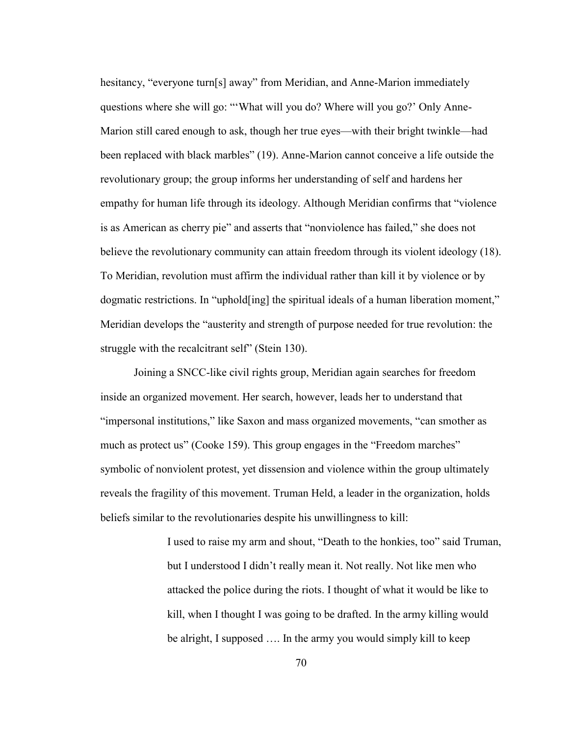hesitancy, "everyone turn[s] away" from Meridian, and Anne-Marion immediately questions where she will go: "'What will you do? Where will you go?' Only Anne-Marion still cared enough to ask, though her true eyes—with their bright twinkle—had been replaced with black marbles" (19). Anne-Marion cannot conceive a life outside the revolutionary group; the group informs her understanding of self and hardens her empathy for human life through its ideology. Although Meridian confirms that "violence is as American as cherry pie" and asserts that "nonviolence has failed," she does not believe the revolutionary community can attain freedom through its violent ideology (18). To Meridian, revolution must affirm the individual rather than kill it by violence or by dogmatic restrictions. In "uphold[ing] the spiritual ideals of a human liberation moment," Meridian develops the "austerity and strength of purpose needed for true revolution: the struggle with the recalcitrant self" (Stein 130).

Joining a SNCC-like civil rights group, Meridian again searches for freedom inside an organized movement. Her search, however, leads her to understand that "impersonal institutions," like Saxon and mass organized movements, "can smother as much as protect us" (Cooke 159). This group engages in the "Freedom marches" symbolic of nonviolent protest, yet dissension and violence within the group ultimately reveals the fragility of this movement. Truman Held, a leader in the organization, holds beliefs similar to the revolutionaries despite his unwillingness to kill:

> I used to raise my arm and shout, "Death to the honkies, too" said Truman, but I understood I didn't really mean it. Not really. Not like men who attacked the police during the riots. I thought of what it would be like to kill, when I thought I was going to be drafted. In the army killing would be alright, I supposed …. In the army you would simply kill to keep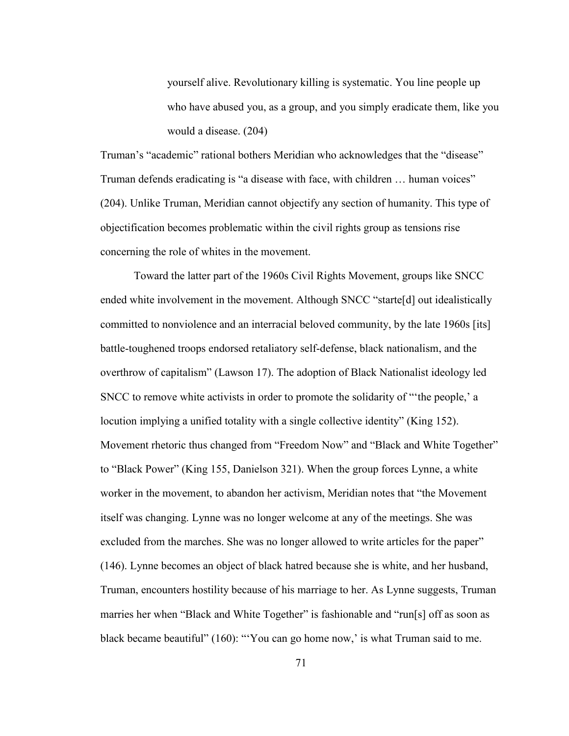yourself alive. Revolutionary killing is systematic. You line people up who have abused you, as a group, and you simply eradicate them, like you would a disease. (204)

Truman's "academic" rational bothers Meridian who acknowledges that the "disease" Truman defends eradicating is "a disease with face, with children … human voices" (204). Unlike Truman, Meridian cannot objectify any section of humanity. This type of objectification becomes problematic within the civil rights group as tensions rise concerning the role of whites in the movement.

Toward the latter part of the 1960s Civil Rights Movement, groups like SNCC ended white involvement in the movement. Although SNCC "starte<sup>[d]</sup> out idealistically committed to nonviolence and an interracial beloved community, by the late 1960s [its] battle-toughened troops endorsed retaliatory self-defense, black nationalism, and the overthrow of capitalism" (Lawson 17). The adoption of Black Nationalist ideology led SNCC to remove white activists in order to promote the solidarity of "'the people,' a locution implying a unified totality with a single collective identity" (King 152). Movement rhetoric thus changed from "Freedom Now" and "Black and White Together" to "Black Power" (King 155, Danielson 321). When the group forces Lynne, a white worker in the movement, to abandon her activism, Meridian notes that "the Movement itself was changing. Lynne was no longer welcome at any of the meetings. She was excluded from the marches. She was no longer allowed to write articles for the paper" (146). Lynne becomes an object of black hatred because she is white, and her husband, Truman, encounters hostility because of his marriage to her. As Lynne suggests, Truman marries her when "Black and White Together" is fashionable and "run[s] off as soon as black became beautiful" (160): "'You can go home now,' is what Truman said to me.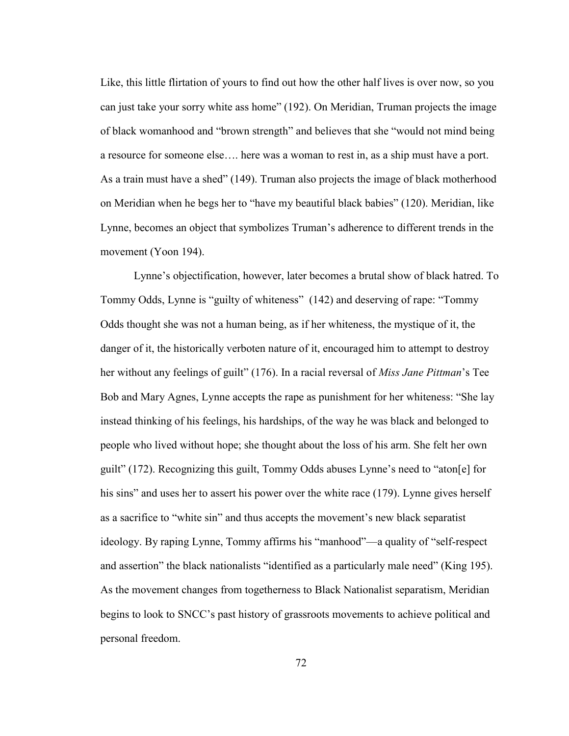Like, this little flirtation of yours to find out how the other half lives is over now, so you can just take your sorry white ass home" (192). On Meridian, Truman projects the image of black womanhood and "brown strength" and believes that she "would not mind being a resource for someone else…. here was a woman to rest in, as a ship must have a port. As a train must have a shed" (149). Truman also projects the image of black motherhood on Meridian when he begs her to "have my beautiful black babies" (120). Meridian, like Lynne, becomes an object that symbolizes Truman's adherence to different trends in the movement (Yoon 194).

Lynne's objectification, however, later becomes a brutal show of black hatred. To Tommy Odds, Lynne is "guilty of whiteness" (142) and deserving of rape: "Tommy Odds thought she was not a human being, as if her whiteness, the mystique of it, the danger of it, the historically verboten nature of it, encouraged him to attempt to destroy her without any feelings of guilt" (176). In a racial reversal of *Miss Jane Pittman*'s Tee Bob and Mary Agnes, Lynne accepts the rape as punishment for her whiteness: "She lay instead thinking of his feelings, his hardships, of the way he was black and belonged to people who lived without hope; she thought about the loss of his arm. She felt her own guilt" (172). Recognizing this guilt, Tommy Odds abuses Lynne's need to "aton[e] for his sins" and uses her to assert his power over the white race (179). Lynne gives herself as a sacrifice to "white sin" and thus accepts the movement's new black separatist ideology. By raping Lynne, Tommy affirms his "manhood"—a quality of "self-respect and assertion" the black nationalists "identified as a particularly male need" (King 195). As the movement changes from togetherness to Black Nationalist separatism, Meridian begins to look to SNCC's past history of grassroots movements to achieve political and personal freedom.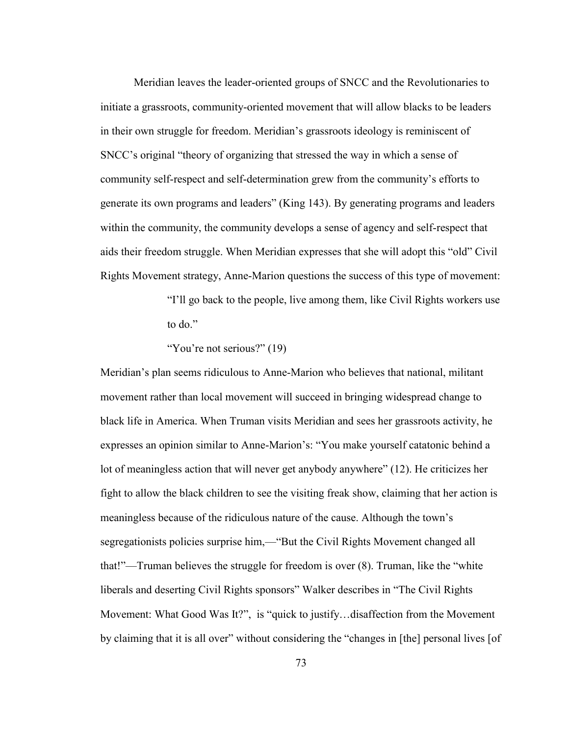Meridian leaves the leader-oriented groups of SNCC and the Revolutionaries to initiate a grassroots, community-oriented movement that will allow blacks to be leaders in their own struggle for freedom. Meridian's grassroots ideology is reminiscent of SNCC's original "theory of organizing that stressed the way in which a sense of community self-respect and self-determination grew from the community's efforts to generate its own programs and leaders" (King 143). By generating programs and leaders within the community, the community develops a sense of agency and self-respect that aids their freedom struggle. When Meridian expresses that she will adopt this "old" Civil Rights Movement strategy, Anne-Marion questions the success of this type of movement:

> "I'll go back to the people, live among them, like Civil Rights workers use to do."

"You're not serious?" (19)

Meridian's plan seems ridiculous to Anne-Marion who believes that national, militant movement rather than local movement will succeed in bringing widespread change to black life in America. When Truman visits Meridian and sees her grassroots activity, he expresses an opinion similar to Anne-Marion's: "You make yourself catatonic behind a lot of meaningless action that will never get anybody anywhere" (12). He criticizes her fight to allow the black children to see the visiting freak show, claiming that her action is meaningless because of the ridiculous nature of the cause. Although the town's segregationists policies surprise him,—"But the Civil Rights Movement changed all that!"—Truman believes the struggle for freedom is over (8). Truman, like the "white liberals and deserting Civil Rights sponsors" Walker describes in "The Civil Rights Movement: What Good Was It?", is "quick to justify...disaffection from the Movement by claiming that it is all over" without considering the "changes in [the] personal lives [of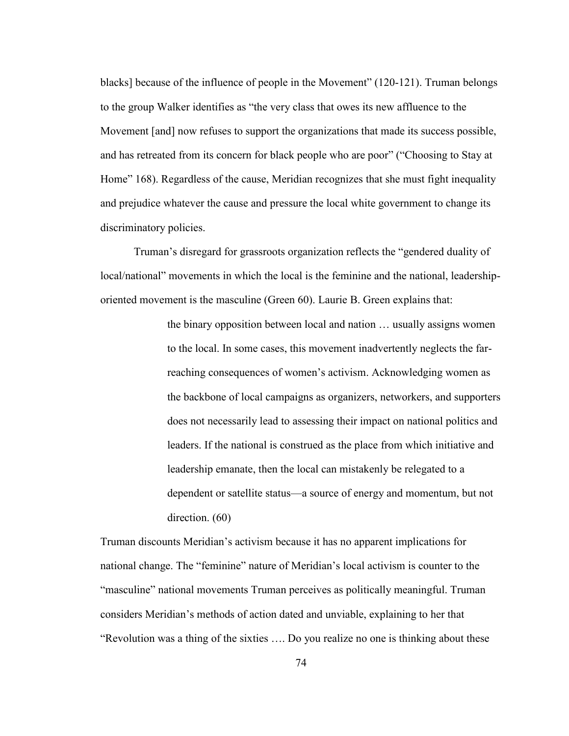blacks] because of the influence of people in the Movement" (120-121). Truman belongs to the group Walker identifies as "the very class that owes its new affluence to the Movement [and] now refuses to support the organizations that made its success possible, and has retreated from its concern for black people who are poor" ("Choosing to Stay at Home" 168). Regardless of the cause, Meridian recognizes that she must fight inequality and prejudice whatever the cause and pressure the local white government to change its discriminatory policies.

Truman's disregard for grassroots organization reflects the "gendered duality of local/national" movements in which the local is the feminine and the national, leadershiporiented movement is the masculine (Green 60). Laurie B. Green explains that:

> the binary opposition between local and nation … usually assigns women to the local. In some cases, this movement inadvertently neglects the farreaching consequences of women's activism. Acknowledging women as the backbone of local campaigns as organizers, networkers, and supporters does not necessarily lead to assessing their impact on national politics and leaders. If the national is construed as the place from which initiative and leadership emanate, then the local can mistakenly be relegated to a dependent or satellite status—a source of energy and momentum, but not direction.  $(60)$

Truman discounts Meridian's activism because it has no apparent implications for national change. The "feminine" nature of Meridian's local activism is counter to the "masculine" national movements Truman perceives as politically meaningful. Truman considers Meridian's methods of action dated and unviable, explaining to her that "Revolution was a thing of the sixties …. Do you realize no one is thinking about these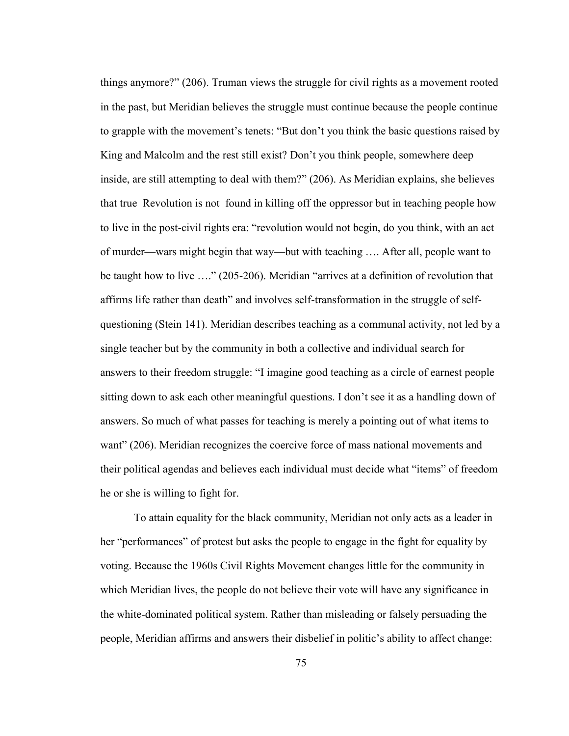things anymore?" (206). Truman views the struggle for civil rights as a movement rooted in the past, but Meridian believes the struggle must continue because the people continue to grapple with the movement's tenets: "But don't you think the basic questions raised by King and Malcolm and the rest still exist? Don't you think people, somewhere deep inside, are still attempting to deal with them?" (206). As Meridian explains, she believes that true Revolution is not found in killing off the oppressor but in teaching people how to live in the post-civil rights era: "revolution would not begin, do you think, with an act of murder—wars might begin that way—but with teaching …. After all, people want to be taught how to live …." (205-206). Meridian "arrives at a definition of revolution that affirms life rather than death" and involves self-transformation in the struggle of selfquestioning (Stein 141). Meridian describes teaching as a communal activity, not led by a single teacher but by the community in both a collective and individual search for answers to their freedom struggle: "I imagine good teaching as a circle of earnest people sitting down to ask each other meaningful questions. I don't see it as a handling down of answers. So much of what passes for teaching is merely a pointing out of what items to want" (206). Meridian recognizes the coercive force of mass national movements and their political agendas and believes each individual must decide what "items" of freedom he or she is willing to fight for.

To attain equality for the black community, Meridian not only acts as a leader in her "performances" of protest but asks the people to engage in the fight for equality by voting. Because the 1960s Civil Rights Movement changes little for the community in which Meridian lives, the people do not believe their vote will have any significance in the white-dominated political system. Rather than misleading or falsely persuading the people, Meridian affirms and answers their disbelief in politic's ability to affect change: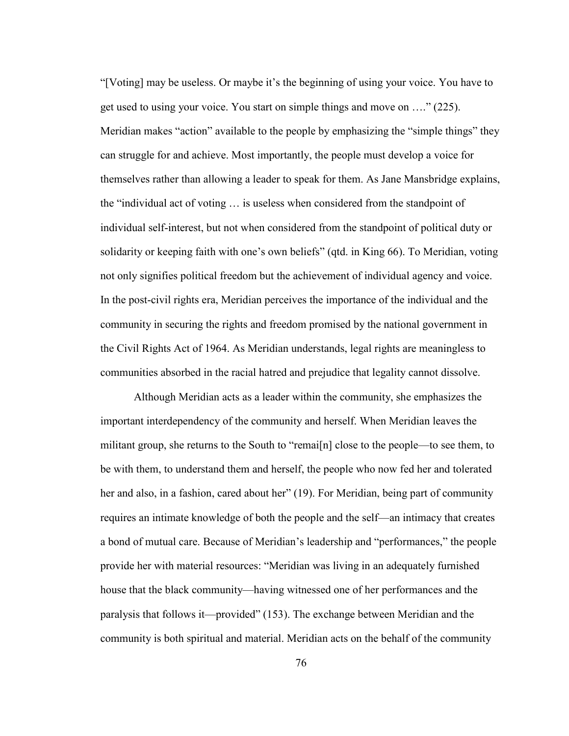"[Voting] may be useless. Or maybe it's the beginning of using your voice. You have to get used to using your voice. You start on simple things and move on …." (225). Meridian makes "action" available to the people by emphasizing the "simple things" they can struggle for and achieve. Most importantly, the people must develop a voice for themselves rather than allowing a leader to speak for them. As Jane Mansbridge explains, the "individual act of voting … is useless when considered from the standpoint of individual self-interest, but not when considered from the standpoint of political duty or solidarity or keeping faith with one's own beliefs" (qtd. in King 66). To Meridian, voting not only signifies political freedom but the achievement of individual agency and voice. In the post-civil rights era, Meridian perceives the importance of the individual and the community in securing the rights and freedom promised by the national government in the Civil Rights Act of 1964. As Meridian understands, legal rights are meaningless to communities absorbed in the racial hatred and prejudice that legality cannot dissolve.

Although Meridian acts as a leader within the community, she emphasizes the important interdependency of the community and herself. When Meridian leaves the militant group, she returns to the South to "remai[n] close to the people—to see them, to be with them, to understand them and herself, the people who now fed her and tolerated her and also, in a fashion, cared about her" (19). For Meridian, being part of community requires an intimate knowledge of both the people and the self—an intimacy that creates a bond of mutual care. Because of Meridian's leadership and "performances," the people provide her with material resources: "Meridian was living in an adequately furnished house that the black community—having witnessed one of her performances and the paralysis that follows it—provided" (153). The exchange between Meridian and the community is both spiritual and material. Meridian acts on the behalf of the community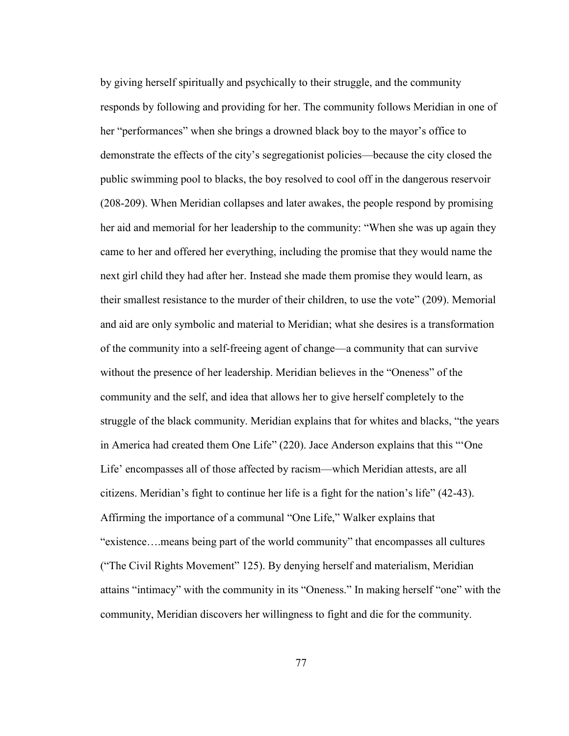by giving herself spiritually and psychically to their struggle, and the community responds by following and providing for her. The community follows Meridian in one of her "performances" when she brings a drowned black boy to the mayor's office to demonstrate the effects of the city's segregationist policies—because the city closed the public swimming pool to blacks, the boy resolved to cool off in the dangerous reservoir (208-209). When Meridian collapses and later awakes, the people respond by promising her aid and memorial for her leadership to the community: "When she was up again they came to her and offered her everything, including the promise that they would name the next girl child they had after her. Instead she made them promise they would learn, as their smallest resistance to the murder of their children, to use the vote" (209). Memorial and aid are only symbolic and material to Meridian; what she desires is a transformation of the community into a self-freeing agent of change—a community that can survive without the presence of her leadership. Meridian believes in the "Oneness" of the community and the self, and idea that allows her to give herself completely to the struggle of the black community. Meridian explains that for whites and blacks, "the years in America had created them One Life" (220). Jace Anderson explains that this "'One Life' encompasses all of those affected by racism—which Meridian attests, are all citizens. Meridian's fight to continue her life is a fight for the nation's life" (42-43). Affirming the importance of a communal "One Life," Walker explains that "existence….means being part of the world community" that encompasses all cultures ("The Civil Rights Movement" 125). By denying herself and materialism, Meridian attains "intimacy" with the community in its "Oneness." In making herself "one" with the community, Meridian discovers her willingness to fight and die for the community.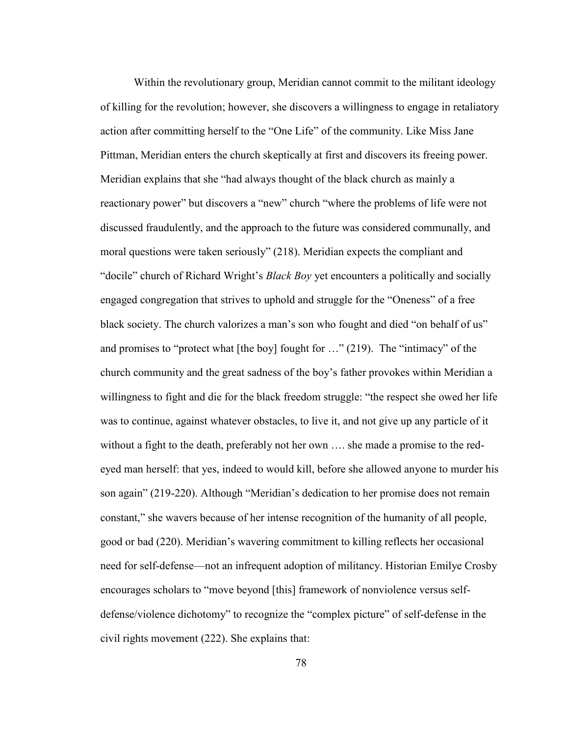Within the revolutionary group, Meridian cannot commit to the militant ideology of killing for the revolution; however, she discovers a willingness to engage in retaliatory action after committing herself to the "One Life" of the community. Like Miss Jane Pittman, Meridian enters the church skeptically at first and discovers its freeing power. Meridian explains that she "had always thought of the black church as mainly a reactionary power" but discovers a "new" church "where the problems of life were not discussed fraudulently, and the approach to the future was considered communally, and moral questions were taken seriously" (218). Meridian expects the compliant and "docile" church of Richard Wright's *Black Boy* yet encounters a politically and socially engaged congregation that strives to uphold and struggle for the "Oneness" of a free black society. The church valorizes a man's son who fought and died "on behalf of us" and promises to "protect what [the boy] fought for …" (219). The "intimacy" of the church community and the great sadness of the boy's father provokes within Meridian a willingness to fight and die for the black freedom struggle: "the respect she owed her life was to continue, against whatever obstacles, to live it, and not give up any particle of it without a fight to the death, preferably not her own …. she made a promise to the redeyed man herself: that yes, indeed to would kill, before she allowed anyone to murder his son again" (219-220). Although "Meridian's dedication to her promise does not remain constant," she wavers because of her intense recognition of the humanity of all people, good or bad (220). Meridian's wavering commitment to killing reflects her occasional need for self-defense—not an infrequent adoption of militancy. Historian Emilye Crosby encourages scholars to "move beyond [this] framework of nonviolence versus selfdefense/violence dichotomy" to recognize the "complex picture" of self-defense in the civil rights movement (222). She explains that: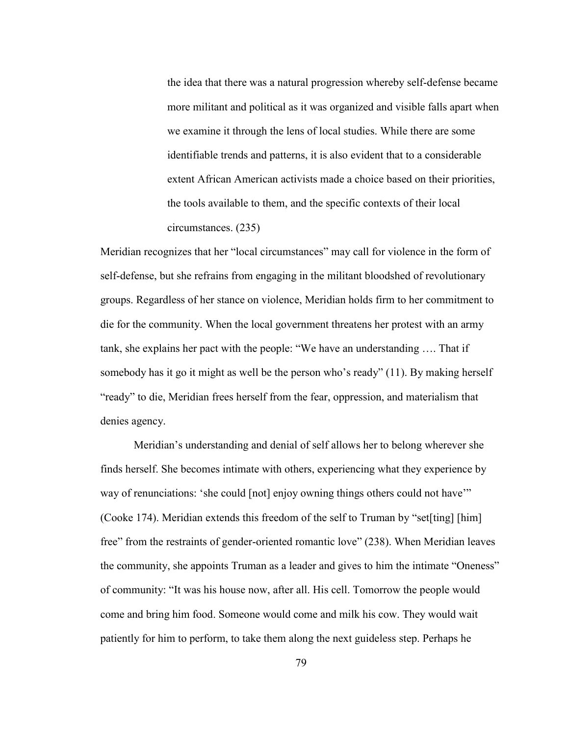the idea that there was a natural progression whereby self-defense became more militant and political as it was organized and visible falls apart when we examine it through the lens of local studies. While there are some identifiable trends and patterns, it is also evident that to a considerable extent African American activists made a choice based on their priorities, the tools available to them, and the specific contexts of their local circumstances. (235)

Meridian recognizes that her "local circumstances" may call for violence in the form of self-defense, but she refrains from engaging in the militant bloodshed of revolutionary groups. Regardless of her stance on violence, Meridian holds firm to her commitment to die for the community. When the local government threatens her protest with an army tank, she explains her pact with the people: "We have an understanding …. That if somebody has it go it might as well be the person who's ready" (11). By making herself "ready" to die, Meridian frees herself from the fear, oppression, and materialism that denies agency.

Meridian's understanding and denial of self allows her to belong wherever she finds herself. She becomes intimate with others, experiencing what they experience by way of renunciations: 'she could [not] enjoy owning things others could not have'" (Cooke 174). Meridian extends this freedom of the self to Truman by "set[ting] [him] free" from the restraints of gender-oriented romantic love" (238). When Meridian leaves the community, she appoints Truman as a leader and gives to him the intimate "Oneness" of community: "It was his house now, after all. His cell. Tomorrow the people would come and bring him food. Someone would come and milk his cow. They would wait patiently for him to perform, to take them along the next guideless step. Perhaps he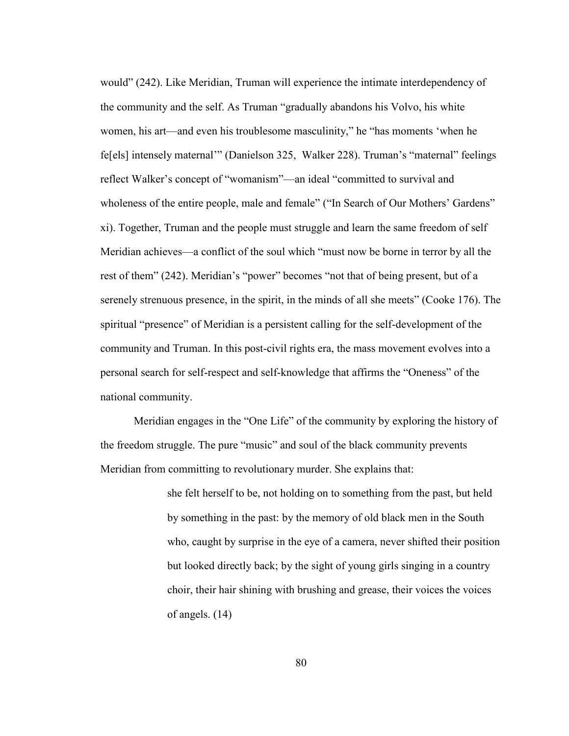would" (242). Like Meridian, Truman will experience the intimate interdependency of the community and the self. As Truman "gradually abandons his Volvo, his white women, his art—and even his troublesome masculinity," he "has moments 'when he fe[els] intensely maternal'" (Danielson 325, Walker 228). Truman's "maternal" feelings reflect Walker's concept of "womanism"—an ideal "committed to survival and wholeness of the entire people, male and female" ("In Search of Our Mothers' Gardens" xi). Together, Truman and the people must struggle and learn the same freedom of self Meridian achieves—a conflict of the soul which "must now be borne in terror by all the rest of them" (242). Meridian's "power" becomes "not that of being present, but of a serenely strenuous presence, in the spirit, in the minds of all she meets" (Cooke 176). The spiritual "presence" of Meridian is a persistent calling for the self-development of the community and Truman. In this post-civil rights era, the mass movement evolves into a personal search for self-respect and self-knowledge that affirms the "Oneness" of the national community.

Meridian engages in the "One Life" of the community by exploring the history of the freedom struggle. The pure "music" and soul of the black community prevents Meridian from committing to revolutionary murder. She explains that:

> she felt herself to be, not holding on to something from the past, but held by something in the past: by the memory of old black men in the South who, caught by surprise in the eye of a camera, never shifted their position but looked directly back; by the sight of young girls singing in a country choir, their hair shining with brushing and grease, their voices the voices of angels. (14)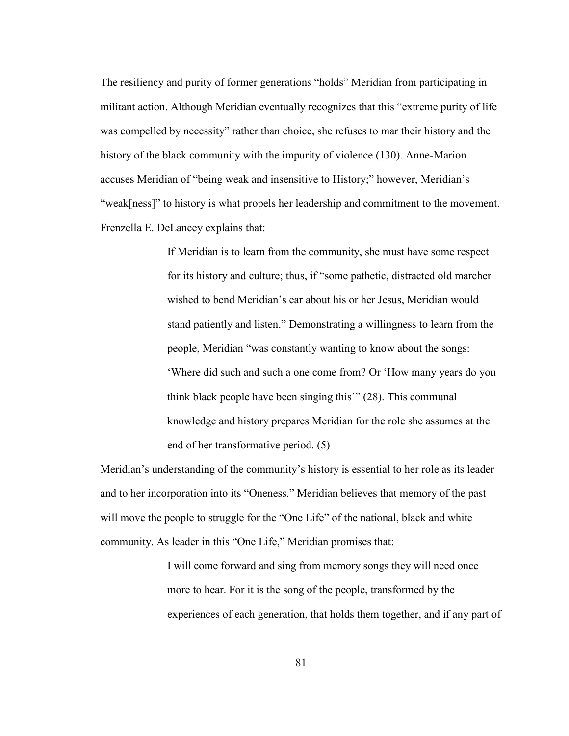The resiliency and purity of former generations "holds" Meridian from participating in militant action. Although Meridian eventually recognizes that this "extreme purity of life was compelled by necessity" rather than choice, she refuses to mar their history and the history of the black community with the impurity of violence (130). Anne-Marion accuses Meridian of "being weak and insensitive to History;" however, Meridian's "weak[ness]" to history is what propels her leadership and commitment to the movement. Frenzella E. DeLancey explains that:

> If Meridian is to learn from the community, she must have some respect for its history and culture; thus, if "some pathetic, distracted old marcher wished to bend Meridian's ear about his or her Jesus, Meridian would stand patiently and listen." Demonstrating a willingness to learn from the people, Meridian "was constantly wanting to know about the songs: 'Where did such and such a one come from? Or 'How many years do you think black people have been singing this'" (28). This communal knowledge and history prepares Meridian for the role she assumes at the end of her transformative period. (5)

Meridian's understanding of the community's history is essential to her role as its leader and to her incorporation into its "Oneness." Meridian believes that memory of the past will move the people to struggle for the "One Life" of the national, black and white community. As leader in this "One Life," Meridian promises that:

> I will come forward and sing from memory songs they will need once more to hear. For it is the song of the people, transformed by the experiences of each generation, that holds them together, and if any part of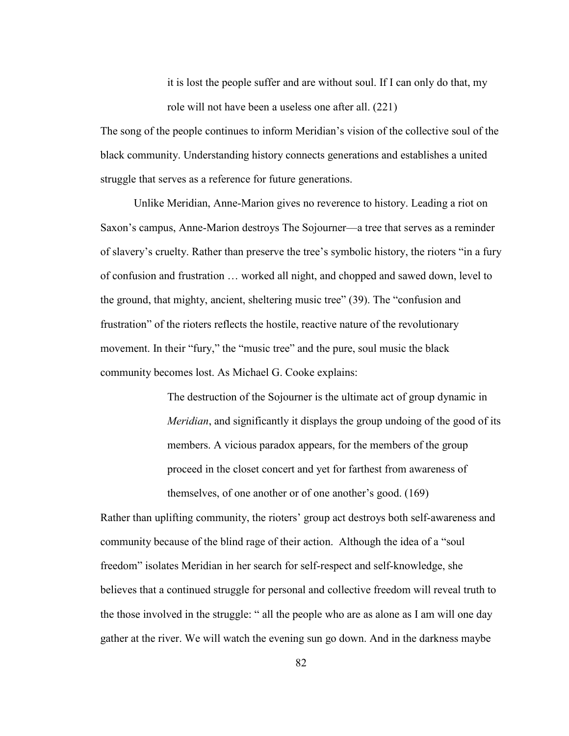it is lost the people suffer and are without soul. If I can only do that, my role will not have been a useless one after all. (221)

The song of the people continues to inform Meridian's vision of the collective soul of the black community. Understanding history connects generations and establishes a united struggle that serves as a reference for future generations.

Unlike Meridian, Anne-Marion gives no reverence to history. Leading a riot on Saxon's campus, Anne-Marion destroys The Sojourner—a tree that serves as a reminder of slavery's cruelty. Rather than preserve the tree's symbolic history, the rioters "in a fury of confusion and frustration … worked all night, and chopped and sawed down, level to the ground, that mighty, ancient, sheltering music tree" (39). The "confusion and frustration" of the rioters reflects the hostile, reactive nature of the revolutionary movement. In their "fury," the "music tree" and the pure, soul music the black community becomes lost. As Michael G. Cooke explains:

> The destruction of the Sojourner is the ultimate act of group dynamic in *Meridian*, and significantly it displays the group undoing of the good of its members. A vicious paradox appears, for the members of the group proceed in the closet concert and yet for farthest from awareness of themselves, of one another or of one another's good. (169)

Rather than uplifting community, the rioters' group act destroys both self-awareness and community because of the blind rage of their action. Although the idea of a "soul freedom" isolates Meridian in her search for self-respect and self-knowledge, she believes that a continued struggle for personal and collective freedom will reveal truth to the those involved in the struggle: " all the people who are as alone as I am will one day gather at the river. We will watch the evening sun go down. And in the darkness maybe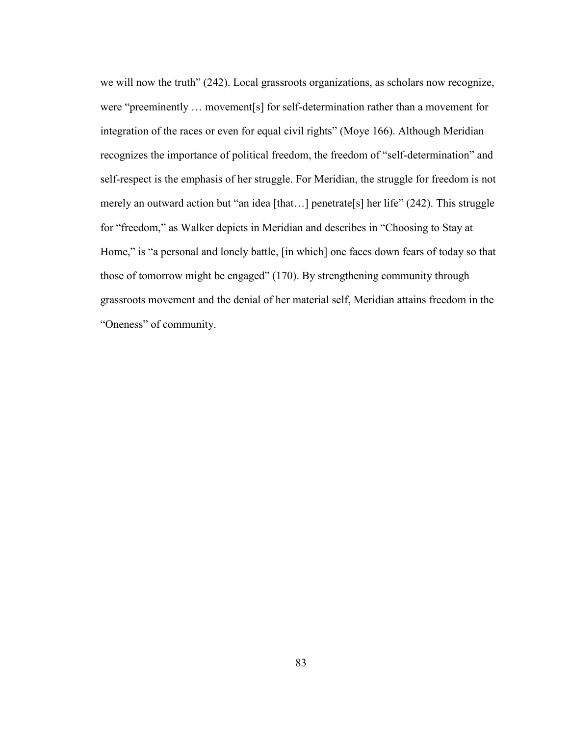we will now the truth" (242). Local grassroots organizations, as scholars now recognize, were "preeminently … movement[s] for self-determination rather than a movement for integration of the races or even for equal civil rights" (Moye 166). Although Meridian recognizes the importance of political freedom, the freedom of "self-determination" and self-respect is the emphasis of her struggle. For Meridian, the struggle for freedom is not merely an outward action but "an idea [that...] penetrate[s] her life" (242). This struggle for "freedom," as Walker depicts in Meridian and describes in "Choosing to Stay at Home," is "a personal and lonely battle, [in which] one faces down fears of today so that those of tomorrow might be engaged" (170). By strengthening community through grassroots movement and the denial of her material self, Meridian attains freedom in the "Oneness" of community.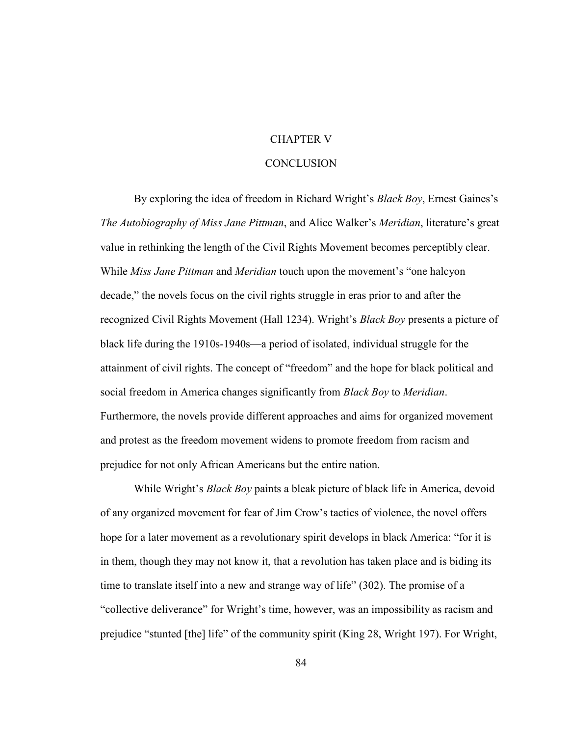## CHAPTER V

## **CONCLUSION**

By exploring the idea of freedom in Richard Wright's *Black Boy*, Ernest Gaines's *The Autobiography of Miss Jane Pittman*, and Alice Walker's *Meridian*, literature's great value in rethinking the length of the Civil Rights Movement becomes perceptibly clear. While *Miss Jane Pittman* and *Meridian* touch upon the movement's "one halcyon decade," the novels focus on the civil rights struggle in eras prior to and after the recognized Civil Rights Movement (Hall 1234). Wright's *Black Boy* presents a picture of black life during the 1910s-1940s—a period of isolated, individual struggle for the attainment of civil rights. The concept of "freedom" and the hope for black political and social freedom in America changes significantly from *Black Boy* to *Meridian*. Furthermore, the novels provide different approaches and aims for organized movement and protest as the freedom movement widens to promote freedom from racism and prejudice for not only African Americans but the entire nation.

While Wright's *Black Boy* paints a bleak picture of black life in America, devoid of any organized movement for fear of Jim Crow's tactics of violence, the novel offers hope for a later movement as a revolutionary spirit develops in black America: "for it is in them, though they may not know it, that a revolution has taken place and is biding its time to translate itself into a new and strange way of life" (302). The promise of a "collective deliverance" for Wright's time, however, was an impossibility as racism and prejudice "stunted [the] life" of the community spirit (King 28, Wright 197). For Wright,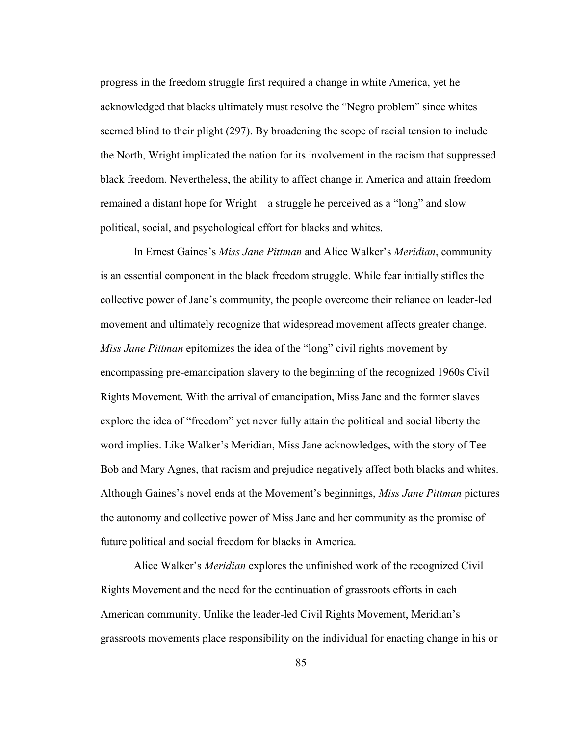progress in the freedom struggle first required a change in white America, yet he acknowledged that blacks ultimately must resolve the "Negro problem" since whites seemed blind to their plight (297). By broadening the scope of racial tension to include the North, Wright implicated the nation for its involvement in the racism that suppressed black freedom. Nevertheless, the ability to affect change in America and attain freedom remained a distant hope for Wright—a struggle he perceived as a "long" and slow political, social, and psychological effort for blacks and whites.

In Ernest Gaines's *Miss Jane Pittman* and Alice Walker's *Meridian*, community is an essential component in the black freedom struggle. While fear initially stifles the collective power of Jane's community, the people overcome their reliance on leader-led movement and ultimately recognize that widespread movement affects greater change. *Miss Jane Pittman* epitomizes the idea of the "long" civil rights movement by encompassing pre-emancipation slavery to the beginning of the recognized 1960s Civil Rights Movement. With the arrival of emancipation, Miss Jane and the former slaves explore the idea of "freedom" yet never fully attain the political and social liberty the word implies. Like Walker's Meridian, Miss Jane acknowledges, with the story of Tee Bob and Mary Agnes, that racism and prejudice negatively affect both blacks and whites. Although Gaines's novel ends at the Movement's beginnings, *Miss Jane Pittman* pictures the autonomy and collective power of Miss Jane and her community as the promise of future political and social freedom for blacks in America.

Alice Walker's *Meridian* explores the unfinished work of the recognized Civil Rights Movement and the need for the continuation of grassroots efforts in each American community. Unlike the leader-led Civil Rights Movement, Meridian's grassroots movements place responsibility on the individual for enacting change in his or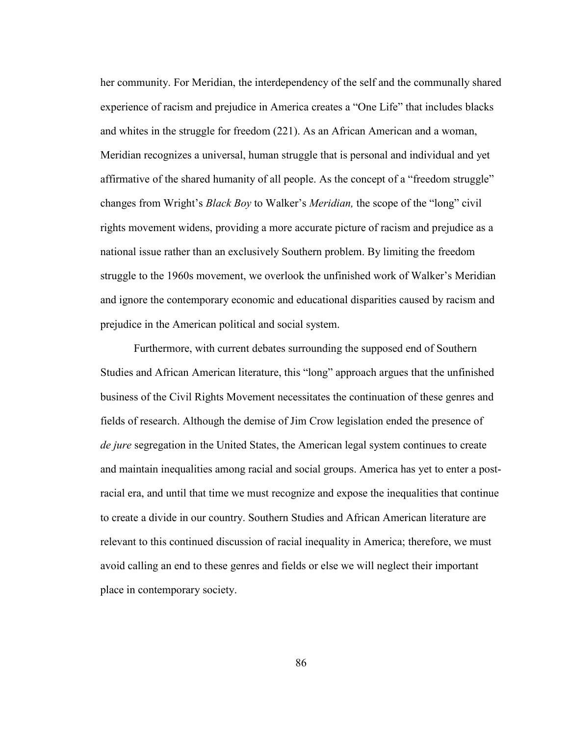her community. For Meridian, the interdependency of the self and the communally shared experience of racism and prejudice in America creates a "One Life" that includes blacks and whites in the struggle for freedom (221). As an African American and a woman, Meridian recognizes a universal, human struggle that is personal and individual and yet affirmative of the shared humanity of all people. As the concept of a "freedom struggle" changes from Wright's *Black Boy* to Walker's *Meridian,* the scope of the "long" civil rights movement widens, providing a more accurate picture of racism and prejudice as a national issue rather than an exclusively Southern problem. By limiting the freedom struggle to the 1960s movement, we overlook the unfinished work of Walker's Meridian and ignore the contemporary economic and educational disparities caused by racism and prejudice in the American political and social system.

Furthermore, with current debates surrounding the supposed end of Southern Studies and African American literature, this "long" approach argues that the unfinished business of the Civil Rights Movement necessitates the continuation of these genres and fields of research. Although the demise of Jim Crow legislation ended the presence of *de jure* segregation in the United States, the American legal system continues to create and maintain inequalities among racial and social groups. America has yet to enter a postracial era, and until that time we must recognize and expose the inequalities that continue to create a divide in our country. Southern Studies and African American literature are relevant to this continued discussion of racial inequality in America; therefore, we must avoid calling an end to these genres and fields or else we will neglect their important place in contemporary society.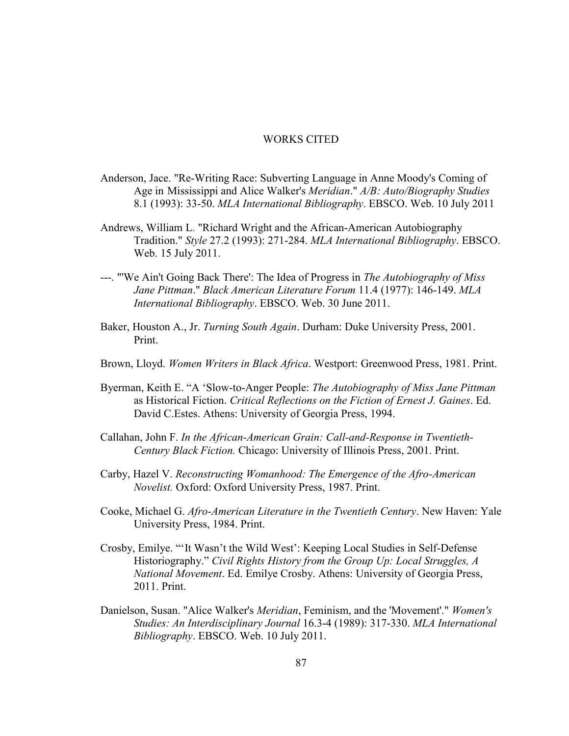## WORKS CITED

- Anderson, Jace. "Re-Writing Race: Subverting Language in Anne Moody's Coming of Age in Mississippi and Alice Walker's *Meridian*." *A/B: Auto/Biography Studies* 8.1 (1993): 33-50. *MLA International Bibliography*. EBSCO. Web. 10 July 2011
- Andrews, William L. "Richard Wright and the African-American Autobiography Tradition." *Style* 27.2 (1993): 271-284. *MLA International Bibliography*. EBSCO. Web. 15 July 2011.
- ---. "'We Ain't Going Back There': The Idea of Progress in *The Autobiography of Miss Jane Pittman*." *Black American Literature Forum* 11.4 (1977): 146-149. *MLA International Bibliography*. EBSCO. Web. 30 June 2011.
- Baker, Houston A., Jr. *Turning South Again*. Durham: Duke University Press, 2001. Print.
- Brown, Lloyd. *Women Writers in Black Africa*. Westport: Greenwood Press, 1981. Print.
- Byerman, Keith E. "A 'Slow-to-Anger People: *The Autobiography of Miss Jane Pittman* as Historical Fiction. *Critical Reflections on the Fiction of Ernest J. Gaines*. Ed. David C.Estes. Athens: University of Georgia Press, 1994.
- Callahan, John F. *In the African-American Grain: Call-and-Response in Twentieth-Century Black Fiction.* Chicago: University of Illinois Press, 2001. Print.
- Carby, Hazel V. *Reconstructing Womanhood: The Emergence of the Afro-American Novelist.* Oxford: Oxford University Press, 1987. Print.
- Cooke, Michael G. *Afro-American Literature in the Twentieth Century*. New Haven: Yale University Press, 1984. Print.
- Crosby, Emilye. "'It Wasn't the Wild West': Keeping Local Studies in Self-Defense Historiography." *Civil Rights History from the Group Up: Local Struggles, A National Movement*. Ed. Emilye Crosby. Athens: University of Georgia Press, 2011. Print.
- Danielson, Susan. "Alice Walker's *Meridian*, Feminism, and the 'Movement'." *Women's Studies: An Interdisciplinary Journal* 16.3-4 (1989): 317-330. *MLA International Bibliography*. EBSCO. Web. 10 July 2011.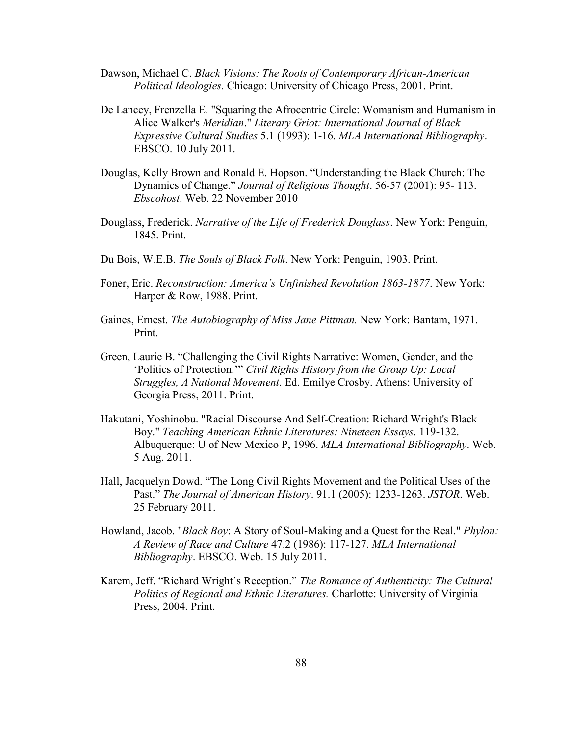- Dawson, Michael C. *Black Visions: The Roots of Contemporary African-American Political Ideologies.* Chicago: University of Chicago Press, 2001. Print.
- De Lancey, Frenzella E. "Squaring the Afrocentric Circle: Womanism and Humanism in Alice Walker's *Meridian*." *Literary Griot: International Journal of Black Expressive Cultural Studies* 5.1 (1993): 1-16. *MLA International Bibliography*. EBSCO. 10 July 2011.
- Douglas, Kelly Brown and Ronald E. Hopson. "Understanding the Black Church: The Dynamics of Change." *Journal of Religious Thought*. 56-57 (2001): 95- 113. *Ebscohost*. Web. 22 November 2010
- Douglass, Frederick. *Narrative of the Life of Frederick Douglass*. New York: Penguin, 1845. Print.
- Du Bois, W.E.B. *The Souls of Black Folk*. New York: Penguin, 1903. Print.
- Foner, Eric. *Reconstruction: America's Unfinished Revolution 1863-1877*. New York: Harper & Row, 1988. Print.
- Gaines, Ernest. *The Autobiography of Miss Jane Pittman.* New York: Bantam, 1971. Print.
- Green, Laurie B. "Challenging the Civil Rights Narrative: Women, Gender, and the 'Politics of Protection.'" *Civil Rights History from the Group Up: Local Struggles, A National Movement*. Ed. Emilye Crosby. Athens: University of Georgia Press, 2011. Print.
- Hakutani, Yoshinobu. "Racial Discourse And Self-Creation: Richard Wright's Black Boy." *Teaching American Ethnic Literatures: Nineteen Essays*. 119-132. Albuquerque: U of New Mexico P, 1996. *MLA International Bibliography*. Web. 5 Aug. 2011.
- Hall, Jacquelyn Dowd. "The Long Civil Rights Movement and the Political Uses of the Past." *The Journal of American History*. 91.1 (2005): 1233-1263. *JSTOR*. Web. 25 February 2011.
- Howland, Jacob. "*Black Boy*: A Story of Soul-Making and a Quest for the Real." *Phylon: A Review of Race and Culture* 47.2 (1986): 117-127. *MLA International Bibliography*. EBSCO. Web. 15 July 2011.
- Karem, Jeff. "Richard Wright's Reception." *The Romance of Authenticity: The Cultural Politics of Regional and Ethnic Literatures.* Charlotte: University of Virginia Press, 2004. Print.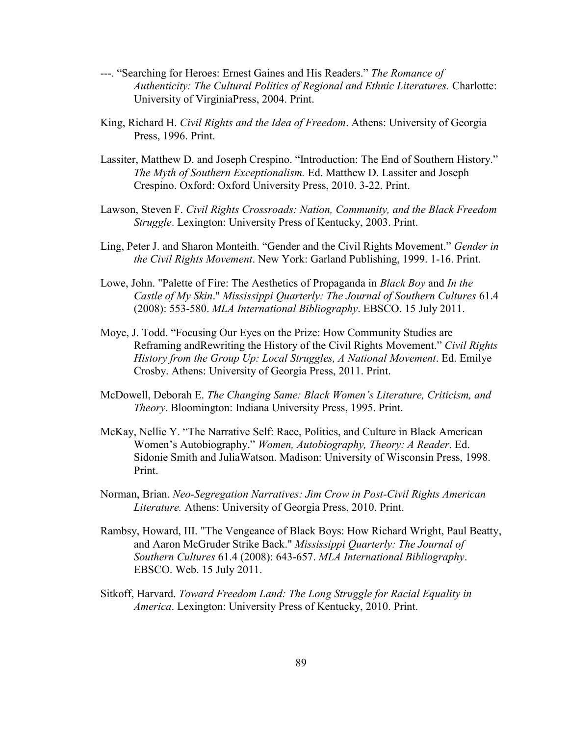- ---. "Searching for Heroes: Ernest Gaines and His Readers." *The Romance of Authenticity: The Cultural Politics of Regional and Ethnic Literatures.* Charlotte: University of VirginiaPress, 2004. Print.
- King, Richard H. *Civil Rights and the Idea of Freedom*. Athens: University of Georgia Press, 1996. Print.
- Lassiter, Matthew D. and Joseph Crespino. "Introduction: The End of Southern History." *The Myth of Southern Exceptionalism.* Ed. Matthew D. Lassiter and Joseph Crespino. Oxford: Oxford University Press, 2010. 3-22. Print.
- Lawson, Steven F. *Civil Rights Crossroads: Nation, Community, and the Black Freedom Struggle*. Lexington: University Press of Kentucky, 2003. Print.
- Ling, Peter J. and Sharon Monteith. "Gender and the Civil Rights Movement." *Gender in the Civil Rights Movement*. New York: Garland Publishing, 1999. 1-16. Print.
- Lowe, John. "Palette of Fire: The Aesthetics of Propaganda in *Black Boy* and *In the Castle of My Skin*." *Mississippi Quarterly: The Journal of Southern Cultures* 61.4 (2008): 553-580. *MLA International Bibliography*. EBSCO. 15 July 2011.
- Moye, J. Todd. "Focusing Our Eyes on the Prize: How Community Studies are Reframing andRewriting the History of the Civil Rights Movement." *Civil Rights History from the Group Up: Local Struggles, A National Movement*. Ed. Emilye Crosby. Athens: University of Georgia Press, 2011. Print.
- McDowell, Deborah E. *The Changing Same: Black Women's Literature, Criticism, and Theory*. Bloomington: Indiana University Press, 1995. Print.
- McKay, Nellie Y. "The Narrative Self: Race, Politics, and Culture in Black American Women's Autobiography." *Women, Autobiography, Theory: A Reader*. Ed. Sidonie Smith and JuliaWatson. Madison: University of Wisconsin Press, 1998. Print.
- Norman, Brian. *Neo-Segregation Narratives: Jim Crow in Post-Civil Rights American Literature.* Athens: University of Georgia Press, 2010. Print.
- Rambsy, Howard, III. "The Vengeance of Black Boys: How Richard Wright, Paul Beatty, and Aaron McGruder Strike Back." *Mississippi Quarterly: The Journal of Southern Cultures* 61.4 (2008): 643-657. *MLA International Bibliography*. EBSCO. Web. 15 July 2011.
- Sitkoff, Harvard. *Toward Freedom Land: The Long Struggle for Racial Equality in America*. Lexington: University Press of Kentucky, 2010. Print.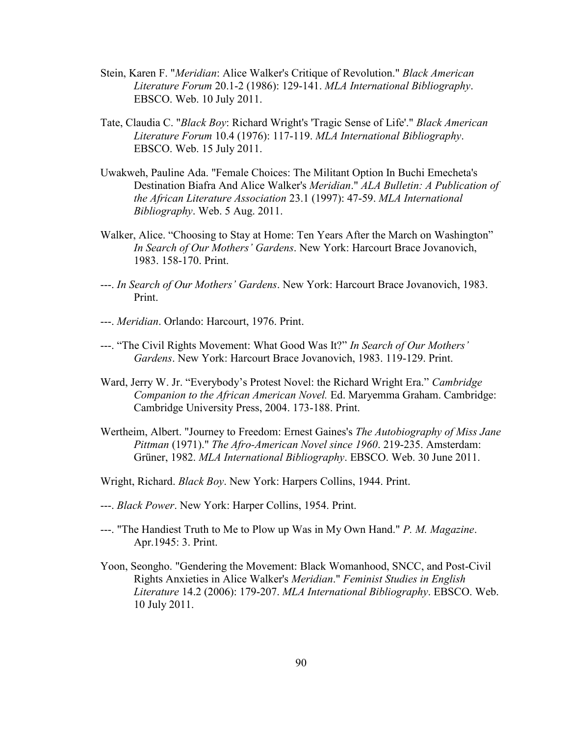- Stein, Karen F. "*Meridian*: Alice Walker's Critique of Revolution." *Black American Literature Forum* 20.1-2 (1986): 129-141. *MLA International Bibliography*. EBSCO. Web. 10 July 2011.
- Tate, Claudia C. "*Black Boy*: Richard Wright's 'Tragic Sense of Life'." *Black American Literature Forum* 10.4 (1976): 117-119. *MLA International Bibliography*. EBSCO. Web. 15 July 2011.
- Uwakweh, Pauline Ada. "Female Choices: The Militant Option In Buchi Emecheta's Destination Biafra And Alice Walker's *Meridian*." *ALA Bulletin: A Publication of the African Literature Association* 23.1 (1997): 47-59. *MLA International Bibliography*. Web. 5 Aug. 2011.
- Walker, Alice. "Choosing to Stay at Home: Ten Years After the March on Washington" *In Search of Our Mothers' Gardens*. New York: Harcourt Brace Jovanovich, 1983. 158-170. Print.
- ---. *In Search of Our Mothers' Gardens*. New York: Harcourt Brace Jovanovich, 1983. Print.
- ---. *Meridian*. Orlando: Harcourt, 1976. Print.
- ---. "The Civil Rights Movement: What Good Was It?" *In Search of Our Mothers' Gardens*. New York: Harcourt Brace Jovanovich, 1983. 119-129. Print.
- Ward, Jerry W. Jr. "Everybody's Protest Novel: the Richard Wright Era." *Cambridge Companion to the African American Novel.* Ed. Maryemma Graham. Cambridge: Cambridge University Press, 2004. 173-188. Print.
- Wertheim, Albert. "Journey to Freedom: Ernest Gaines's *The Autobiography of Miss Jane Pittman* (1971)." *The Afro-American Novel since 1960*. 219-235. Amsterdam: Grüner, 1982. *MLA International Bibliography*. EBSCO. Web. 30 June 2011.
- Wright, Richard. *Black Boy*. New York: Harpers Collins, 1944. Print.
- ---. *Black Power*. New York: Harper Collins, 1954. Print.
- ---. "The Handiest Truth to Me to Plow up Was in My Own Hand." *P. M. Magazine*. Apr.1945: 3. Print.
- Yoon, Seongho. "Gendering the Movement: Black Womanhood, SNCC, and Post-Civil Rights Anxieties in Alice Walker's *Meridian*." *Feminist Studies in English Literature* 14.2 (2006): 179-207. *MLA International Bibliography*. EBSCO. Web. 10 July 2011.